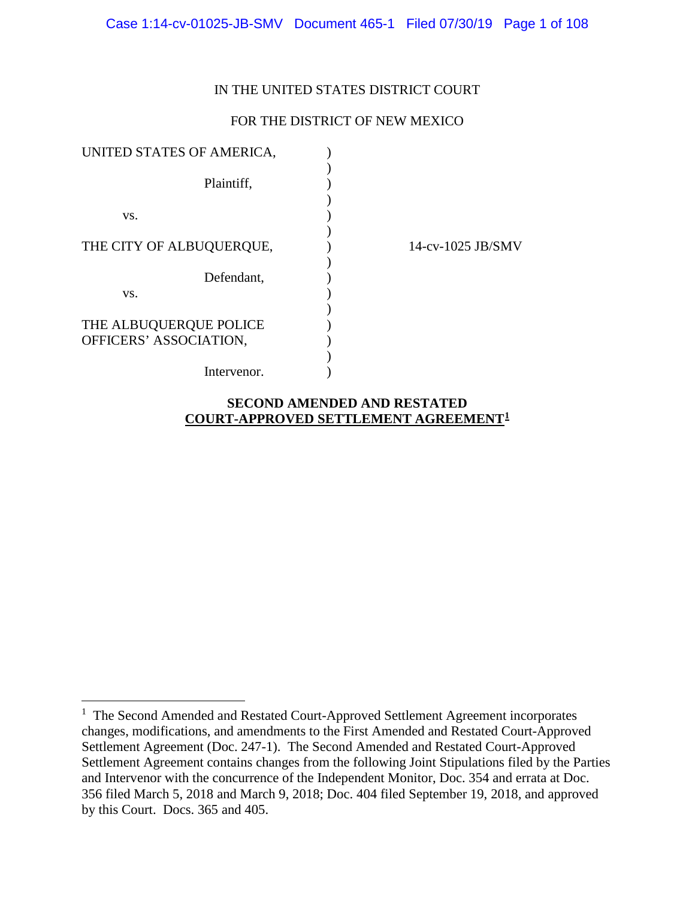## IN THE UNITED STATES DISTRICT COURT

## FOR THE DISTRICT OF NEW MEXICO

| UNITED STATES OF AMERICA, |                   |
|---------------------------|-------------------|
|                           |                   |
| Plaintiff,                |                   |
|                           |                   |
| VS.                       |                   |
|                           |                   |
| THE CITY OF ALBUQUERQUE,  | 14-cv-1025 JB/SMV |
|                           |                   |
| Defendant,                |                   |
| VS.                       |                   |
|                           |                   |
| THE ALBUQUERQUE POLICE    |                   |
| OFFICERS' ASSOCIATION,    |                   |
|                           |                   |
| Intervenor.               |                   |

## **SECOND AMENDED AND RESTATED COURT-APPROVED SETTLEMENT AGREEMENT[1](#page-0-0)**

<span id="page-0-0"></span><sup>&</sup>lt;sup>1</sup> The Second Amended and Restated Court-Approved Settlement Agreement incorporates changes, modifications, and amendments to the First Amended and Restated Court-Approved Settlement Agreement (Doc. 247-1). The Second Amended and Restated Court-Approved Settlement Agreement contains changes from the following Joint Stipulations filed by the Parties and Intervenor with the concurrence of the Independent Monitor, Doc. 354 and errata at Doc. 356 filed March 5, 2018 and March 9, 2018; Doc. 404 filed September 19, 2018, and approved by this Court. Docs. 365 and 405.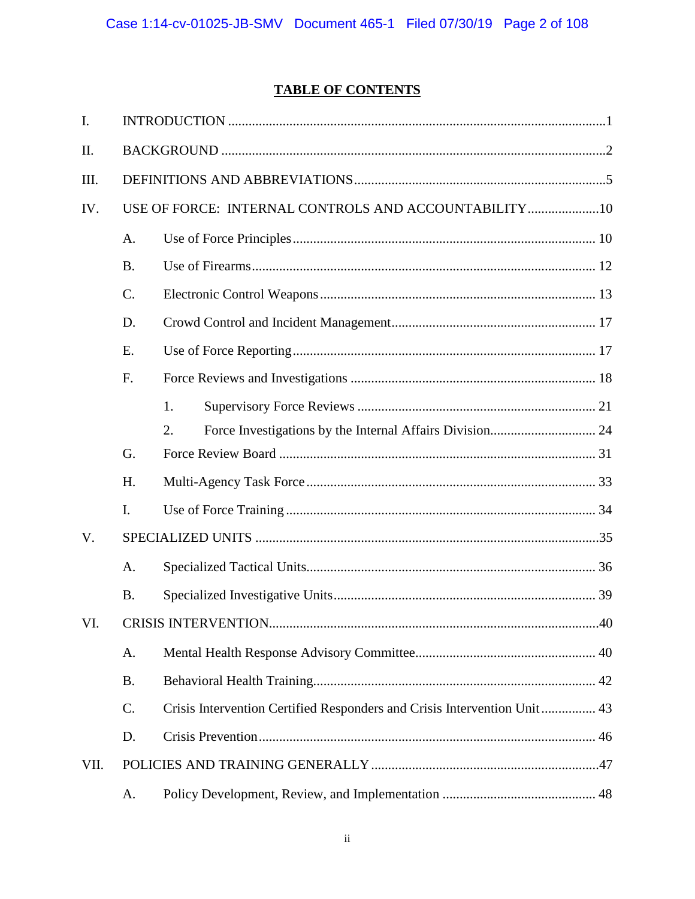## **TABLE OF CONTENTS**

| $\mathbf{I}$ . |                 |                                                                           |  |
|----------------|-----------------|---------------------------------------------------------------------------|--|
| Π.             |                 |                                                                           |  |
| III.           |                 |                                                                           |  |
| IV.            |                 | USE OF FORCE: INTERNAL CONTROLS AND ACCOUNTABILITY10                      |  |
|                | A.              |                                                                           |  |
|                | <b>B.</b>       |                                                                           |  |
|                | $\mathcal{C}$ . |                                                                           |  |
|                | D.              |                                                                           |  |
|                | E.              |                                                                           |  |
|                | F.              |                                                                           |  |
|                |                 | 1.                                                                        |  |
|                |                 | 2.                                                                        |  |
|                | G.              |                                                                           |  |
|                | H.              |                                                                           |  |
|                | I.              |                                                                           |  |
| V.             |                 |                                                                           |  |
|                | A.              |                                                                           |  |
|                | <b>B.</b>       |                                                                           |  |
| VI.            |                 |                                                                           |  |
|                | A.              |                                                                           |  |
|                | <b>B.</b>       |                                                                           |  |
|                | $C$ .           | Crisis Intervention Certified Responders and Crisis Intervention Unit  43 |  |
|                | D.              |                                                                           |  |
| VII.           |                 |                                                                           |  |
|                | A.              |                                                                           |  |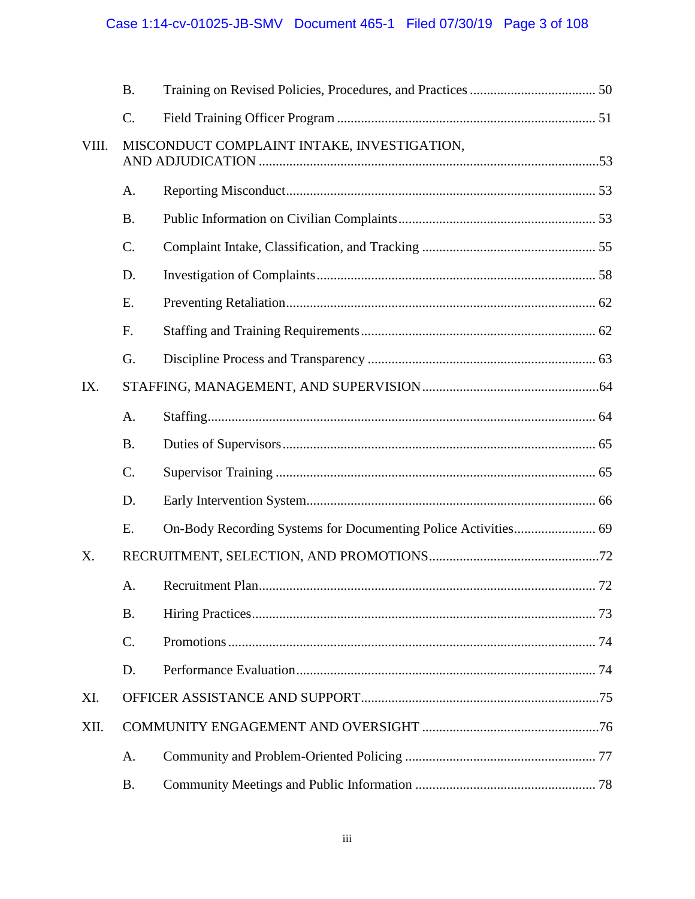# Case 1:14-cv-01025-JB-SMV Document 465-1 Filed 07/30/19 Page 3 of 108

|       | <b>B.</b> |                                                                |    |
|-------|-----------|----------------------------------------------------------------|----|
|       | C.        |                                                                |    |
| VIII. |           | MISCONDUCT COMPLAINT INTAKE, INVESTIGATION,                    |    |
|       | A.        |                                                                |    |
|       | <b>B.</b> |                                                                |    |
|       | C.        |                                                                |    |
|       | D.        |                                                                |    |
|       | E.        |                                                                |    |
|       | F.        |                                                                |    |
|       | G.        |                                                                |    |
| IX.   |           |                                                                |    |
|       | A.        |                                                                |    |
|       | <b>B.</b> |                                                                |    |
|       | C.        |                                                                |    |
|       | D.        |                                                                |    |
|       | E.        | On-Body Recording Systems for Documenting Police Activities 69 |    |
| X.    |           |                                                                |    |
|       | А.        |                                                                | 72 |
|       | <b>B.</b> |                                                                |    |
|       | C.        |                                                                |    |
|       | D.        |                                                                |    |
| XI.   |           |                                                                |    |
| XII.  |           |                                                                |    |
|       | A.        |                                                                |    |
|       | <b>B.</b> |                                                                |    |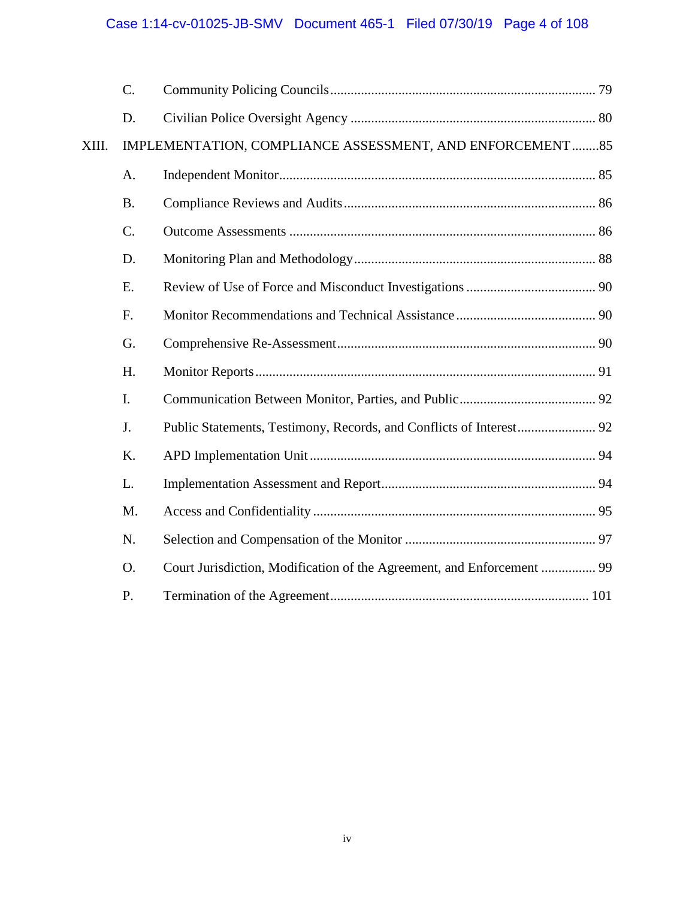# Case 1:14-cv-01025-JB-SMV Document 465-1 Filed 07/30/19 Page 4 of 108

<span id="page-3-0"></span>

|       | C.        |                                                                        |  |
|-------|-----------|------------------------------------------------------------------------|--|
|       | D.        |                                                                        |  |
| XIII. |           | IMPLEMENTATION, COMPLIANCE ASSESSMENT, AND ENFORCEMENT85               |  |
|       | A.        |                                                                        |  |
|       | <b>B.</b> |                                                                        |  |
|       | C.        |                                                                        |  |
|       | D.        |                                                                        |  |
|       | E.        |                                                                        |  |
|       | F.        |                                                                        |  |
|       | G.        |                                                                        |  |
|       | H.        |                                                                        |  |
|       | I.        |                                                                        |  |
|       | J.        |                                                                        |  |
|       | K.        |                                                                        |  |
|       | L.        |                                                                        |  |
|       | M.        |                                                                        |  |
|       | N.        |                                                                        |  |
|       | O.        | Court Jurisdiction, Modification of the Agreement, and Enforcement  99 |  |
|       | P.        |                                                                        |  |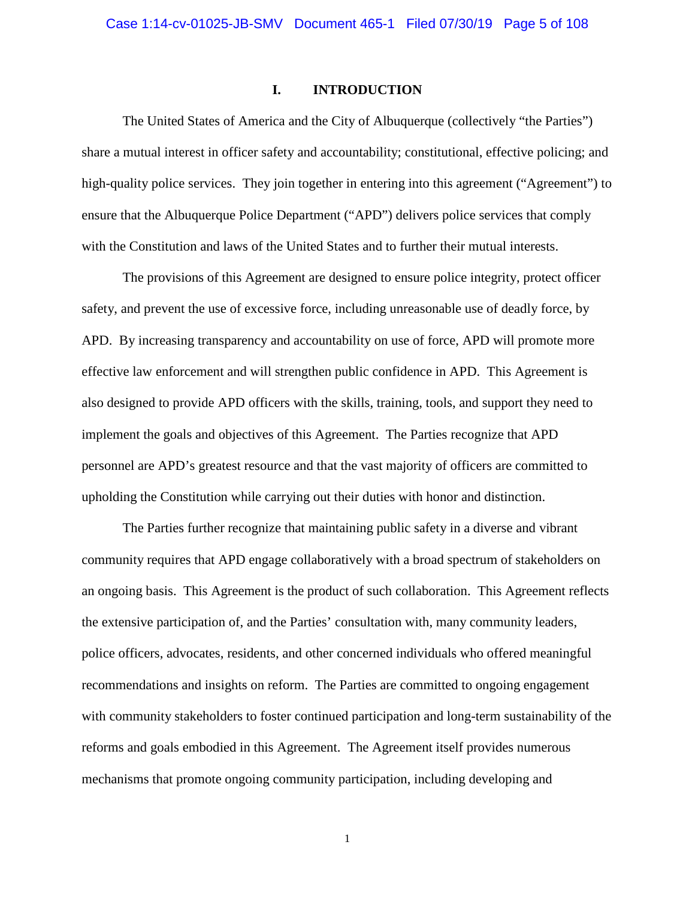#### **I. INTRODUCTION**

The United States of America and the City of Albuquerque (collectively "the Parties") share a mutual interest in officer safety and accountability; constitutional, effective policing; and high-quality police services. They join together in entering into this agreement ("Agreement") to ensure that the Albuquerque Police Department ("APD") delivers police services that comply with the Constitution and laws of the United States and to further their mutual interests.

The provisions of this Agreement are designed to ensure police integrity, protect officer safety, and prevent the use of excessive force, including unreasonable use of deadly force, by APD. By increasing transparency and accountability on use of force, APD will promote more effective law enforcement and will strengthen public confidence in APD. This Agreement is also designed to provide APD officers with the skills, training, tools, and support they need to implement the goals and objectives of this Agreement. The Parties recognize that APD personnel are APD's greatest resource and that the vast majority of officers are committed to upholding the Constitution while carrying out their duties with honor and distinction.

The Parties further recognize that maintaining public safety in a diverse and vibrant community requires that APD engage collaboratively with a broad spectrum of stakeholders on an ongoing basis. This Agreement is the product of such collaboration. This Agreement reflects the extensive participation of, and the Parties' consultation with, many community leaders, police officers, advocates, residents, and other concerned individuals who offered meaningful recommendations and insights on reform. The Parties are committed to ongoing engagement with community stakeholders to foster continued participation and long-term sustainability of the reforms and goals embodied in this Agreement. The Agreement itself provides numerous mechanisms that promote ongoing community participation, including developing and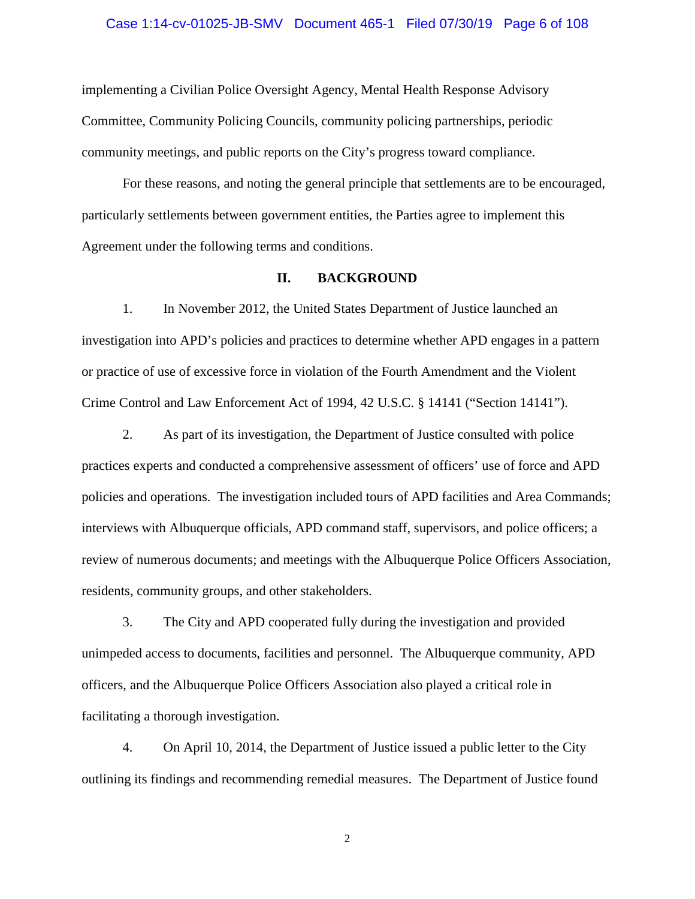#### Case 1:14-cv-01025-JB-SMV Document 465-1 Filed 07/30/19 Page 6 of 108

implementing a Civilian Police Oversight Agency, Mental Health Response Advisory Committee, Community Policing Councils, community policing partnerships, periodic community meetings, and public reports on the City's progress toward compliance.

For these reasons, and noting the general principle that settlements are to be encouraged, particularly settlements between government entities, the Parties agree to implement this Agreement under the following terms and conditions.

#### **II. BACKGROUND**

<span id="page-5-0"></span>1. In November 2012, the United States Department of Justice launched an investigation into APD's policies and practices to determine whether APD engages in a pattern or practice of use of excessive force in violation of the Fourth Amendment and the Violent Crime Control and Law Enforcement Act of 1994, 42 U.S.C. § 14141 ("Section 14141").

2. As part of its investigation, the Department of Justice consulted with police practices experts and conducted a comprehensive assessment of officers' use of force and APD policies and operations. The investigation included tours of APD facilities and Area Commands; interviews with Albuquerque officials, APD command staff, supervisors, and police officers; a review of numerous documents; and meetings with the Albuquerque Police Officers Association, residents, community groups, and other stakeholders.

3. The City and APD cooperated fully during the investigation and provided unimpeded access to documents, facilities and personnel. The Albuquerque community, APD officers, and the Albuquerque Police Officers Association also played a critical role in facilitating a thorough investigation.

4. On April 10, 2014, the Department of Justice issued a public letter to the City outlining its findings and recommending remedial measures. The Department of Justice found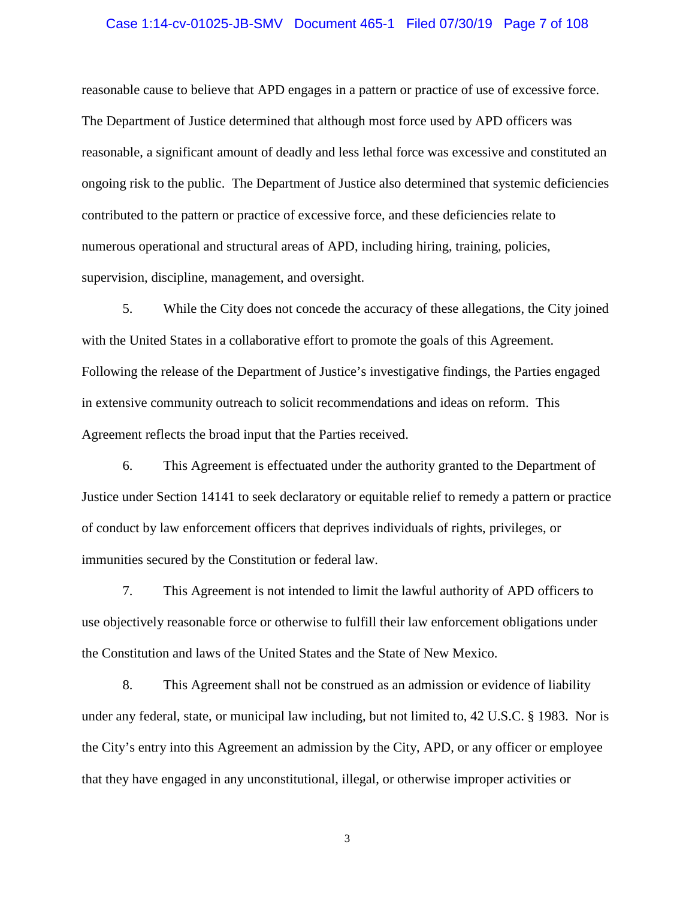#### Case 1:14-cv-01025-JB-SMV Document 465-1 Filed 07/30/19 Page 7 of 108

reasonable cause to believe that APD engages in a pattern or practice of use of excessive force. The Department of Justice determined that although most force used by APD officers was reasonable, a significant amount of deadly and less lethal force was excessive and constituted an ongoing risk to the public. The Department of Justice also determined that systemic deficiencies contributed to the pattern or practice of excessive force, and these deficiencies relate to numerous operational and structural areas of APD, including hiring, training, policies, supervision, discipline, management, and oversight.

5. While the City does not concede the accuracy of these allegations, the City joined with the United States in a collaborative effort to promote the goals of this Agreement. Following the release of the Department of Justice's investigative findings, the Parties engaged in extensive community outreach to solicit recommendations and ideas on reform. This Agreement reflects the broad input that the Parties received.

6. This Agreement is effectuated under the authority granted to the Department of Justice under Section 14141 to seek declaratory or equitable relief to remedy a pattern or practice of conduct by law enforcement officers that deprives individuals of rights, privileges, or immunities secured by the Constitution or federal law.

7. This Agreement is not intended to limit the lawful authority of APD officers to use objectively reasonable force or otherwise to fulfill their law enforcement obligations under the Constitution and laws of the United States and the State of New Mexico.

8. This Agreement shall not be construed as an admission or evidence of liability under any federal, state, or municipal law including, but not limited to, 42 U.S.C. § 1983. Nor is the City's entry into this Agreement an admission by the City, APD, or any officer or employee that they have engaged in any unconstitutional, illegal, or otherwise improper activities or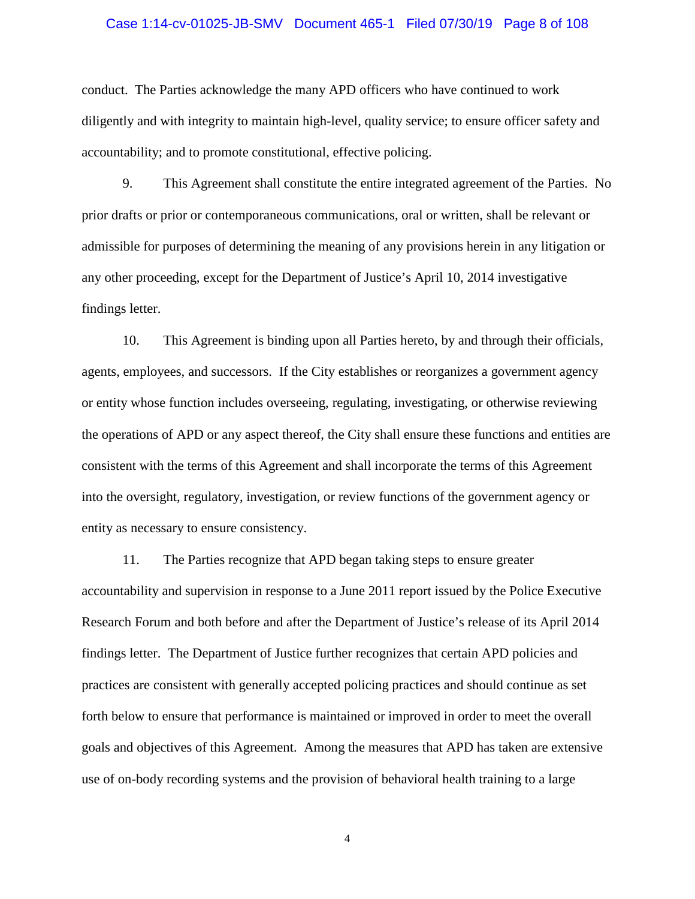#### Case 1:14-cv-01025-JB-SMV Document 465-1 Filed 07/30/19 Page 8 of 108

conduct. The Parties acknowledge the many APD officers who have continued to work diligently and with integrity to maintain high-level, quality service; to ensure officer safety and accountability; and to promote constitutional, effective policing.

9. This Agreement shall constitute the entire integrated agreement of the Parties. No prior drafts or prior or contemporaneous communications, oral or written, shall be relevant or admissible for purposes of determining the meaning of any provisions herein in any litigation or any other proceeding, except for the Department of Justice's April 10, 2014 investigative findings letter.

10. This Agreement is binding upon all Parties hereto, by and through their officials, agents, employees, and successors. If the City establishes or reorganizes a government agency or entity whose function includes overseeing, regulating, investigating, or otherwise reviewing the operations of APD or any aspect thereof, the City shall ensure these functions and entities are consistent with the terms of this Agreement and shall incorporate the terms of this Agreement into the oversight, regulatory, investigation, or review functions of the government agency or entity as necessary to ensure consistency.

11. The Parties recognize that APD began taking steps to ensure greater accountability and supervision in response to a June 2011 report issued by the Police Executive Research Forum and both before and after the Department of Justice's release of its April 2014 findings letter. The Department of Justice further recognizes that certain APD policies and practices are consistent with generally accepted policing practices and should continue as set forth below to ensure that performance is maintained or improved in order to meet the overall goals and objectives of this Agreement. Among the measures that APD has taken are extensive use of on-body recording systems and the provision of behavioral health training to a large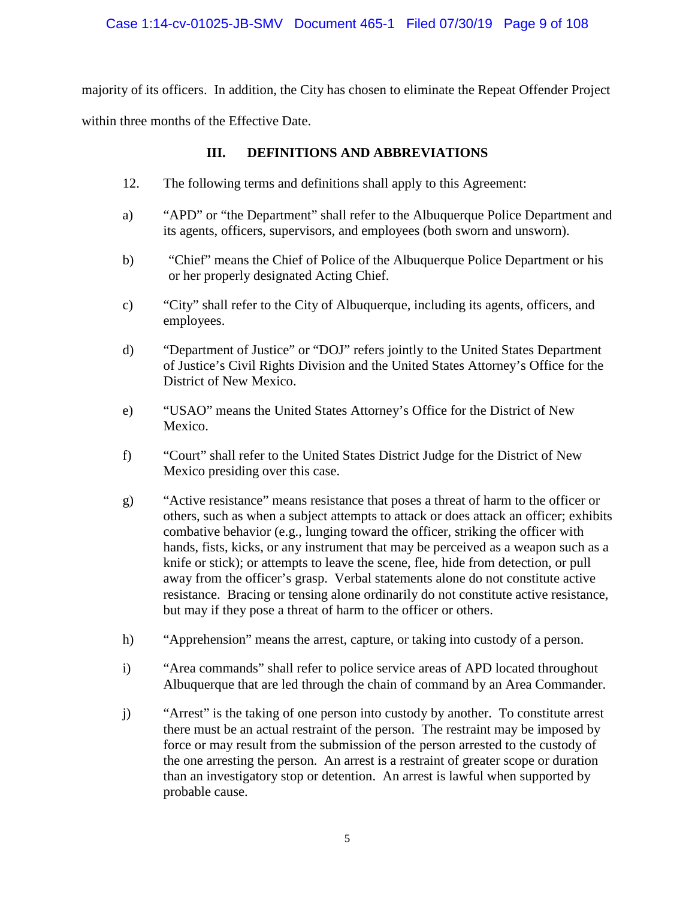majority of its officers. In addition, the City has chosen to eliminate the Repeat Offender Project within three months of the Effective Date.

## **III. DEFINITIONS AND ABBREVIATIONS**

- <span id="page-8-0"></span>12. The following terms and definitions shall apply to this Agreement:
- a) "APD" or "the Department" shall refer to the Albuquerque Police Department and its agents, officers, supervisors, and employees (both sworn and unsworn).
- b) "Chief" means the Chief of Police of the Albuquerque Police Department or his or her properly designated Acting Chief.
- c) "City" shall refer to the City of Albuquerque, including its agents, officers, and employees.
- d) "Department of Justice" or "DOJ" refers jointly to the United States Department of Justice's Civil Rights Division and the United States Attorney's Office for the District of New Mexico.
- e) "USAO" means the United States Attorney's Office for the District of New Mexico.
- f) "Court" shall refer to the United States District Judge for the District of New Mexico presiding over this case.
- g) "Active resistance" means resistance that poses a threat of harm to the officer or others, such as when a subject attempts to attack or does attack an officer; exhibits combative behavior (e.g., lunging toward the officer, striking the officer with hands, fists, kicks, or any instrument that may be perceived as a weapon such as a knife or stick); or attempts to leave the scene, flee, hide from detection, or pull away from the officer's grasp. Verbal statements alone do not constitute active resistance. Bracing or tensing alone ordinarily do not constitute active resistance, but may if they pose a threat of harm to the officer or others.
- h) "Apprehension" means the arrest, capture, or taking into custody of a person.
- i) "Area commands" shall refer to police service areas of APD located throughout Albuquerque that are led through the chain of command by an Area Commander.
- j) "Arrest" is the taking of one person into custody by another. To constitute arrest there must be an actual restraint of the person. The restraint may be imposed by force or may result from the submission of the person arrested to the custody of the one arresting the person. An arrest is a restraint of greater scope or duration than an investigatory stop or detention. An arrest is lawful when supported by probable cause.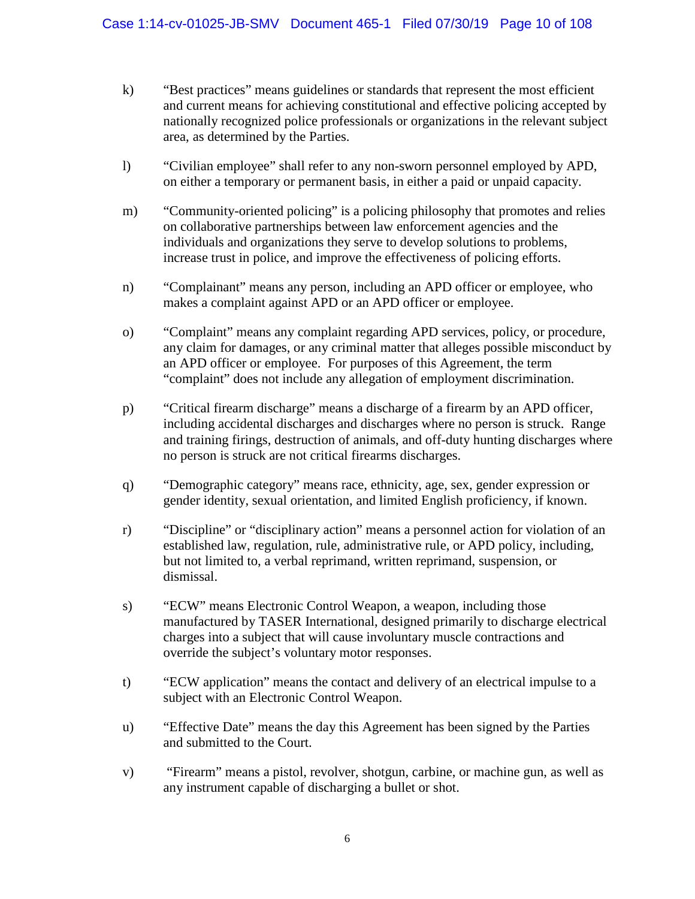- k) "Best practices" means guidelines or standards that represent the most efficient and current means for achieving constitutional and effective policing accepted by nationally recognized police professionals or organizations in the relevant subject area, as determined by the Parties.
- l) "Civilian employee" shall refer to any non-sworn personnel employed by APD, on either a temporary or permanent basis, in either a paid or unpaid capacity.
- m) "Community-oriented policing" is a policing philosophy that promotes and relies on collaborative partnerships between law enforcement agencies and the individuals and organizations they serve to develop solutions to problems, increase trust in police, and improve the effectiveness of policing efforts.
- n) "Complainant" means any person, including an APD officer or employee, who makes a complaint against APD or an APD officer or employee.
- o) "Complaint" means any complaint regarding APD services, policy, or procedure, any claim for damages, or any criminal matter that alleges possible misconduct by an APD officer or employee. For purposes of this Agreement, the term "complaint" does not include any allegation of employment discrimination.
- p) "Critical firearm discharge" means a discharge of a firearm by an APD officer, including accidental discharges and discharges where no person is struck. Range and training firings, destruction of animals, and off-duty hunting discharges where no person is struck are not critical firearms discharges.
- q) "Demographic category" means race, ethnicity, age, sex, gender expression or gender identity, sexual orientation, and limited English proficiency, if known.
- r) "Discipline" or "disciplinary action" means a personnel action for violation of an established law, regulation, rule, administrative rule, or APD policy, including, but not limited to, a verbal reprimand, written reprimand, suspension, or dismissal.
- s) "ECW" means Electronic Control Weapon, a weapon, including those manufactured by TASER International, designed primarily to discharge electrical charges into a subject that will cause involuntary muscle contractions and override the subject's voluntary motor responses.
- t) "ECW application" means the contact and delivery of an electrical impulse to a subject with an Electronic Control Weapon.
- u) "Effective Date" means the day this Agreement has been signed by the Parties and submitted to the Court.
- v) "Firearm" means a pistol, revolver, shotgun, carbine, or machine gun, as well as any instrument capable of discharging a bullet or shot.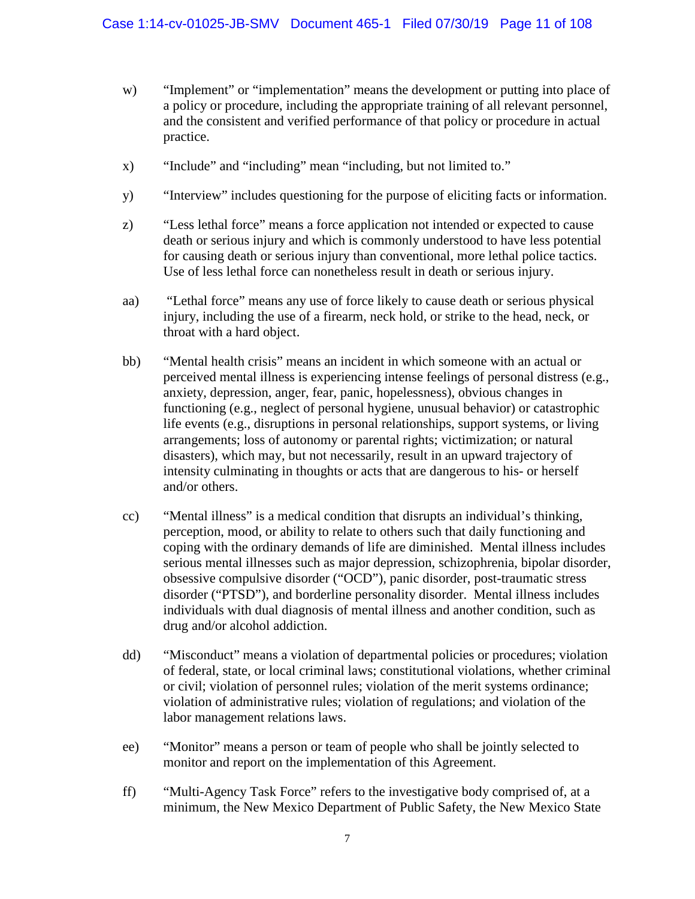- w) "Implement" or "implementation" means the development or putting into place of a policy or procedure, including the appropriate training of all relevant personnel, and the consistent and verified performance of that policy or procedure in actual practice.
- x) "Include" and "including" mean "including, but not limited to."
- y) "Interview" includes questioning for the purpose of eliciting facts or information.
- z) "Less lethal force" means a force application not intended or expected to cause death or serious injury and which is commonly understood to have less potential for causing death or serious injury than conventional, more lethal police tactics. Use of less lethal force can nonetheless result in death or serious injury.
- aa) "Lethal force" means any use of force likely to cause death or serious physical injury, including the use of a firearm, neck hold, or strike to the head, neck, or throat with a hard object.
- bb) "Mental health crisis" means an incident in which someone with an actual or perceived mental illness is experiencing intense feelings of personal distress (e.g., anxiety, depression, anger, fear, panic, hopelessness), obvious changes in functioning (e.g., neglect of personal hygiene, unusual behavior) or catastrophic life events (e.g., disruptions in personal relationships, support systems, or living arrangements; loss of autonomy or parental rights; victimization; or natural disasters), which may, but not necessarily, result in an upward trajectory of intensity culminating in thoughts or acts that are dangerous to his- or herself and/or others.
- cc) "Mental illness" is a medical condition that disrupts an individual's thinking, perception, mood, or ability to relate to others such that daily functioning and coping with the ordinary demands of life are diminished. Mental illness includes serious mental illnesses such as major depression, schizophrenia, bipolar disorder, obsessive compulsive disorder ("OCD"), panic disorder, post-traumatic stress disorder ("PTSD"), and borderline personality disorder. Mental illness includes individuals with dual diagnosis of mental illness and another condition, such as drug and/or alcohol addiction.
- dd) "Misconduct" means a violation of departmental policies or procedures; violation of federal, state, or local criminal laws; constitutional violations, whether criminal or civil; violation of personnel rules; violation of the merit systems ordinance; violation of administrative rules; violation of regulations; and violation of the labor management relations laws.
- ee) "Monitor" means a person or team of people who shall be jointly selected to monitor and report on the implementation of this Agreement.
- ff) "Multi-Agency Task Force" refers to the investigative body comprised of, at a minimum, the New Mexico Department of Public Safety, the New Mexico State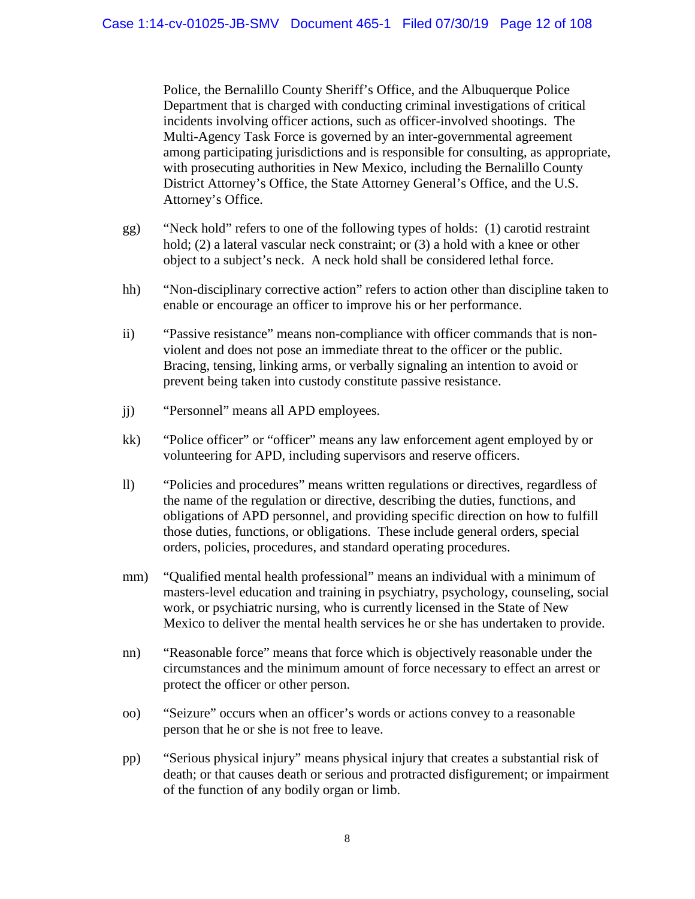Police, the Bernalillo County Sheriff's Office, and the Albuquerque Police Department that is charged with conducting criminal investigations of critical incidents involving officer actions, such as officer-involved shootings. The Multi-Agency Task Force is governed by an inter-governmental agreement among participating jurisdictions and is responsible for consulting, as appropriate, with prosecuting authorities in New Mexico, including the Bernalillo County District Attorney's Office, the State Attorney General's Office, and the U.S. Attorney's Office.

- gg) "Neck hold" refers to one of the following types of holds: (1) carotid restraint hold; (2) a lateral vascular neck constraint; or (3) a hold with a knee or other object to a subject's neck. A neck hold shall be considered lethal force.
- hh) "Non-disciplinary corrective action" refers to action other than discipline taken to enable or encourage an officer to improve his or her performance.
- ii) "Passive resistance" means non-compliance with officer commands that is nonviolent and does not pose an immediate threat to the officer or the public. Bracing, tensing, linking arms, or verbally signaling an intention to avoid or prevent being taken into custody constitute passive resistance.
- jj) "Personnel" means all APD employees.
- kk) "Police officer" or "officer" means any law enforcement agent employed by or volunteering for APD, including supervisors and reserve officers.
- ll) "Policies and procedures" means written regulations or directives, regardless of the name of the regulation or directive, describing the duties, functions, and obligations of APD personnel, and providing specific direction on how to fulfill those duties, functions, or obligations. These include general orders, special orders, policies, procedures, and standard operating procedures.
- mm) "Qualified mental health professional" means an individual with a minimum of masters-level education and training in psychiatry, psychology, counseling, social work, or psychiatric nursing, who is currently licensed in the State of New Mexico to deliver the mental health services he or she has undertaken to provide.
- nn) "Reasonable force" means that force which is objectively reasonable under the circumstances and the minimum amount of force necessary to effect an arrest or protect the officer or other person.
- oo) "Seizure" occurs when an officer's words or actions convey to a reasonable person that he or she is not free to leave.
- pp) "Serious physical injury" means physical injury that creates a substantial risk of death; or that causes death or serious and protracted disfigurement; or impairment of the function of any bodily organ or limb.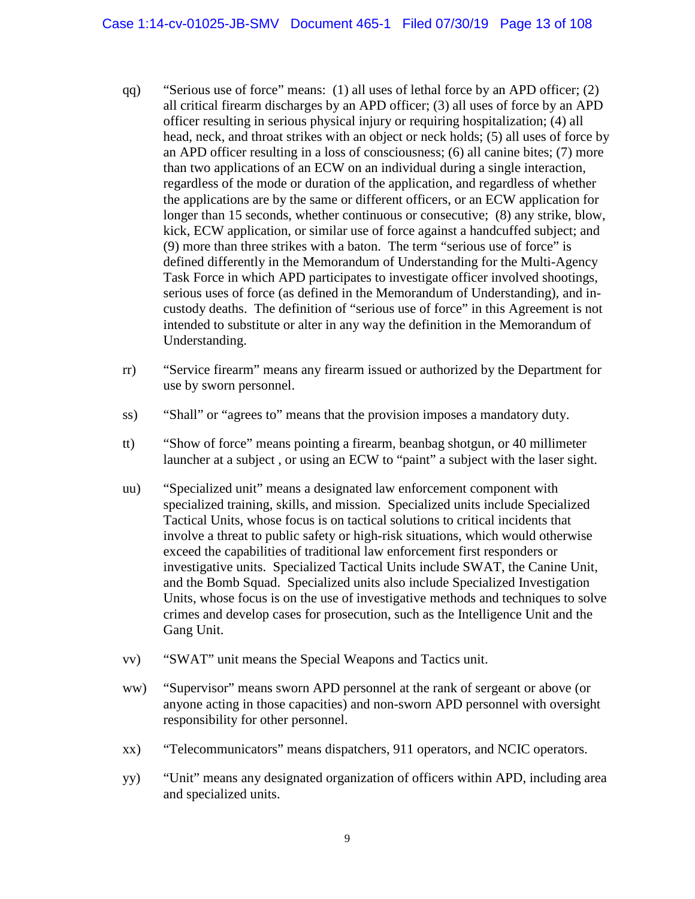- qq) "Serious use of force" means: (1) all uses of lethal force by an APD officer; (2) all critical firearm discharges by an APD officer; (3) all uses of force by an APD officer resulting in serious physical injury or requiring hospitalization; (4) all head, neck, and throat strikes with an object or neck holds; (5) all uses of force by an APD officer resulting in a loss of consciousness; (6) all canine bites; (7) more than two applications of an ECW on an individual during a single interaction, regardless of the mode or duration of the application, and regardless of whether the applications are by the same or different officers, or an ECW application for longer than 15 seconds, whether continuous or consecutive; (8) any strike, blow, kick, ECW application, or similar use of force against a handcuffed subject; and (9) more than three strikes with a baton. The term "serious use of force" is defined differently in the Memorandum of Understanding for the Multi-Agency Task Force in which APD participates to investigate officer involved shootings, serious uses of force (as defined in the Memorandum of Understanding), and incustody deaths. The definition of "serious use of force" in this Agreement is not intended to substitute or alter in any way the definition in the Memorandum of Understanding.
- rr) "Service firearm" means any firearm issued or authorized by the Department for use by sworn personnel.
- ss) "Shall" or "agrees to" means that the provision imposes a mandatory duty.
- tt) "Show of force" means pointing a firearm, beanbag shotgun, or 40 millimeter launcher at a subject , or using an ECW to "paint" a subject with the laser sight.
- uu) "Specialized unit" means a designated law enforcement component with specialized training, skills, and mission. Specialized units include Specialized Tactical Units, whose focus is on tactical solutions to critical incidents that involve a threat to public safety or high-risk situations, which would otherwise exceed the capabilities of traditional law enforcement first responders or investigative units. Specialized Tactical Units include SWAT, the Canine Unit, and the Bomb Squad. Specialized units also include Specialized Investigation Units, whose focus is on the use of investigative methods and techniques to solve crimes and develop cases for prosecution, such as the Intelligence Unit and the Gang Unit.
- vv) "SWAT" unit means the Special Weapons and Tactics unit.
- ww) "Supervisor" means sworn APD personnel at the rank of sergeant or above (or anyone acting in those capacities) and non-sworn APD personnel with oversight responsibility for other personnel.
- xx) "Telecommunicators" means dispatchers, 911 operators, and NCIC operators.
- yy) "Unit" means any designated organization of officers within APD, including area and specialized units.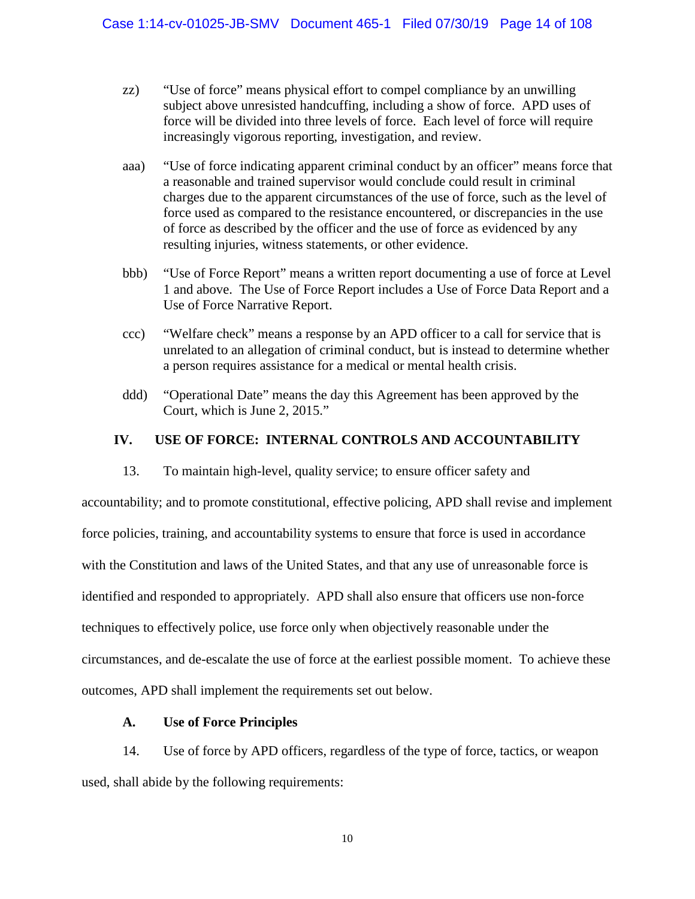- zz) "Use of force" means physical effort to compel compliance by an unwilling subject above unresisted handcuffing, including a show of force. APD uses of force will be divided into three levels of force. Each level of force will require increasingly vigorous reporting, investigation, and review.
- aaa) "Use of force indicating apparent criminal conduct by an officer" means force that a reasonable and trained supervisor would conclude could result in criminal charges due to the apparent circumstances of the use of force, such as the level of force used as compared to the resistance encountered, or discrepancies in the use of force as described by the officer and the use of force as evidenced by any resulting injuries, witness statements, or other evidence.
- bbb) "Use of Force Report" means a written report documenting a use of force at Level 1 and above. The Use of Force Report includes a Use of Force Data Report and a Use of Force Narrative Report.
- ccc) "Welfare check" means a response by an APD officer to a call for service that is unrelated to an allegation of criminal conduct, but is instead to determine whether a person requires assistance for a medical or mental health crisis.
- ddd) "Operational Date" means the day this Agreement has been approved by the Court, which is June 2, 2015."

## <span id="page-13-0"></span>**IV. USE OF FORCE: INTERNAL CONTROLS AND ACCOUNTABILITY**

13. To maintain high-level, quality service; to ensure officer safety and

accountability; and to promote constitutional, effective policing, APD shall revise and implement force policies, training, and accountability systems to ensure that force is used in accordance with the Constitution and laws of the United States, and that any use of unreasonable force is identified and responded to appropriately. APD shall also ensure that officers use non-force techniques to effectively police, use force only when objectively reasonable under the circumstances, and de-escalate the use of force at the earliest possible moment. To achieve these outcomes, APD shall implement the requirements set out below.

## **A. Use of Force Principles**

<span id="page-13-1"></span>14. Use of force by APD officers, regardless of the type of force, tactics, or weapon used, shall abide by the following requirements: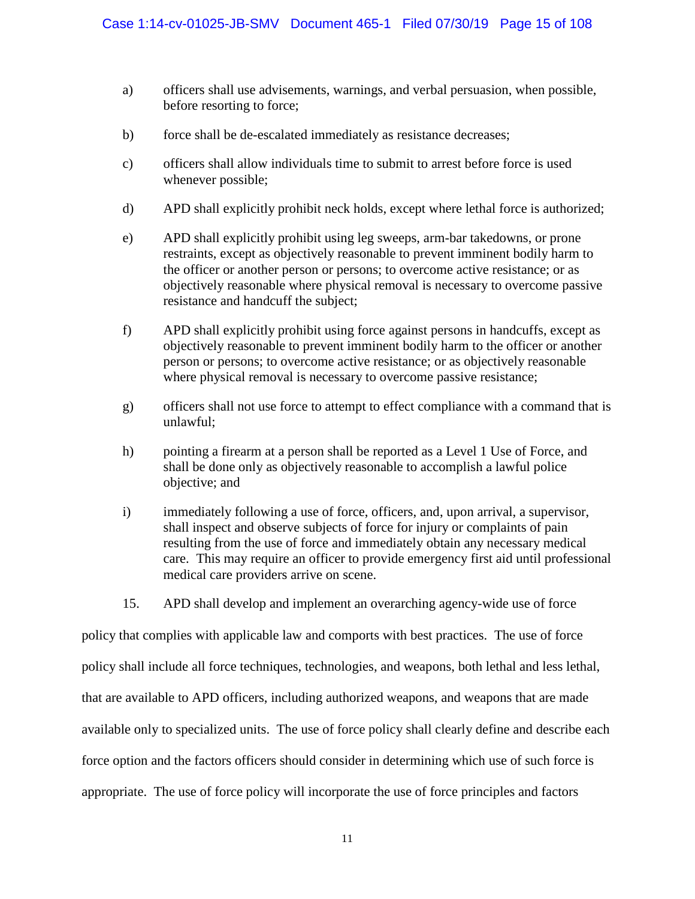- a) officers shall use advisements, warnings, and verbal persuasion, when possible, before resorting to force;
- b) force shall be de-escalated immediately as resistance decreases;
- c) officers shall allow individuals time to submit to arrest before force is used whenever possible;
- d) APD shall explicitly prohibit neck holds, except where lethal force is authorized;
- e) APD shall explicitly prohibit using leg sweeps, arm-bar takedowns, or prone restraints, except as objectively reasonable to prevent imminent bodily harm to the officer or another person or persons; to overcome active resistance; or as objectively reasonable where physical removal is necessary to overcome passive resistance and handcuff the subject;
- f) APD shall explicitly prohibit using force against persons in handcuffs, except as objectively reasonable to prevent imminent bodily harm to the officer or another person or persons; to overcome active resistance; or as objectively reasonable where physical removal is necessary to overcome passive resistance;
- g) officers shall not use force to attempt to effect compliance with a command that is unlawful;
- h) pointing a firearm at a person shall be reported as a Level 1 Use of Force, and shall be done only as objectively reasonable to accomplish a lawful police objective; and
- i) immediately following a use of force, officers, and, upon arrival, a supervisor, shall inspect and observe subjects of force for injury or complaints of pain resulting from the use of force and immediately obtain any necessary medical care. This may require an officer to provide emergency first aid until professional medical care providers arrive on scene.
- 15. APD shall develop and implement an overarching agency-wide use of force

policy that complies with applicable law and comports with best practices. The use of force policy shall include all force techniques, technologies, and weapons, both lethal and less lethal, that are available to APD officers, including authorized weapons, and weapons that are made available only to specialized units. The use of force policy shall clearly define and describe each force option and the factors officers should consider in determining which use of such force is appropriate. The use of force policy will incorporate the use of force principles and factors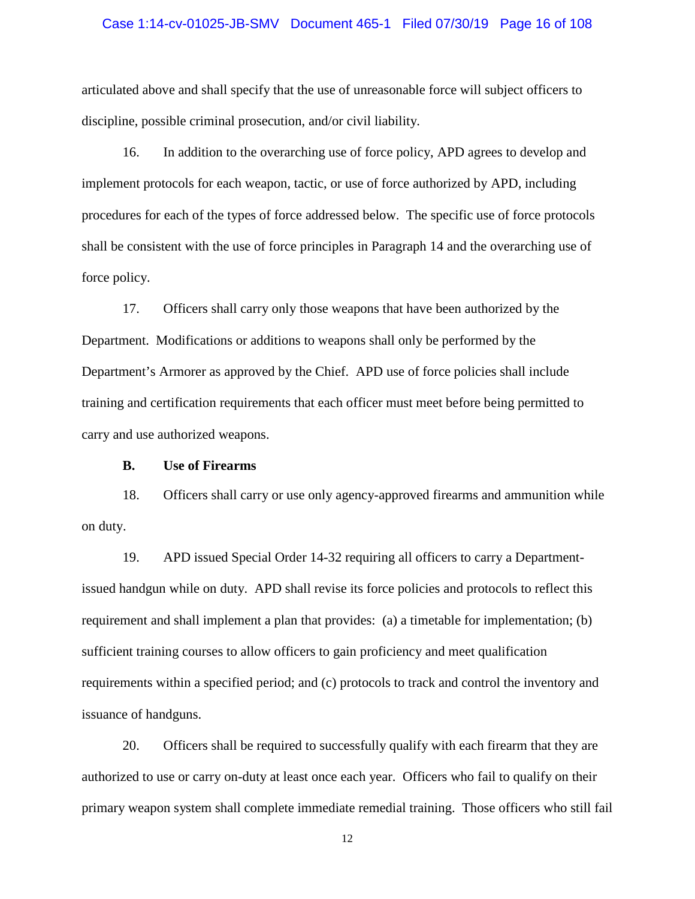#### Case 1:14-cv-01025-JB-SMV Document 465-1 Filed 07/30/19 Page 16 of 108

articulated above and shall specify that the use of unreasonable force will subject officers to discipline, possible criminal prosecution, and/or civil liability.

16. In addition to the overarching use of force policy, APD agrees to develop and implement protocols for each weapon, tactic, or use of force authorized by APD, including procedures for each of the types of force addressed below. The specific use of force protocols shall be consistent with the use of force principles in Paragraph 14 and the overarching use of force policy.

17. Officers shall carry only those weapons that have been authorized by the Department. Modifications or additions to weapons shall only be performed by the Department's Armorer as approved by the Chief. APD use of force policies shall include training and certification requirements that each officer must meet before being permitted to carry and use authorized weapons.

#### **B. Use of Firearms**

<span id="page-15-0"></span>18. Officers shall carry or use only agency-approved firearms and ammunition while on duty.

19. APD issued Special Order 14-32 requiring all officers to carry a Departmentissued handgun while on duty. APD shall revise its force policies and protocols to reflect this requirement and shall implement a plan that provides: (a) a timetable for implementation; (b) sufficient training courses to allow officers to gain proficiency and meet qualification requirements within a specified period; and (c) protocols to track and control the inventory and issuance of handguns.

20. Officers shall be required to successfully qualify with each firearm that they are authorized to use or carry on-duty at least once each year. Officers who fail to qualify on their primary weapon system shall complete immediate remedial training. Those officers who still fail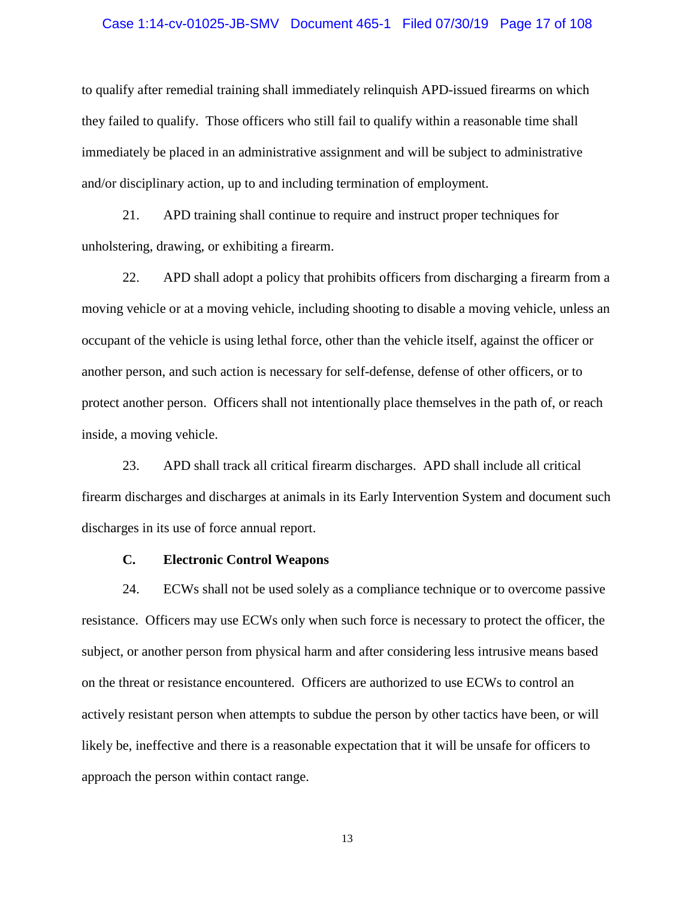#### Case 1:14-cv-01025-JB-SMV Document 465-1 Filed 07/30/19 Page 17 of 108

to qualify after remedial training shall immediately relinquish APD-issued firearms on which they failed to qualify. Those officers who still fail to qualify within a reasonable time shall immediately be placed in an administrative assignment and will be subject to administrative and/or disciplinary action, up to and including termination of employment.

21. APD training shall continue to require and instruct proper techniques for unholstering, drawing, or exhibiting a firearm.

22. APD shall adopt a policy that prohibits officers from discharging a firearm from a moving vehicle or at a moving vehicle, including shooting to disable a moving vehicle, unless an occupant of the vehicle is using lethal force, other than the vehicle itself, against the officer or another person, and such action is necessary for self-defense, defense of other officers, or to protect another person. Officers shall not intentionally place themselves in the path of, or reach inside, a moving vehicle.

23. APD shall track all critical firearm discharges. APD shall include all critical firearm discharges and discharges at animals in its Early Intervention System and document such discharges in its use of force annual report.

#### **C. Electronic Control Weapons**

<span id="page-16-0"></span>24. ECWs shall not be used solely as a compliance technique or to overcome passive resistance. Officers may use ECWs only when such force is necessary to protect the officer, the subject, or another person from physical harm and after considering less intrusive means based on the threat or resistance encountered. Officers are authorized to use ECWs to control an actively resistant person when attempts to subdue the person by other tactics have been, or will likely be, ineffective and there is a reasonable expectation that it will be unsafe for officers to approach the person within contact range.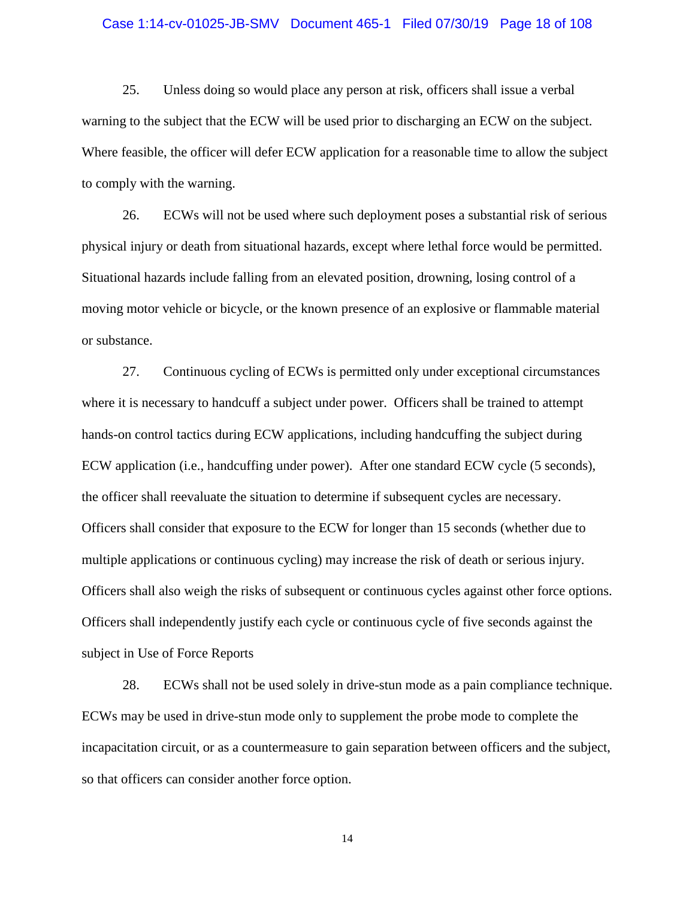#### Case 1:14-cv-01025-JB-SMV Document 465-1 Filed 07/30/19 Page 18 of 108

25. Unless doing so would place any person at risk, officers shall issue a verbal warning to the subject that the ECW will be used prior to discharging an ECW on the subject. Where feasible, the officer will defer ECW application for a reasonable time to allow the subject to comply with the warning.

26. ECWs will not be used where such deployment poses a substantial risk of serious physical injury or death from situational hazards, except where lethal force would be permitted. Situational hazards include falling from an elevated position, drowning, losing control of a moving motor vehicle or bicycle, or the known presence of an explosive or flammable material or substance.

27. Continuous cycling of ECWs is permitted only under exceptional circumstances where it is necessary to handcuff a subject under power. Officers shall be trained to attempt hands-on control tactics during ECW applications, including handcuffing the subject during ECW application (i.e., handcuffing under power). After one standard ECW cycle (5 seconds), the officer shall reevaluate the situation to determine if subsequent cycles are necessary. Officers shall consider that exposure to the ECW for longer than 15 seconds (whether due to multiple applications or continuous cycling) may increase the risk of death or serious injury. Officers shall also weigh the risks of subsequent or continuous cycles against other force options. Officers shall independently justify each cycle or continuous cycle of five seconds against the subject in Use of Force Reports

28. ECWs shall not be used solely in drive-stun mode as a pain compliance technique. ECWs may be used in drive-stun mode only to supplement the probe mode to complete the incapacitation circuit, or as a countermeasure to gain separation between officers and the subject, so that officers can consider another force option.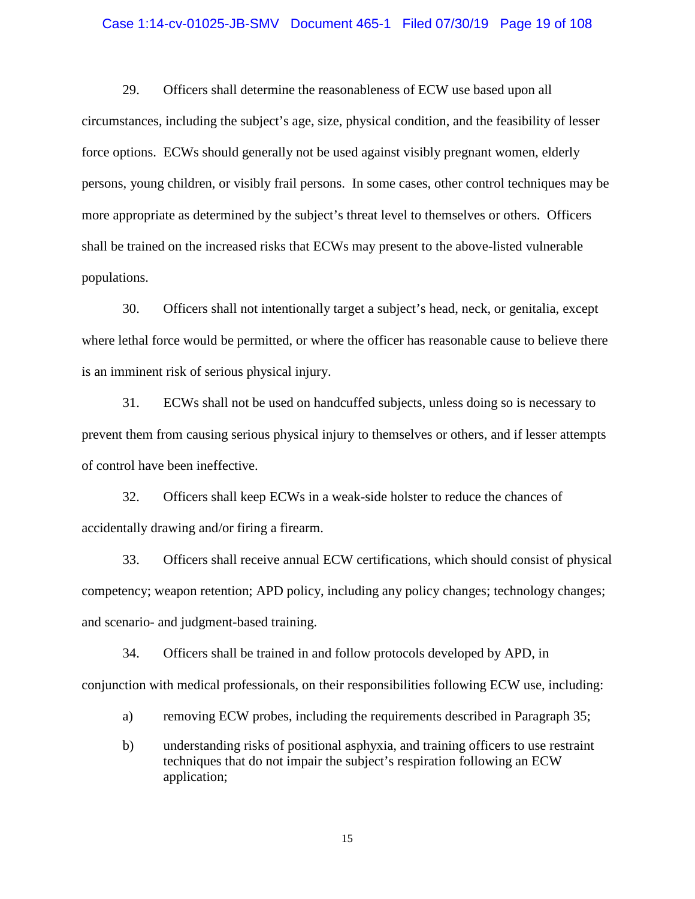#### Case 1:14-cv-01025-JB-SMV Document 465-1 Filed 07/30/19 Page 19 of 108

29. Officers shall determine the reasonableness of ECW use based upon all circumstances, including the subject's age, size, physical condition, and the feasibility of lesser force options. ECWs should generally not be used against visibly pregnant women, elderly persons, young children, or visibly frail persons. In some cases, other control techniques may be more appropriate as determined by the subject's threat level to themselves or others. Officers shall be trained on the increased risks that ECWs may present to the above-listed vulnerable populations.

30. Officers shall not intentionally target a subject's head, neck, or genitalia, except where lethal force would be permitted, or where the officer has reasonable cause to believe there is an imminent risk of serious physical injury.

31. ECWs shall not be used on handcuffed subjects, unless doing so is necessary to prevent them from causing serious physical injury to themselves or others, and if lesser attempts of control have been ineffective.

32. Officers shall keep ECWs in a weak-side holster to reduce the chances of accidentally drawing and/or firing a firearm.

33. Officers shall receive annual ECW certifications, which should consist of physical competency; weapon retention; APD policy, including any policy changes; technology changes; and scenario- and judgment-based training.

34. Officers shall be trained in and follow protocols developed by APD, in conjunction with medical professionals, on their responsibilities following ECW use, including:

a) removing ECW probes, including the requirements described in Paragraph 35;

b) understanding risks of positional asphyxia, and training officers to use restraint techniques that do not impair the subject's respiration following an ECW application;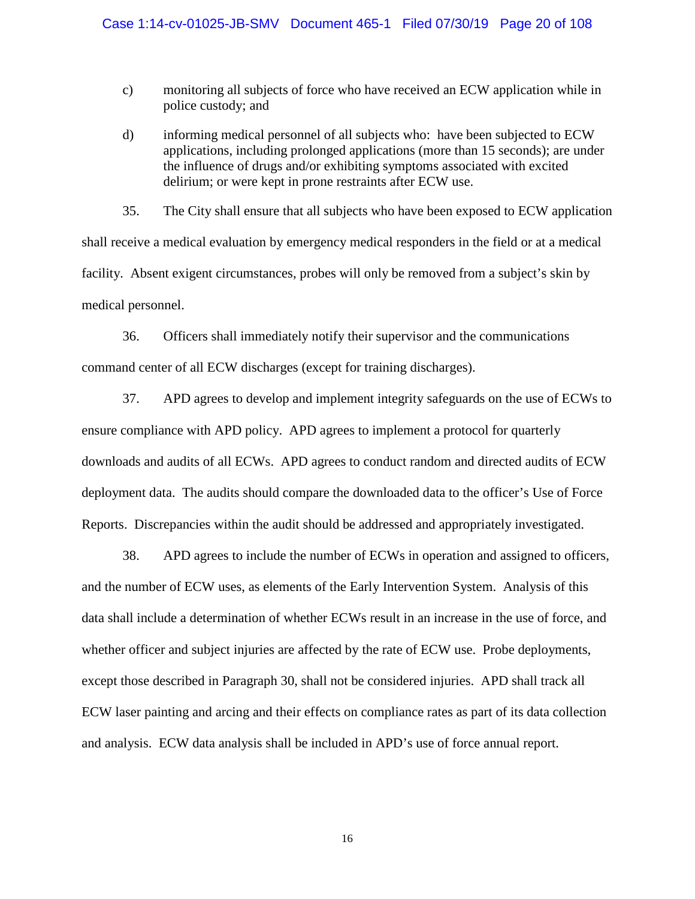- c) monitoring all subjects of force who have received an ECW application while in police custody; and
- d) informing medical personnel of all subjects who: have been subjected to ECW applications, including prolonged applications (more than 15 seconds); are under the influence of drugs and/or exhibiting symptoms associated with excited delirium; or were kept in prone restraints after ECW use.

35. The City shall ensure that all subjects who have been exposed to ECW application shall receive a medical evaluation by emergency medical responders in the field or at a medical facility. Absent exigent circumstances, probes will only be removed from a subject's skin by medical personnel.

36. Officers shall immediately notify their supervisor and the communications command center of all ECW discharges (except for training discharges).

37. APD agrees to develop and implement integrity safeguards on the use of ECWs to ensure compliance with APD policy. APD agrees to implement a protocol for quarterly downloads and audits of all ECWs. APD agrees to conduct random and directed audits of ECW deployment data. The audits should compare the downloaded data to the officer's Use of Force Reports. Discrepancies within the audit should be addressed and appropriately investigated.

38. APD agrees to include the number of ECWs in operation and assigned to officers, and the number of ECW uses, as elements of the Early Intervention System. Analysis of this data shall include a determination of whether ECWs result in an increase in the use of force, and whether officer and subject injuries are affected by the rate of ECW use. Probe deployments, except those described in Paragraph 30, shall not be considered injuries. APD shall track all ECW laser painting and arcing and their effects on compliance rates as part of its data collection and analysis. ECW data analysis shall be included in APD's use of force annual report.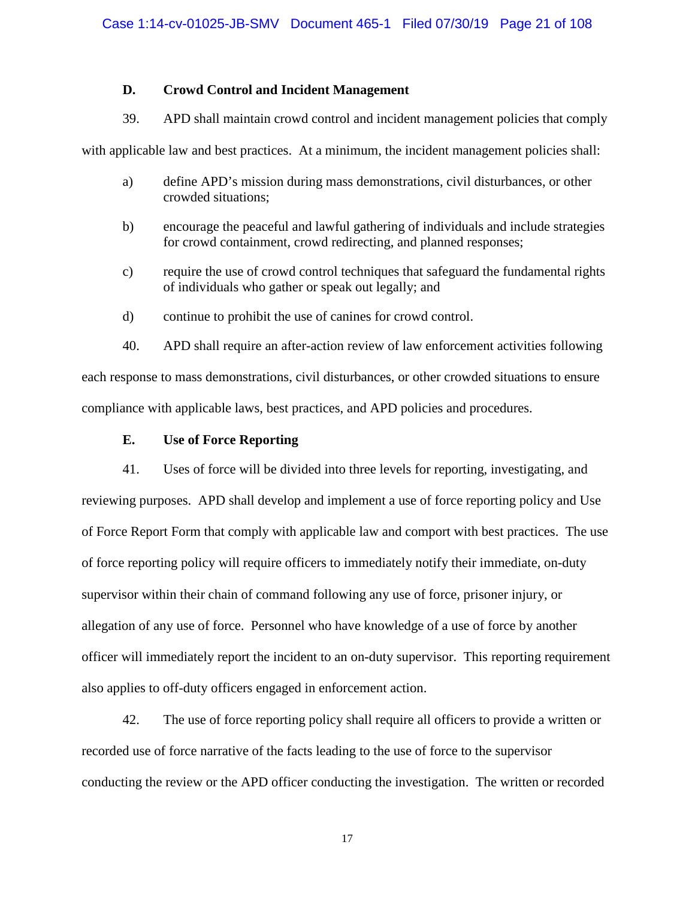## <span id="page-20-0"></span>**D. Crowd Control and Incident Management**

39. APD shall maintain crowd control and incident management policies that comply

with applicable law and best practices. At a minimum, the incident management policies shall:

- a) define APD's mission during mass demonstrations, civil disturbances, or other crowded situations;
- b) encourage the peaceful and lawful gathering of individuals and include strategies for crowd containment, crowd redirecting, and planned responses;
- c) require the use of crowd control techniques that safeguard the fundamental rights of individuals who gather or speak out legally; and
- d) continue to prohibit the use of canines for crowd control.
- 40. APD shall require an after-action review of law enforcement activities following

each response to mass demonstrations, civil disturbances, or other crowded situations to ensure compliance with applicable laws, best practices, and APD policies and procedures.

## **E. Use of Force Reporting**

<span id="page-20-1"></span>41. Uses of force will be divided into three levels for reporting, investigating, and reviewing purposes. APD shall develop and implement a use of force reporting policy and Use of Force Report Form that comply with applicable law and comport with best practices. The use of force reporting policy will require officers to immediately notify their immediate, on-duty supervisor within their chain of command following any use of force, prisoner injury, or allegation of any use of force. Personnel who have knowledge of a use of force by another officer will immediately report the incident to an on-duty supervisor. This reporting requirement also applies to off-duty officers engaged in enforcement action.

42. The use of force reporting policy shall require all officers to provide a written or recorded use of force narrative of the facts leading to the use of force to the supervisor conducting the review or the APD officer conducting the investigation. The written or recorded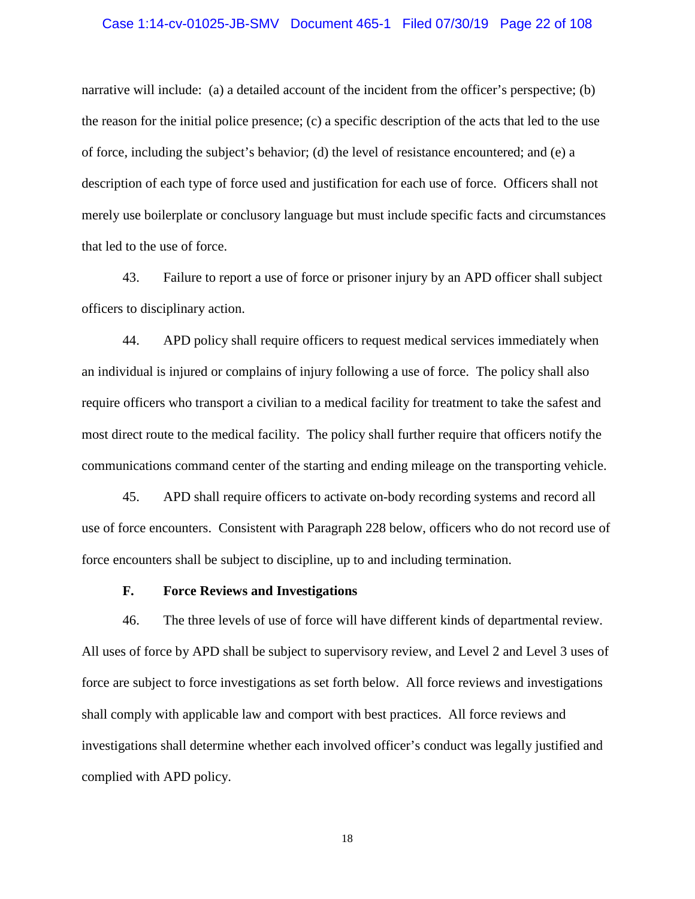#### Case 1:14-cv-01025-JB-SMV Document 465-1 Filed 07/30/19 Page 22 of 108

narrative will include: (a) a detailed account of the incident from the officer's perspective; (b) the reason for the initial police presence; (c) a specific description of the acts that led to the use of force, including the subject's behavior; (d) the level of resistance encountered; and (e) a description of each type of force used and justification for each use of force. Officers shall not merely use boilerplate or conclusory language but must include specific facts and circumstances that led to the use of force.

43. Failure to report a use of force or prisoner injury by an APD officer shall subject officers to disciplinary action.

44. APD policy shall require officers to request medical services immediately when an individual is injured or complains of injury following a use of force. The policy shall also require officers who transport a civilian to a medical facility for treatment to take the safest and most direct route to the medical facility. The policy shall further require that officers notify the communications command center of the starting and ending mileage on the transporting vehicle.

45. APD shall require officers to activate on-body recording systems and record all use of force encounters. Consistent with Paragraph 228 below, officers who do not record use of force encounters shall be subject to discipline, up to and including termination.

#### **F. Force Reviews and Investigations**

<span id="page-21-0"></span>46. The three levels of use of force will have different kinds of departmental review. All uses of force by APD shall be subject to supervisory review, and Level 2 and Level 3 uses of force are subject to force investigations as set forth below. All force reviews and investigations shall comply with applicable law and comport with best practices. All force reviews and investigations shall determine whether each involved officer's conduct was legally justified and complied with APD policy.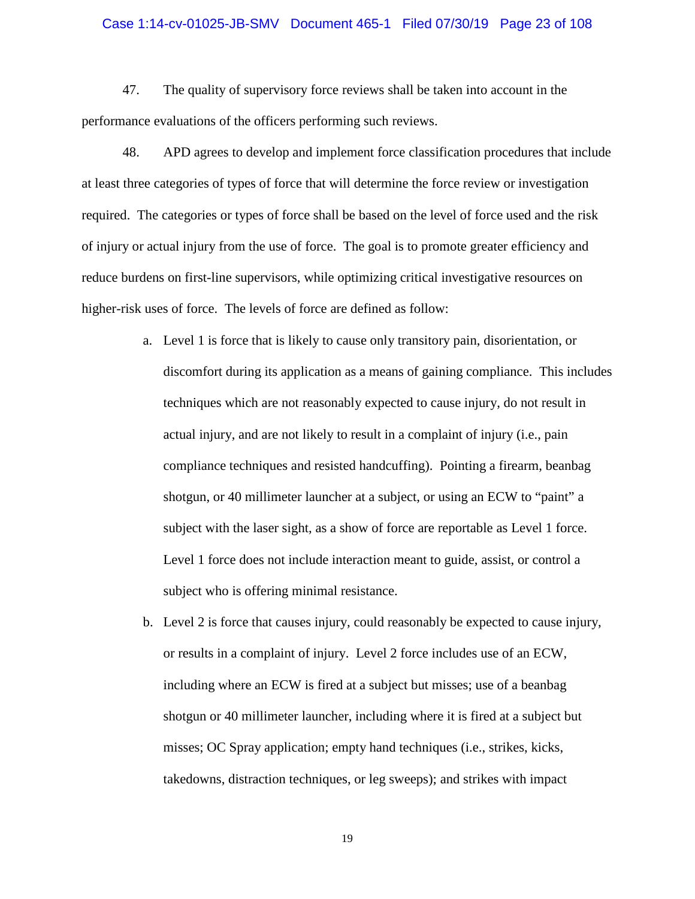#### Case 1:14-cv-01025-JB-SMV Document 465-1 Filed 07/30/19 Page 23 of 108

47. The quality of supervisory force reviews shall be taken into account in the performance evaluations of the officers performing such reviews.

48. APD agrees to develop and implement force classification procedures that include at least three categories of types of force that will determine the force review or investigation required. The categories or types of force shall be based on the level of force used and the risk of injury or actual injury from the use of force. The goal is to promote greater efficiency and reduce burdens on first-line supervisors, while optimizing critical investigative resources on higher-risk uses of force. The levels of force are defined as follow:

- a. Level 1 is force that is likely to cause only transitory pain, disorientation, or discomfort during its application as a means of gaining compliance. This includes techniques which are not reasonably expected to cause injury, do not result in actual injury, and are not likely to result in a complaint of injury (i.e., pain compliance techniques and resisted handcuffing). Pointing a firearm, beanbag shotgun, or 40 millimeter launcher at a subject, or using an ECW to "paint" a subject with the laser sight, as a show of force are reportable as Level 1 force. Level 1 force does not include interaction meant to guide, assist, or control a subject who is offering minimal resistance.
- b. Level 2 is force that causes injury, could reasonably be expected to cause injury, or results in a complaint of injury. Level 2 force includes use of an ECW, including where an ECW is fired at a subject but misses; use of a beanbag shotgun or 40 millimeter launcher, including where it is fired at a subject but misses; OC Spray application; empty hand techniques (i.e., strikes, kicks, takedowns, distraction techniques, or leg sweeps); and strikes with impact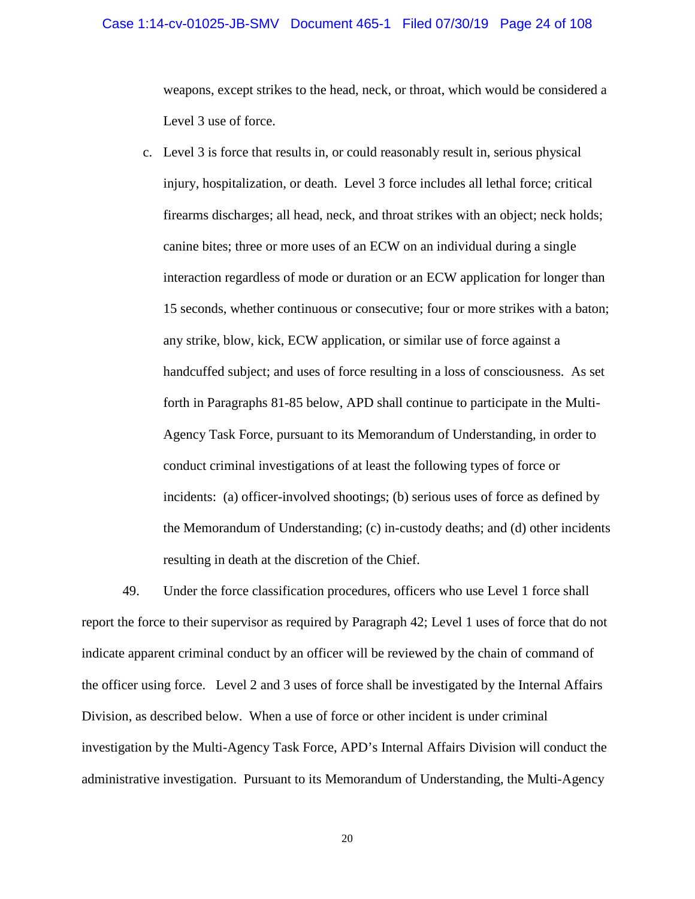#### Case 1:14-cv-01025-JB-SMV Document 465-1 Filed 07/30/19 Page 24 of 108

weapons, except strikes to the head, neck, or throat, which would be considered a Level 3 use of force.

c. Level 3 is force that results in, or could reasonably result in, serious physical injury, hospitalization, or death. Level 3 force includes all lethal force; critical firearms discharges; all head, neck, and throat strikes with an object; neck holds; canine bites; three or more uses of an ECW on an individual during a single interaction regardless of mode or duration or an ECW application for longer than 15 seconds, whether continuous or consecutive; four or more strikes with a baton; any strike, blow, kick, ECW application, or similar use of force against a handcuffed subject; and uses of force resulting in a loss of consciousness. As set forth in Paragraphs 81-85 below, APD shall continue to participate in the Multi-Agency Task Force, pursuant to its Memorandum of Understanding, in order to conduct criminal investigations of at least the following types of force or incidents: (a) officer-involved shootings; (b) serious uses of force as defined by the Memorandum of Understanding; (c) in-custody deaths; and (d) other incidents resulting in death at the discretion of the Chief.

49. Under the force classification procedures, officers who use Level 1 force shall report the force to their supervisor as required by Paragraph 42; Level 1 uses of force that do not indicate apparent criminal conduct by an officer will be reviewed by the chain of command of the officer using force. Level 2 and 3 uses of force shall be investigated by the Internal Affairs Division, as described below. When a use of force or other incident is under criminal investigation by the Multi-Agency Task Force, APD's Internal Affairs Division will conduct the administrative investigation. Pursuant to its Memorandum of Understanding, the Multi-Agency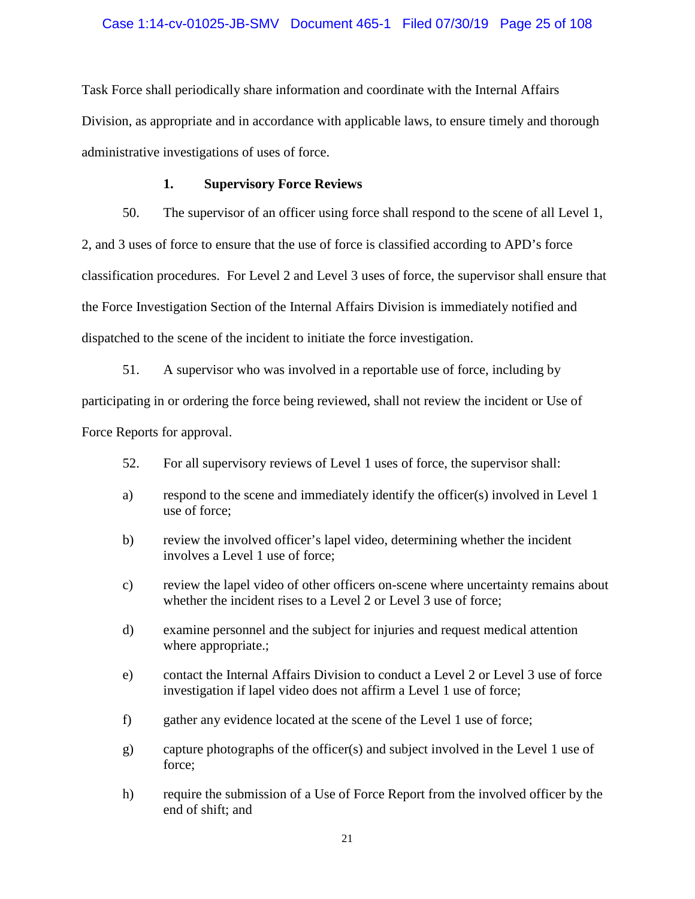## Case 1:14-cv-01025-JB-SMV Document 465-1 Filed 07/30/19 Page 25 of 108

Task Force shall periodically share information and coordinate with the Internal Affairs Division, as appropriate and in accordance with applicable laws, to ensure timely and thorough administrative investigations of uses of force.

## **1. Supervisory Force Reviews**

<span id="page-24-0"></span>50. The supervisor of an officer using force shall respond to the scene of all Level 1, 2, and 3 uses of force to ensure that the use of force is classified according to APD's force classification procedures. For Level 2 and Level 3 uses of force, the supervisor shall ensure that the Force Investigation Section of the Internal Affairs Division is immediately notified and dispatched to the scene of the incident to initiate the force investigation.

51. A supervisor who was involved in a reportable use of force, including by participating in or ordering the force being reviewed, shall not review the incident or Use of Force Reports for approval.

- 52. For all supervisory reviews of Level 1 uses of force, the supervisor shall:
- a) respond to the scene and immediately identify the officer(s) involved in Level 1 use of force;
- b) review the involved officer's lapel video, determining whether the incident involves a Level 1 use of force;
- c) review the lapel video of other officers on-scene where uncertainty remains about whether the incident rises to a Level 2 or Level 3 use of force;
- d) examine personnel and the subject for injuries and request medical attention where appropriate.;
- e) contact the Internal Affairs Division to conduct a Level 2 or Level 3 use of force investigation if lapel video does not affirm a Level 1 use of force;
- f) gather any evidence located at the scene of the Level 1 use of force;
- g) capture photographs of the officer(s) and subject involved in the Level 1 use of force;
- h) require the submission of a Use of Force Report from the involved officer by the end of shift; and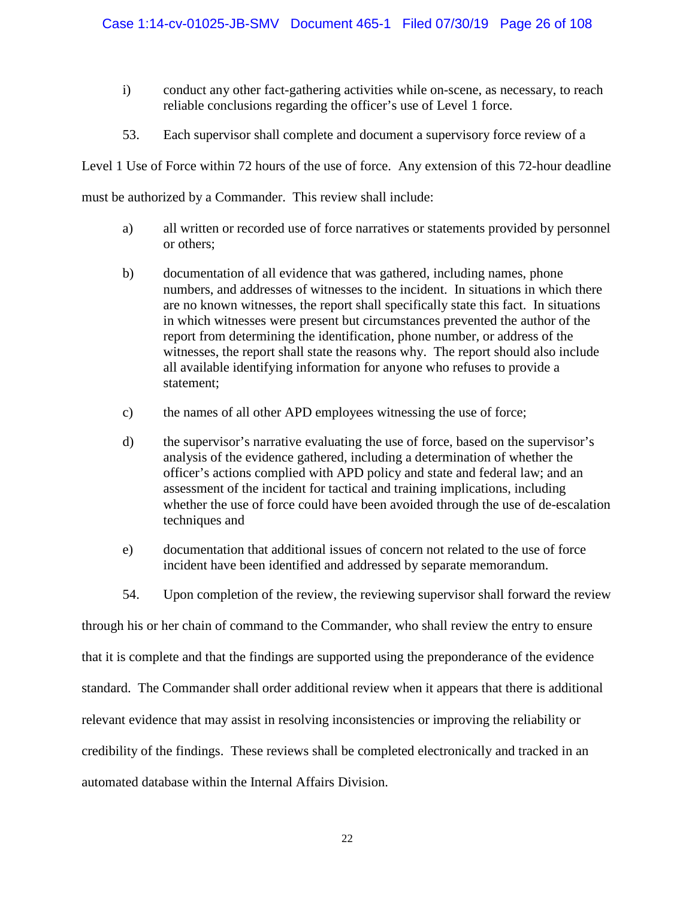- i) conduct any other fact-gathering activities while on-scene, as necessary, to reach reliable conclusions regarding the officer's use of Level 1 force.
- 53. Each supervisor shall complete and document a supervisory force review of a

Level 1 Use of Force within 72 hours of the use of force. Any extension of this 72-hour deadline

must be authorized by a Commander. This review shall include:

- a) all written or recorded use of force narratives or statements provided by personnel or others;
- b) documentation of all evidence that was gathered, including names, phone numbers, and addresses of witnesses to the incident. In situations in which there are no known witnesses, the report shall specifically state this fact. In situations in which witnesses were present but circumstances prevented the author of the report from determining the identification, phone number, or address of the witnesses, the report shall state the reasons why. The report should also include all available identifying information for anyone who refuses to provide a statement;
- c) the names of all other APD employees witnessing the use of force;
- d) the supervisor's narrative evaluating the use of force, based on the supervisor's analysis of the evidence gathered, including a determination of whether the officer's actions complied with APD policy and state and federal law; and an assessment of the incident for tactical and training implications, including whether the use of force could have been avoided through the use of de-escalation techniques and
- e) documentation that additional issues of concern not related to the use of force incident have been identified and addressed by separate memorandum.
- 54. Upon completion of the review, the reviewing supervisor shall forward the review

through his or her chain of command to the Commander, who shall review the entry to ensure that it is complete and that the findings are supported using the preponderance of the evidence standard. The Commander shall order additional review when it appears that there is additional relevant evidence that may assist in resolving inconsistencies or improving the reliability or credibility of the findings. These reviews shall be completed electronically and tracked in an automated database within the Internal Affairs Division.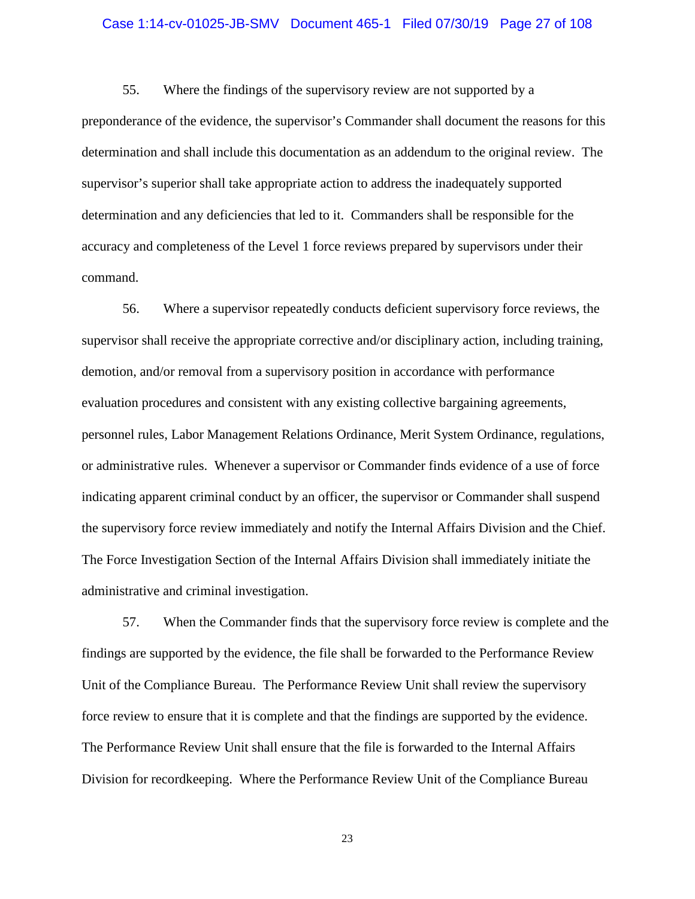#### Case 1:14-cv-01025-JB-SMV Document 465-1 Filed 07/30/19 Page 27 of 108

55. Where the findings of the supervisory review are not supported by a

preponderance of the evidence, the supervisor's Commander shall document the reasons for this determination and shall include this documentation as an addendum to the original review. The supervisor's superior shall take appropriate action to address the inadequately supported determination and any deficiencies that led to it. Commanders shall be responsible for the accuracy and completeness of the Level 1 force reviews prepared by supervisors under their command.

56. Where a supervisor repeatedly conducts deficient supervisory force reviews, the supervisor shall receive the appropriate corrective and/or disciplinary action, including training, demotion, and/or removal from a supervisory position in accordance with performance evaluation procedures and consistent with any existing collective bargaining agreements, personnel rules, Labor Management Relations Ordinance, Merit System Ordinance, regulations, or administrative rules. Whenever a supervisor or Commander finds evidence of a use of force indicating apparent criminal conduct by an officer, the supervisor or Commander shall suspend the supervisory force review immediately and notify the Internal Affairs Division and the Chief. The Force Investigation Section of the Internal Affairs Division shall immediately initiate the administrative and criminal investigation.

57. When the Commander finds that the supervisory force review is complete and the findings are supported by the evidence, the file shall be forwarded to the Performance Review Unit of the Compliance Bureau. The Performance Review Unit shall review the supervisory force review to ensure that it is complete and that the findings are supported by the evidence. The Performance Review Unit shall ensure that the file is forwarded to the Internal Affairs Division for recordkeeping. Where the Performance Review Unit of the Compliance Bureau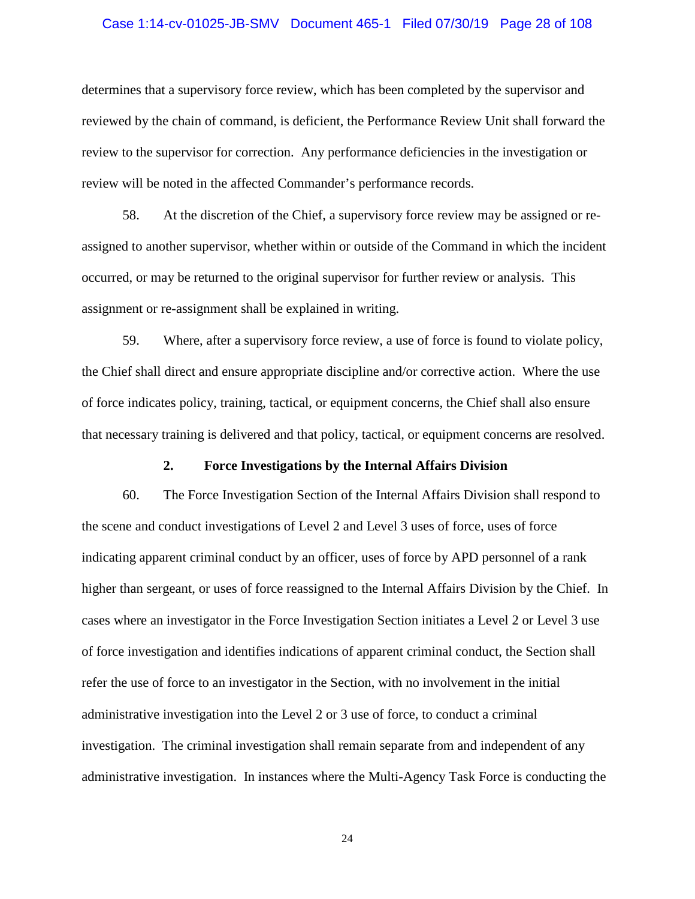#### Case 1:14-cv-01025-JB-SMV Document 465-1 Filed 07/30/19 Page 28 of 108

determines that a supervisory force review, which has been completed by the supervisor and reviewed by the chain of command, is deficient, the Performance Review Unit shall forward the review to the supervisor for correction. Any performance deficiencies in the investigation or review will be noted in the affected Commander's performance records.

58. At the discretion of the Chief, a supervisory force review may be assigned or reassigned to another supervisor, whether within or outside of the Command in which the incident occurred, or may be returned to the original supervisor for further review or analysis. This assignment or re-assignment shall be explained in writing.

59. Where, after a supervisory force review, a use of force is found to violate policy, the Chief shall direct and ensure appropriate discipline and/or corrective action. Where the use of force indicates policy, training, tactical, or equipment concerns, the Chief shall also ensure that necessary training is delivered and that policy, tactical, or equipment concerns are resolved.

#### **2. Force Investigations by the Internal Affairs Division**

<span id="page-27-0"></span>60. The Force Investigation Section of the Internal Affairs Division shall respond to the scene and conduct investigations of Level 2 and Level 3 uses of force, uses of force indicating apparent criminal conduct by an officer, uses of force by APD personnel of a rank higher than sergeant, or uses of force reassigned to the Internal Affairs Division by the Chief. In cases where an investigator in the Force Investigation Section initiates a Level 2 or Level 3 use of force investigation and identifies indications of apparent criminal conduct, the Section shall refer the use of force to an investigator in the Section, with no involvement in the initial administrative investigation into the Level 2 or 3 use of force, to conduct a criminal investigation. The criminal investigation shall remain separate from and independent of any administrative investigation. In instances where the Multi-Agency Task Force is conducting the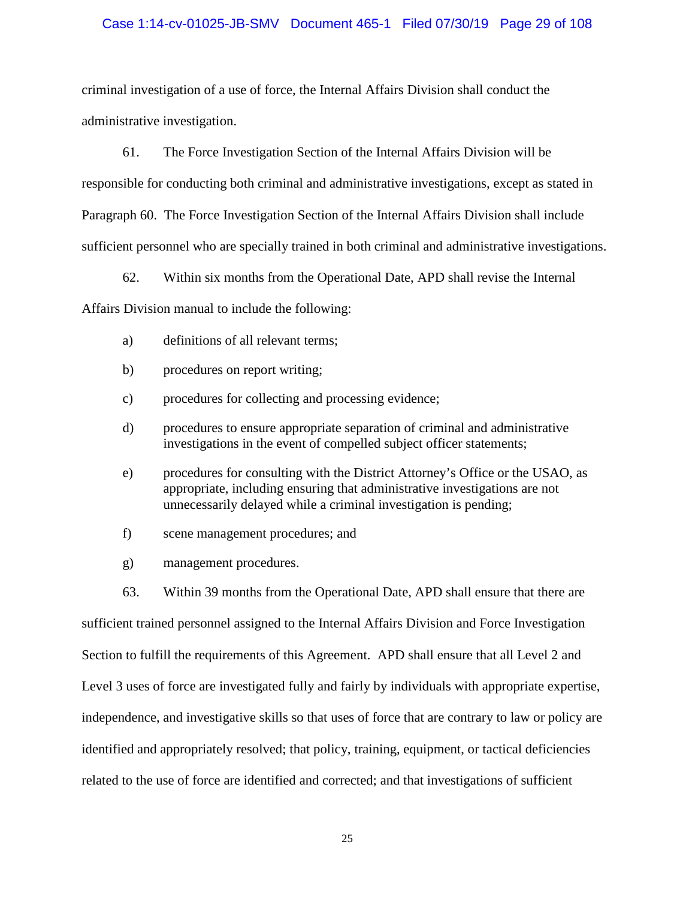#### Case 1:14-cv-01025-JB-SMV Document 465-1 Filed 07/30/19 Page 29 of 108

criminal investigation of a use of force, the Internal Affairs Division shall conduct the administrative investigation.

61. The Force Investigation Section of the Internal Affairs Division will be

responsible for conducting both criminal and administrative investigations, except as stated in

Paragraph 60. The Force Investigation Section of the Internal Affairs Division shall include

sufficient personnel who are specially trained in both criminal and administrative investigations.

62. Within six months from the Operational Date, APD shall revise the Internal

Affairs Division manual to include the following:

- a) definitions of all relevant terms;
- b) procedures on report writing;
- c) procedures for collecting and processing evidence;
- d) procedures to ensure appropriate separation of criminal and administrative investigations in the event of compelled subject officer statements;
- e) procedures for consulting with the District Attorney's Office or the USAO, as appropriate, including ensuring that administrative investigations are not unnecessarily delayed while a criminal investigation is pending;
- f) scene management procedures; and
- g) management procedures.

63. Within 39 months from the Operational Date, APD shall ensure that there are sufficient trained personnel assigned to the Internal Affairs Division and Force Investigation Section to fulfill the requirements of this Agreement. APD shall ensure that all Level 2 and Level 3 uses of force are investigated fully and fairly by individuals with appropriate expertise, independence, and investigative skills so that uses of force that are contrary to law or policy are identified and appropriately resolved; that policy, training, equipment, or tactical deficiencies related to the use of force are identified and corrected; and that investigations of sufficient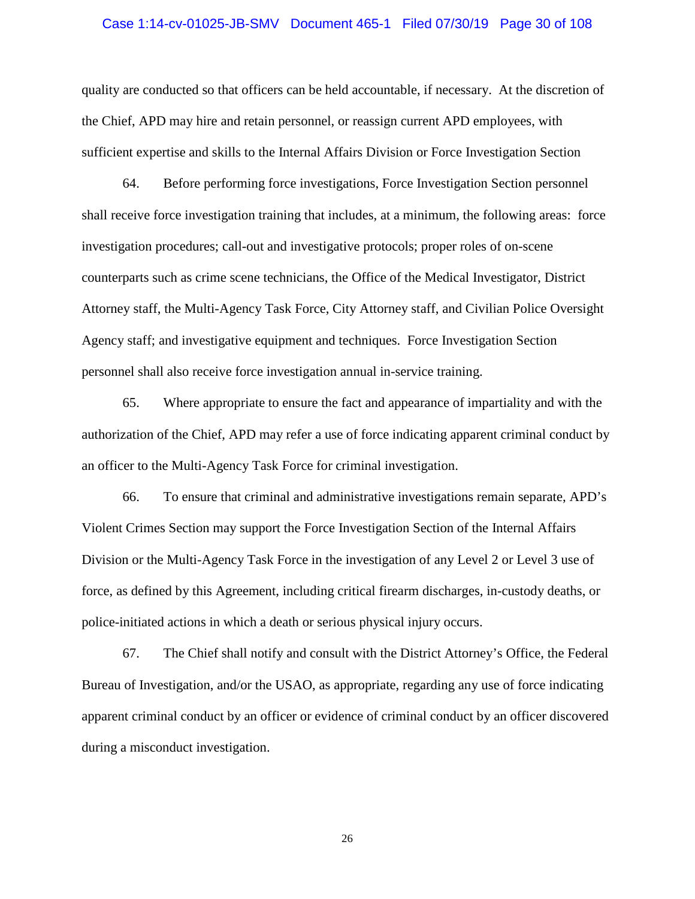#### Case 1:14-cv-01025-JB-SMV Document 465-1 Filed 07/30/19 Page 30 of 108

quality are conducted so that officers can be held accountable, if necessary. At the discretion of the Chief, APD may hire and retain personnel, or reassign current APD employees, with sufficient expertise and skills to the Internal Affairs Division or Force Investigation Section

64. Before performing force investigations, Force Investigation Section personnel shall receive force investigation training that includes, at a minimum, the following areas: force investigation procedures; call-out and investigative protocols; proper roles of on-scene counterparts such as crime scene technicians, the Office of the Medical Investigator, District Attorney staff, the Multi-Agency Task Force, City Attorney staff, and Civilian Police Oversight Agency staff; and investigative equipment and techniques. Force Investigation Section personnel shall also receive force investigation annual in-service training.

65. Where appropriate to ensure the fact and appearance of impartiality and with the authorization of the Chief, APD may refer a use of force indicating apparent criminal conduct by an officer to the Multi-Agency Task Force for criminal investigation.

66. To ensure that criminal and administrative investigations remain separate, APD's Violent Crimes Section may support the Force Investigation Section of the Internal Affairs Division or the Multi-Agency Task Force in the investigation of any Level 2 or Level 3 use of force, as defined by this Agreement, including critical firearm discharges, in-custody deaths, or police-initiated actions in which a death or serious physical injury occurs.

67. The Chief shall notify and consult with the District Attorney's Office, the Federal Bureau of Investigation, and/or the USAO, as appropriate, regarding any use of force indicating apparent criminal conduct by an officer or evidence of criminal conduct by an officer discovered during a misconduct investigation.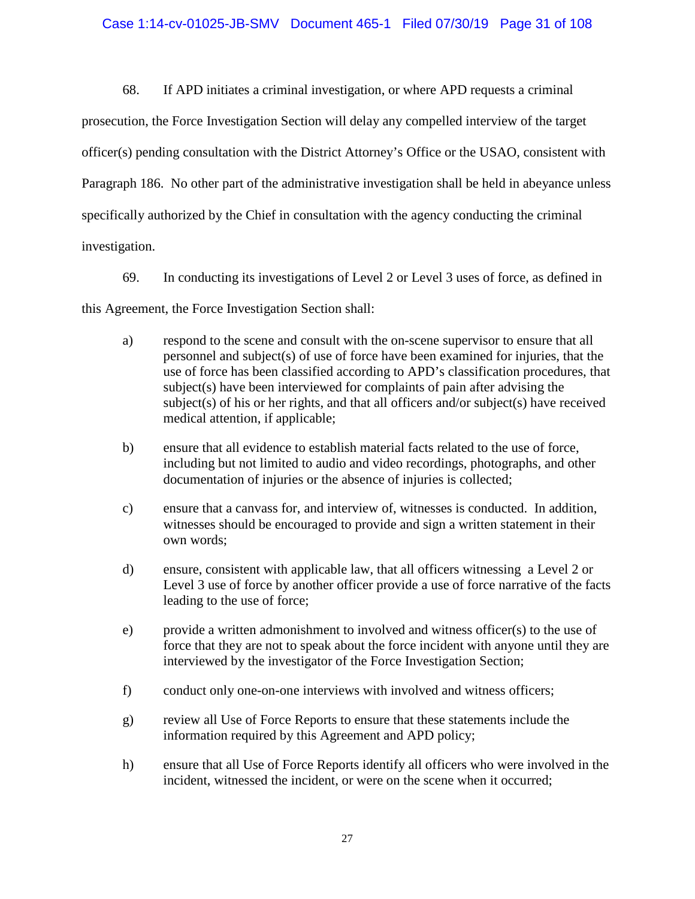## Case 1:14-cv-01025-JB-SMV Document 465-1 Filed 07/30/19 Page 31 of 108

68. If APD initiates a criminal investigation, or where APD requests a criminal

prosecution, the Force Investigation Section will delay any compelled interview of the target officer(s) pending consultation with the District Attorney's Office or the USAO, consistent with Paragraph 186. No other part of the administrative investigation shall be held in abeyance unless specifically authorized by the Chief in consultation with the agency conducting the criminal investigation.

69. In conducting its investigations of Level 2 or Level 3 uses of force, as defined in

this Agreement, the Force Investigation Section shall:

- a) respond to the scene and consult with the on-scene supervisor to ensure that all personnel and subject(s) of use of force have been examined for injuries, that the use of force has been classified according to APD's classification procedures, that subject(s) have been interviewed for complaints of pain after advising the subject(s) of his or her rights, and that all officers and/or subject(s) have received medical attention, if applicable;
- b) ensure that all evidence to establish material facts related to the use of force, including but not limited to audio and video recordings, photographs, and other documentation of injuries or the absence of injuries is collected;
- c) ensure that a canvass for, and interview of, witnesses is conducted. In addition, witnesses should be encouraged to provide and sign a written statement in their own words;
- d) ensure, consistent with applicable law, that all officers witnessing a Level 2 or Level 3 use of force by another officer provide a use of force narrative of the facts leading to the use of force;
- e) provide a written admonishment to involved and witness officer(s) to the use of force that they are not to speak about the force incident with anyone until they are interviewed by the investigator of the Force Investigation Section;
- f) conduct only one-on-one interviews with involved and witness officers;
- g) review all Use of Force Reports to ensure that these statements include the information required by this Agreement and APD policy;
- h) ensure that all Use of Force Reports identify all officers who were involved in the incident, witnessed the incident, or were on the scene when it occurred;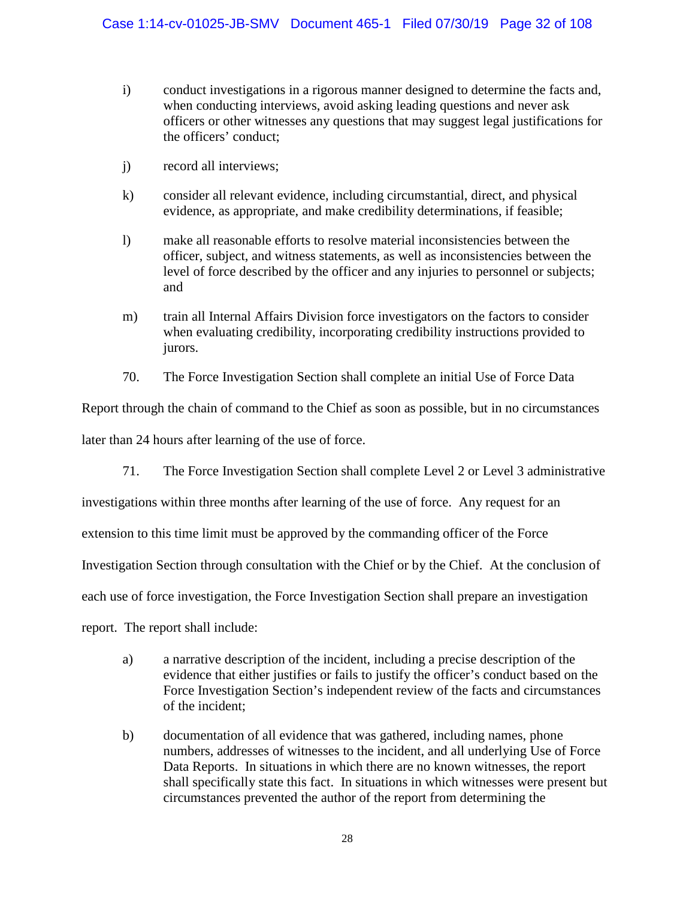- i) conduct investigations in a rigorous manner designed to determine the facts and, when conducting interviews, avoid asking leading questions and never ask officers or other witnesses any questions that may suggest legal justifications for the officers' conduct;
- j) record all interviews;
- k) consider all relevant evidence, including circumstantial, direct, and physical evidence, as appropriate, and make credibility determinations, if feasible;
- l) make all reasonable efforts to resolve material inconsistencies between the officer, subject, and witness statements, as well as inconsistencies between the level of force described by the officer and any injuries to personnel or subjects; and
- m) train all Internal Affairs Division force investigators on the factors to consider when evaluating credibility, incorporating credibility instructions provided to jurors.
- 70. The Force Investigation Section shall complete an initial Use of Force Data

Report through the chain of command to the Chief as soon as possible, but in no circumstances

later than 24 hours after learning of the use of force.

71. The Force Investigation Section shall complete Level 2 or Level 3 administrative

investigations within three months after learning of the use of force. Any request for an

extension to this time limit must be approved by the commanding officer of the Force

Investigation Section through consultation with the Chief or by the Chief. At the conclusion of

each use of force investigation, the Force Investigation Section shall prepare an investigation

report. The report shall include:

- a) a narrative description of the incident, including a precise description of the evidence that either justifies or fails to justify the officer's conduct based on the Force Investigation Section's independent review of the facts and circumstances of the incident;
- b) documentation of all evidence that was gathered, including names, phone numbers, addresses of witnesses to the incident, and all underlying Use of Force Data Reports. In situations in which there are no known witnesses, the report shall specifically state this fact. In situations in which witnesses were present but circumstances prevented the author of the report from determining the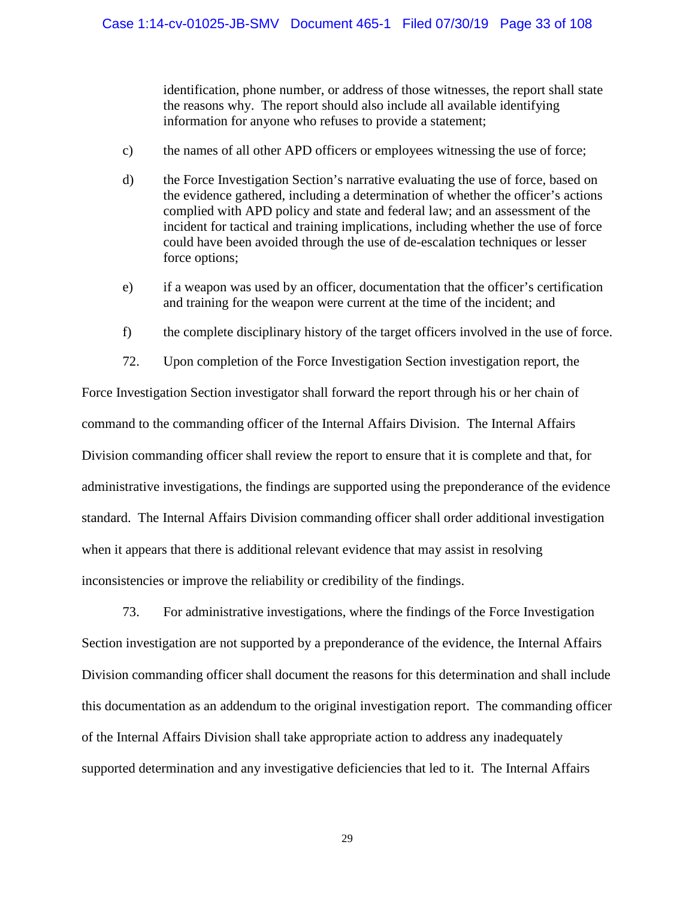identification, phone number, or address of those witnesses, the report shall state the reasons why. The report should also include all available identifying information for anyone who refuses to provide a statement;

- c) the names of all other APD officers or employees witnessing the use of force;
- d) the Force Investigation Section's narrative evaluating the use of force, based on the evidence gathered, including a determination of whether the officer's actions complied with APD policy and state and federal law; and an assessment of the incident for tactical and training implications, including whether the use of force could have been avoided through the use of de-escalation techniques or lesser force options;
- e) if a weapon was used by an officer, documentation that the officer's certification and training for the weapon were current at the time of the incident; and
- f) the complete disciplinary history of the target officers involved in the use of force.
- 72. Upon completion of the Force Investigation Section investigation report, the

Force Investigation Section investigator shall forward the report through his or her chain of command to the commanding officer of the Internal Affairs Division. The Internal Affairs Division commanding officer shall review the report to ensure that it is complete and that, for administrative investigations, the findings are supported using the preponderance of the evidence standard. The Internal Affairs Division commanding officer shall order additional investigation when it appears that there is additional relevant evidence that may assist in resolving inconsistencies or improve the reliability or credibility of the findings.

73. For administrative investigations, where the findings of the Force Investigation Section investigation are not supported by a preponderance of the evidence, the Internal Affairs Division commanding officer shall document the reasons for this determination and shall include this documentation as an addendum to the original investigation report. The commanding officer of the Internal Affairs Division shall take appropriate action to address any inadequately supported determination and any investigative deficiencies that led to it. The Internal Affairs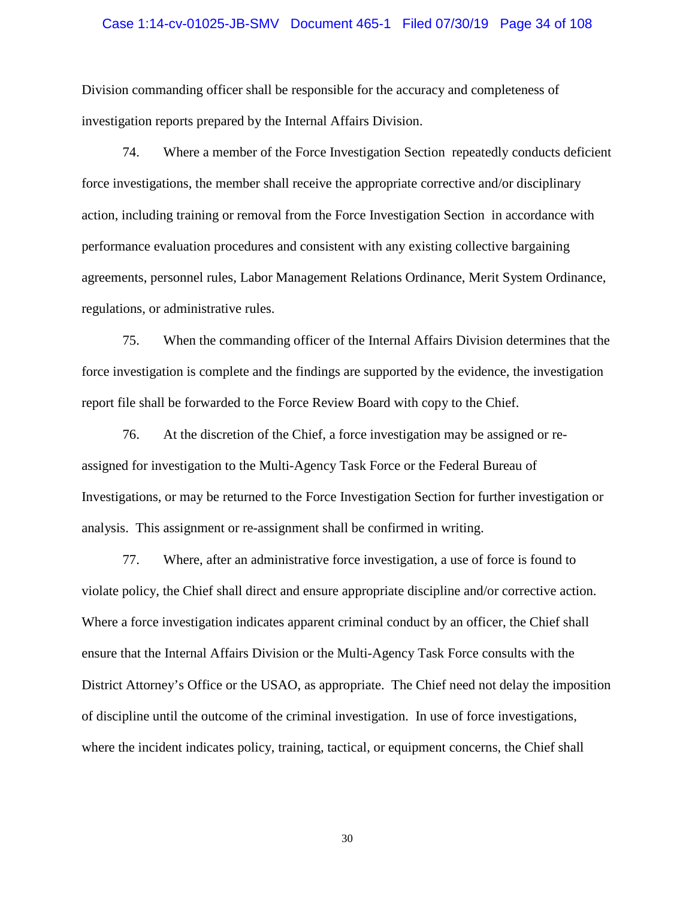#### Case 1:14-cv-01025-JB-SMV Document 465-1 Filed 07/30/19 Page 34 of 108

Division commanding officer shall be responsible for the accuracy and completeness of investigation reports prepared by the Internal Affairs Division.

74. Where a member of the Force Investigation Section repeatedly conducts deficient force investigations, the member shall receive the appropriate corrective and/or disciplinary action, including training or removal from the Force Investigation Section in accordance with performance evaluation procedures and consistent with any existing collective bargaining agreements, personnel rules, Labor Management Relations Ordinance, Merit System Ordinance, regulations, or administrative rules.

75. When the commanding officer of the Internal Affairs Division determines that the force investigation is complete and the findings are supported by the evidence, the investigation report file shall be forwarded to the Force Review Board with copy to the Chief.

76. At the discretion of the Chief, a force investigation may be assigned or reassigned for investigation to the Multi-Agency Task Force or the Federal Bureau of Investigations, or may be returned to the Force Investigation Section for further investigation or analysis. This assignment or re-assignment shall be confirmed in writing.

77. Where, after an administrative force investigation, a use of force is found to violate policy, the Chief shall direct and ensure appropriate discipline and/or corrective action. Where a force investigation indicates apparent criminal conduct by an officer, the Chief shall ensure that the Internal Affairs Division or the Multi-Agency Task Force consults with the District Attorney's Office or the USAO, as appropriate. The Chief need not delay the imposition of discipline until the outcome of the criminal investigation. In use of force investigations, where the incident indicates policy, training, tactical, or equipment concerns, the Chief shall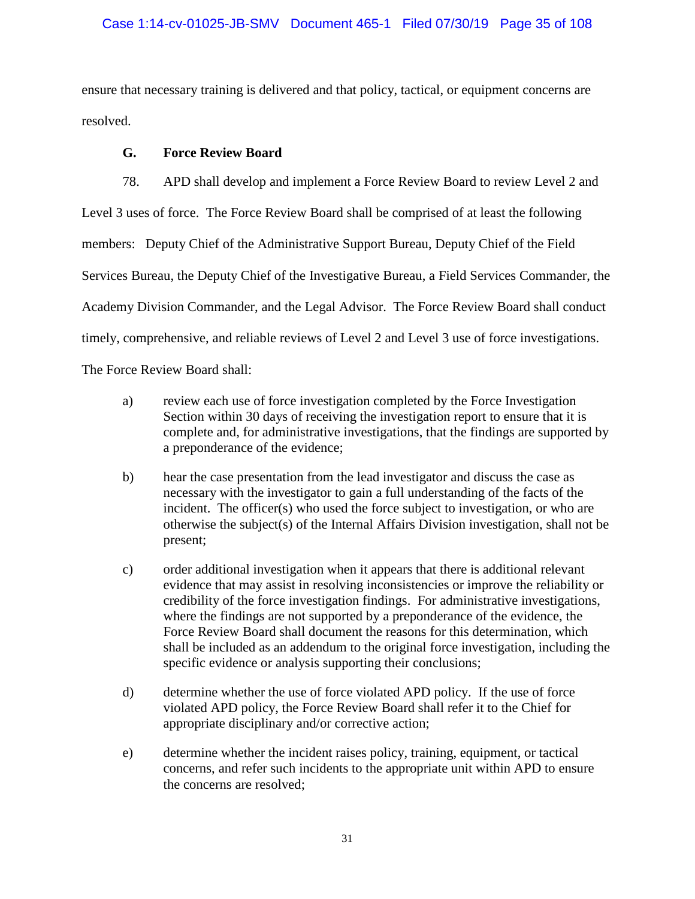ensure that necessary training is delivered and that policy, tactical, or equipment concerns are resolved.

## **G. Force Review Board**

<span id="page-34-0"></span>78. APD shall develop and implement a Force Review Board to review Level 2 and Level 3 uses of force. The Force Review Board shall be comprised of at least the following members: Deputy Chief of the Administrative Support Bureau, Deputy Chief of the Field Services Bureau, the Deputy Chief of the Investigative Bureau, a Field Services Commander, the Academy Division Commander, and the Legal Advisor. The Force Review Board shall conduct timely, comprehensive, and reliable reviews of Level 2 and Level 3 use of force investigations. The Force Review Board shall:

a) review each use of force investigation completed by the Force Investigation Section within 30 days of receiving the investigation report to ensure that it is complete and, for administrative investigations, that the findings are supported by a preponderance of the evidence;

- b) hear the case presentation from the lead investigator and discuss the case as necessary with the investigator to gain a full understanding of the facts of the incident. The officer(s) who used the force subject to investigation, or who are otherwise the subject(s) of the Internal Affairs Division investigation, shall not be present;
- c) order additional investigation when it appears that there is additional relevant evidence that may assist in resolving inconsistencies or improve the reliability or credibility of the force investigation findings. For administrative investigations, where the findings are not supported by a preponderance of the evidence, the Force Review Board shall document the reasons for this determination, which shall be included as an addendum to the original force investigation, including the specific evidence or analysis supporting their conclusions;
- d) determine whether the use of force violated APD policy. If the use of force violated APD policy, the Force Review Board shall refer it to the Chief for appropriate disciplinary and/or corrective action;
- e) determine whether the incident raises policy, training, equipment, or tactical concerns, and refer such incidents to the appropriate unit within APD to ensure the concerns are resolved;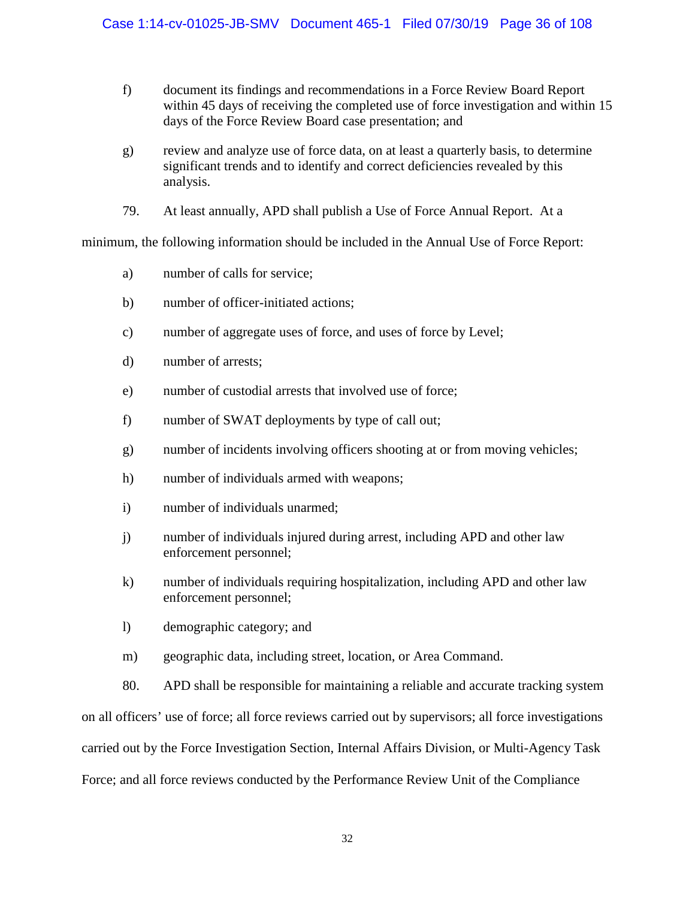- f) document its findings and recommendations in a Force Review Board Report within 45 days of receiving the completed use of force investigation and within 15 days of the Force Review Board case presentation; and
- g) review and analyze use of force data, on at least a quarterly basis, to determine significant trends and to identify and correct deficiencies revealed by this analysis.
- 79. At least annually, APD shall publish a Use of Force Annual Report. At a

minimum, the following information should be included in the Annual Use of Force Report:

- a) number of calls for service;
- b) number of officer-initiated actions;
- c) number of aggregate uses of force, and uses of force by Level;
- d) number of arrests;
- e) number of custodial arrests that involved use of force;
- f) number of SWAT deployments by type of call out;
- g) number of incidents involving officers shooting at or from moving vehicles;
- h) number of individuals armed with weapons;
- i) number of individuals unarmed;
- j) number of individuals injured during arrest, including APD and other law enforcement personnel;
- k) number of individuals requiring hospitalization, including APD and other law enforcement personnel;
- l) demographic category; and
- m) geographic data, including street, location, or Area Command.

80. APD shall be responsible for maintaining a reliable and accurate tracking system on all officers' use of force; all force reviews carried out by supervisors; all force investigations carried out by the Force Investigation Section, Internal Affairs Division, or Multi-Agency Task Force; and all force reviews conducted by the Performance Review Unit of the Compliance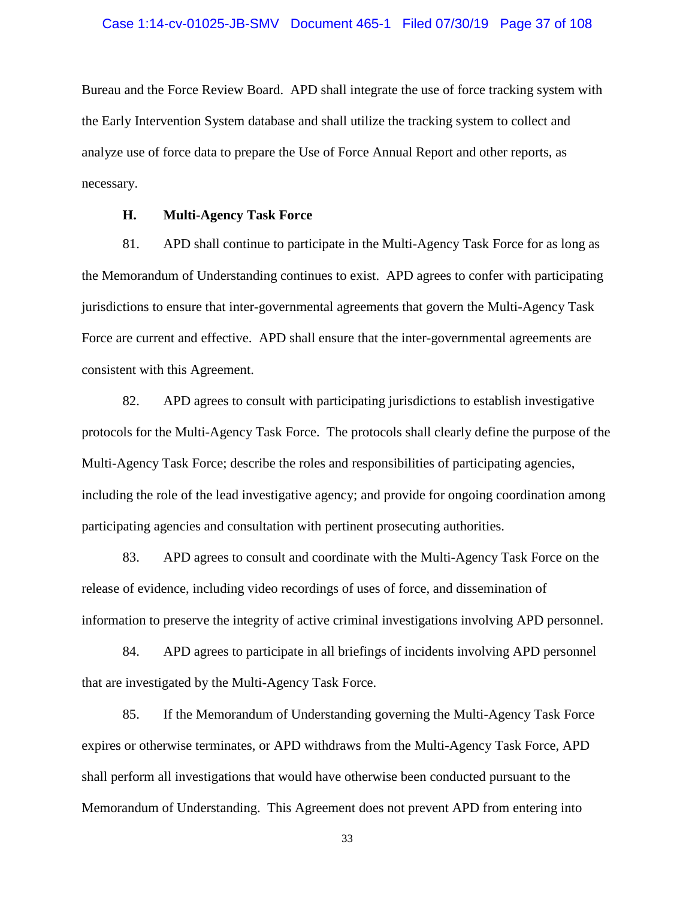#### Case 1:14-cv-01025-JB-SMV Document 465-1 Filed 07/30/19 Page 37 of 108

Bureau and the Force Review Board. APD shall integrate the use of force tracking system with the Early Intervention System database and shall utilize the tracking system to collect and analyze use of force data to prepare the Use of Force Annual Report and other reports, as necessary.

#### **H. Multi-Agency Task Force**

81. APD shall continue to participate in the Multi-Agency Task Force for as long as the Memorandum of Understanding continues to exist. APD agrees to confer with participating jurisdictions to ensure that inter-governmental agreements that govern the Multi-Agency Task Force are current and effective. APD shall ensure that the inter-governmental agreements are consistent with this Agreement.

82. APD agrees to consult with participating jurisdictions to establish investigative protocols for the Multi-Agency Task Force. The protocols shall clearly define the purpose of the Multi-Agency Task Force; describe the roles and responsibilities of participating agencies, including the role of the lead investigative agency; and provide for ongoing coordination among participating agencies and consultation with pertinent prosecuting authorities.

83. APD agrees to consult and coordinate with the Multi-Agency Task Force on the release of evidence, including video recordings of uses of force, and dissemination of information to preserve the integrity of active criminal investigations involving APD personnel.

84. APD agrees to participate in all briefings of incidents involving APD personnel that are investigated by the Multi-Agency Task Force.

85. If the Memorandum of Understanding governing the Multi-Agency Task Force expires or otherwise terminates, or APD withdraws from the Multi-Agency Task Force, APD shall perform all investigations that would have otherwise been conducted pursuant to the Memorandum of Understanding. This Agreement does not prevent APD from entering into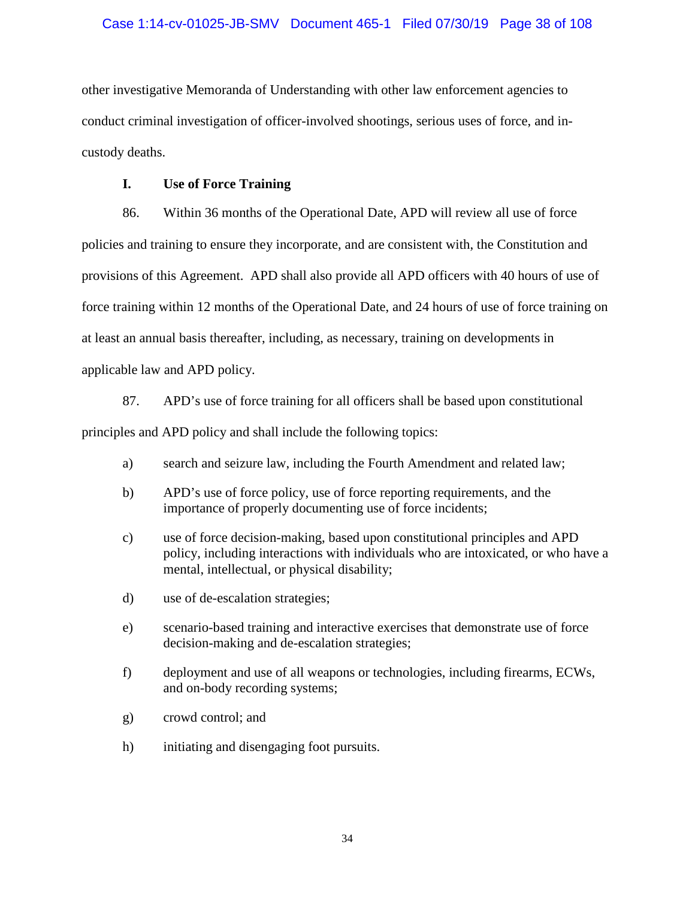other investigative Memoranda of Understanding with other law enforcement agencies to conduct criminal investigation of officer-involved shootings, serious uses of force, and incustody deaths.

# **I. Use of Force Training**

86. Within 36 months of the Operational Date, APD will review all use of force policies and training to ensure they incorporate, and are consistent with, the Constitution and provisions of this Agreement. APD shall also provide all APD officers with 40 hours of use of force training within 12 months of the Operational Date, and 24 hours of use of force training on at least an annual basis thereafter, including, as necessary, training on developments in applicable law and APD policy.

87. APD's use of force training for all officers shall be based upon constitutional

principles and APD policy and shall include the following topics:

- a) search and seizure law, including the Fourth Amendment and related law;
- b) APD's use of force policy, use of force reporting requirements, and the importance of properly documenting use of force incidents;
- c) use of force decision-making, based upon constitutional principles and APD policy, including interactions with individuals who are intoxicated, or who have a mental, intellectual, or physical disability;
- d) use of de-escalation strategies;
- e) scenario-based training and interactive exercises that demonstrate use of force decision-making and de-escalation strategies;
- f) deployment and use of all weapons or technologies, including firearms, ECWs, and on-body recording systems;
- g) crowd control; and
- h) initiating and disengaging foot pursuits.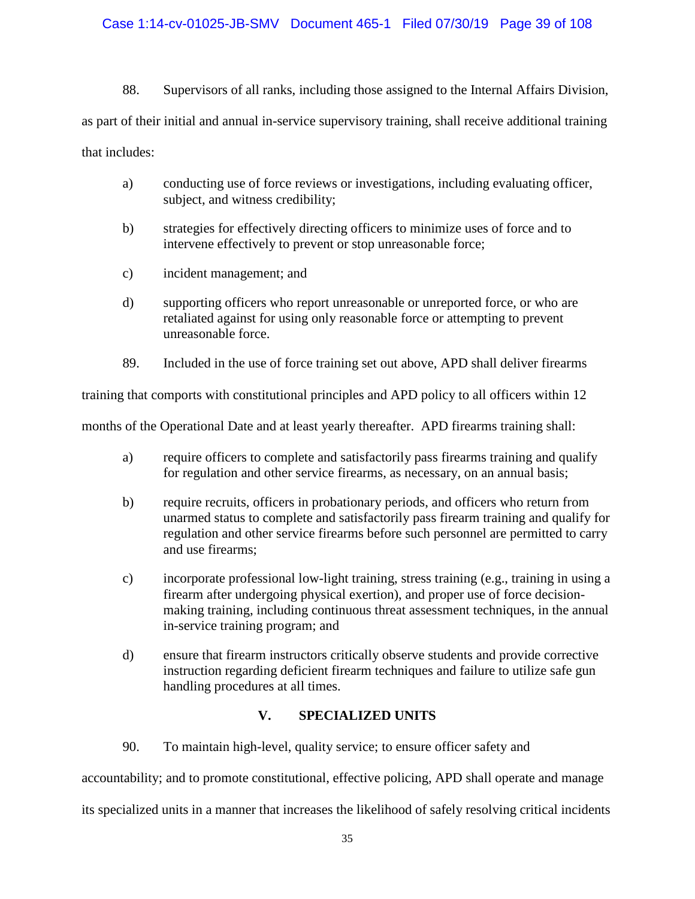88. Supervisors of all ranks, including those assigned to the Internal Affairs Division,

as part of their initial and annual in-service supervisory training, shall receive additional training

that includes:

- a) conducting use of force reviews or investigations, including evaluating officer, subject, and witness credibility;
- b) strategies for effectively directing officers to minimize uses of force and to intervene effectively to prevent or stop unreasonable force;
- c) incident management; and
- d) supporting officers who report unreasonable or unreported force, or who are retaliated against for using only reasonable force or attempting to prevent unreasonable force.
- 89. Included in the use of force training set out above, APD shall deliver firearms

training that comports with constitutional principles and APD policy to all officers within 12

months of the Operational Date and at least yearly thereafter. APD firearms training shall:

- a) require officers to complete and satisfactorily pass firearms training and qualify for regulation and other service firearms, as necessary, on an annual basis;
- b) require recruits, officers in probationary periods, and officers who return from unarmed status to complete and satisfactorily pass firearm training and qualify for regulation and other service firearms before such personnel are permitted to carry and use firearms;
- c) incorporate professional low-light training, stress training (e.g., training in using a firearm after undergoing physical exertion), and proper use of force decisionmaking training, including continuous threat assessment techniques, in the annual in-service training program; and
- d) ensure that firearm instructors critically observe students and provide corrective instruction regarding deficient firearm techniques and failure to utilize safe gun handling procedures at all times.

# **V. SPECIALIZED UNITS**

90. To maintain high-level, quality service; to ensure officer safety and

accountability; and to promote constitutional, effective policing, APD shall operate and manage

its specialized units in a manner that increases the likelihood of safely resolving critical incidents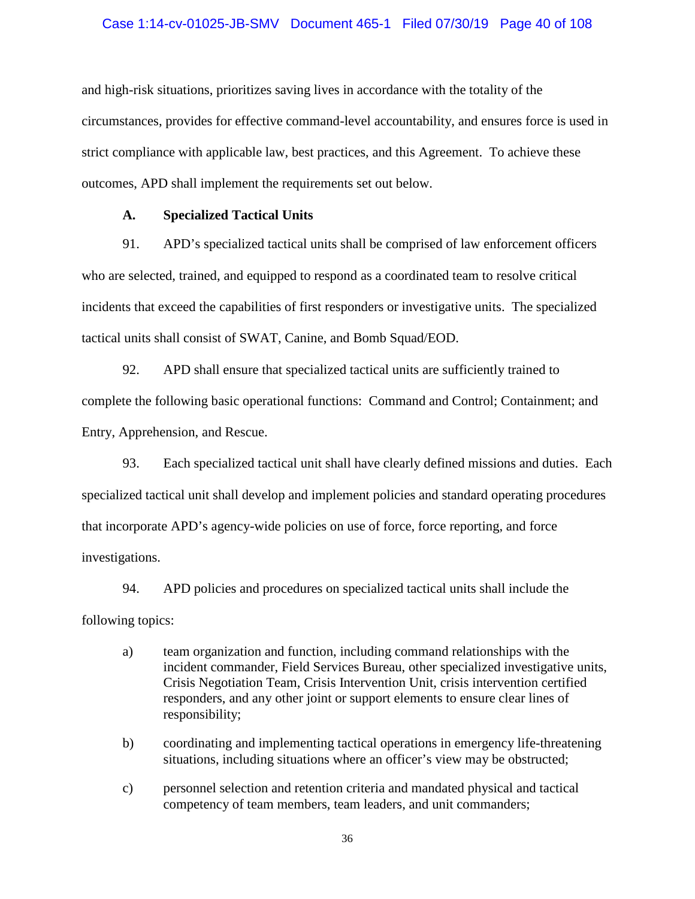### Case 1:14-cv-01025-JB-SMV Document 465-1 Filed 07/30/19 Page 40 of 108

and high-risk situations, prioritizes saving lives in accordance with the totality of the circumstances, provides for effective command-level accountability, and ensures force is used in strict compliance with applicable law, best practices, and this Agreement. To achieve these outcomes, APD shall implement the requirements set out below.

## **A. Specialized Tactical Units**

91. APD's specialized tactical units shall be comprised of law enforcement officers who are selected, trained, and equipped to respond as a coordinated team to resolve critical incidents that exceed the capabilities of first responders or investigative units. The specialized tactical units shall consist of SWAT, Canine, and Bomb Squad/EOD.

92. APD shall ensure that specialized tactical units are sufficiently trained to complete the following basic operational functions: Command and Control; Containment; and Entry, Apprehension, and Rescue.

93. Each specialized tactical unit shall have clearly defined missions and duties. Each specialized tactical unit shall develop and implement policies and standard operating procedures that incorporate APD's agency-wide policies on use of force, force reporting, and force investigations.

94. APD policies and procedures on specialized tactical units shall include the following topics:

a) team organization and function, including command relationships with the incident commander, Field Services Bureau, other specialized investigative units, Crisis Negotiation Team, Crisis Intervention Unit, crisis intervention certified responders, and any other joint or support elements to ensure clear lines of responsibility;

b) coordinating and implementing tactical operations in emergency life-threatening situations, including situations where an officer's view may be obstructed;

c) personnel selection and retention criteria and mandated physical and tactical competency of team members, team leaders, and unit commanders;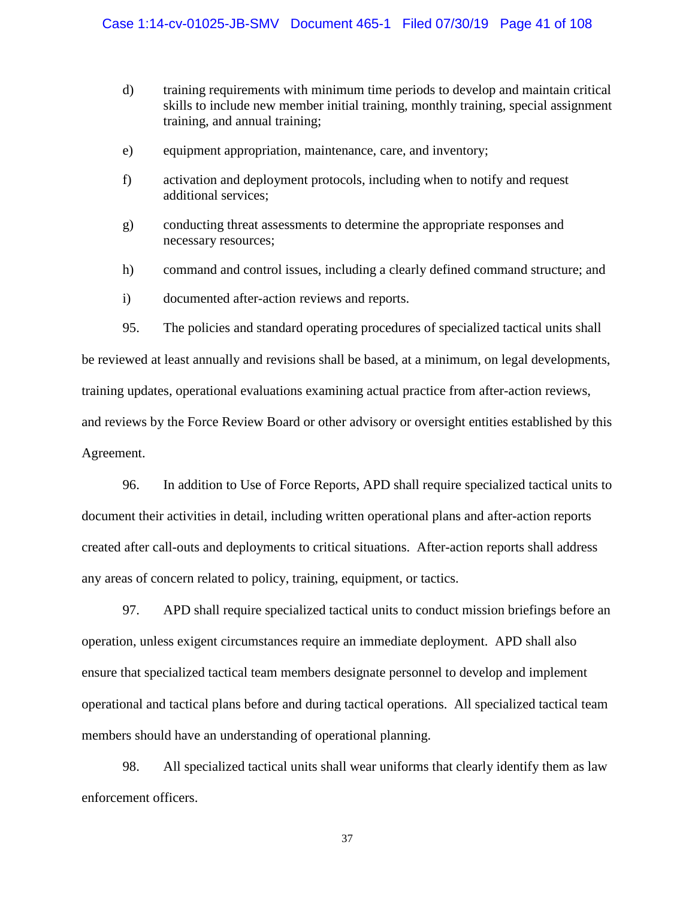- d) training requirements with minimum time periods to develop and maintain critical skills to include new member initial training, monthly training, special assignment training, and annual training;
- e) equipment appropriation, maintenance, care, and inventory;
- f) activation and deployment protocols, including when to notify and request additional services;
- g) conducting threat assessments to determine the appropriate responses and necessary resources;
- h) command and control issues, including a clearly defined command structure; and
- i) documented after-action reviews and reports.
- 95. The policies and standard operating procedures of specialized tactical units shall

be reviewed at least annually and revisions shall be based, at a minimum, on legal developments, training updates, operational evaluations examining actual practice from after-action reviews, and reviews by the Force Review Board or other advisory or oversight entities established by this Agreement.

96. In addition to Use of Force Reports, APD shall require specialized tactical units to document their activities in detail, including written operational plans and after-action reports created after call-outs and deployments to critical situations. After-action reports shall address any areas of concern related to policy, training, equipment, or tactics.

97. APD shall require specialized tactical units to conduct mission briefings before an operation, unless exigent circumstances require an immediate deployment. APD shall also ensure that specialized tactical team members designate personnel to develop and implement operational and tactical plans before and during tactical operations. All specialized tactical team members should have an understanding of operational planning.

98. All specialized tactical units shall wear uniforms that clearly identify them as law enforcement officers.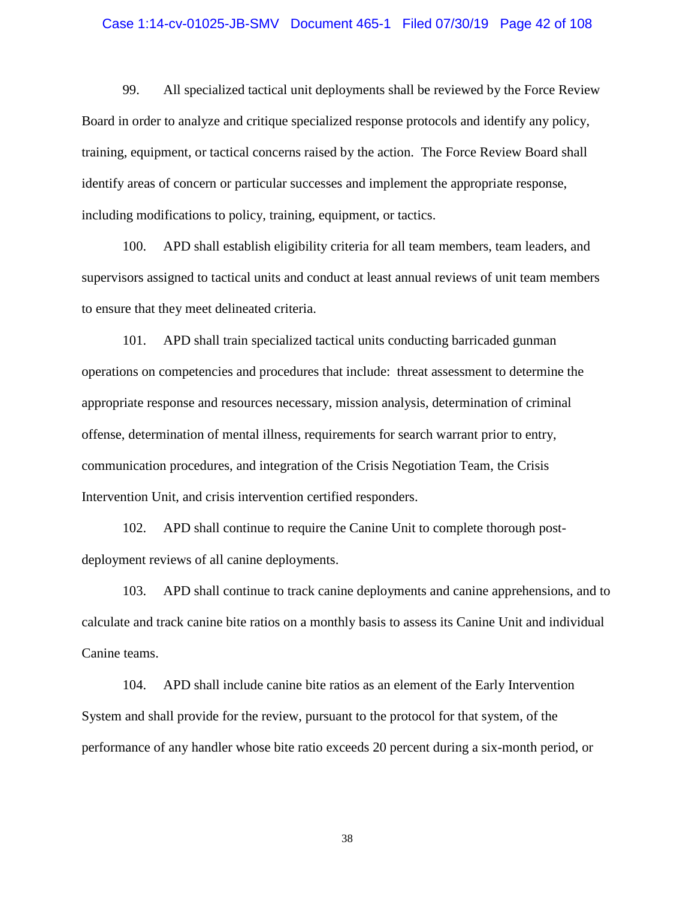#### Case 1:14-cv-01025-JB-SMV Document 465-1 Filed 07/30/19 Page 42 of 108

99. All specialized tactical unit deployments shall be reviewed by the Force Review Board in order to analyze and critique specialized response protocols and identify any policy, training, equipment, or tactical concerns raised by the action. The Force Review Board shall identify areas of concern or particular successes and implement the appropriate response, including modifications to policy, training, equipment, or tactics.

100. APD shall establish eligibility criteria for all team members, team leaders, and supervisors assigned to tactical units and conduct at least annual reviews of unit team members to ensure that they meet delineated criteria.

101. APD shall train specialized tactical units conducting barricaded gunman operations on competencies and procedures that include: threat assessment to determine the appropriate response and resources necessary, mission analysis, determination of criminal offense, determination of mental illness, requirements for search warrant prior to entry, communication procedures, and integration of the Crisis Negotiation Team, the Crisis Intervention Unit, and crisis intervention certified responders.

102. APD shall continue to require the Canine Unit to complete thorough postdeployment reviews of all canine deployments.

103. APD shall continue to track canine deployments and canine apprehensions, and to calculate and track canine bite ratios on a monthly basis to assess its Canine Unit and individual Canine teams.

104. APD shall include canine bite ratios as an element of the Early Intervention System and shall provide for the review, pursuant to the protocol for that system, of the performance of any handler whose bite ratio exceeds 20 percent during a six-month period, or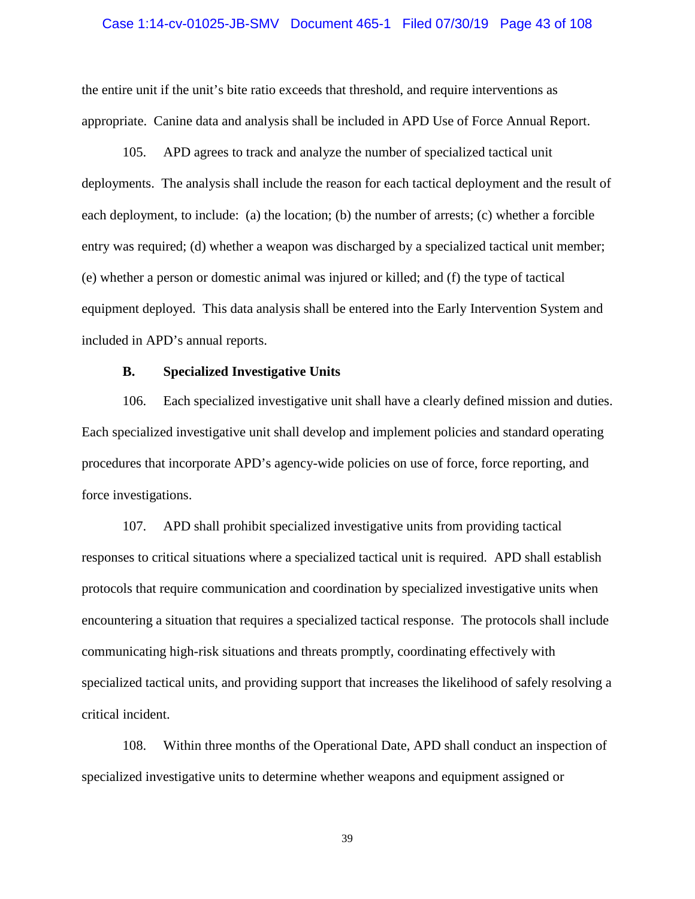#### Case 1:14-cv-01025-JB-SMV Document 465-1 Filed 07/30/19 Page 43 of 108

the entire unit if the unit's bite ratio exceeds that threshold, and require interventions as appropriate. Canine data and analysis shall be included in APD Use of Force Annual Report.

105. APD agrees to track and analyze the number of specialized tactical unit deployments. The analysis shall include the reason for each tactical deployment and the result of each deployment, to include: (a) the location; (b) the number of arrests; (c) whether a forcible entry was required; (d) whether a weapon was discharged by a specialized tactical unit member; (e) whether a person or domestic animal was injured or killed; and (f) the type of tactical equipment deployed. This data analysis shall be entered into the Early Intervention System and included in APD's annual reports.

### **B. Specialized Investigative Units**

106. Each specialized investigative unit shall have a clearly defined mission and duties. Each specialized investigative unit shall develop and implement policies and standard operating procedures that incorporate APD's agency-wide policies on use of force, force reporting, and force investigations.

107. APD shall prohibit specialized investigative units from providing tactical responses to critical situations where a specialized tactical unit is required. APD shall establish protocols that require communication and coordination by specialized investigative units when encountering a situation that requires a specialized tactical response. The protocols shall include communicating high-risk situations and threats promptly, coordinating effectively with specialized tactical units, and providing support that increases the likelihood of safely resolving a critical incident.

108. Within three months of the Operational Date, APD shall conduct an inspection of specialized investigative units to determine whether weapons and equipment assigned or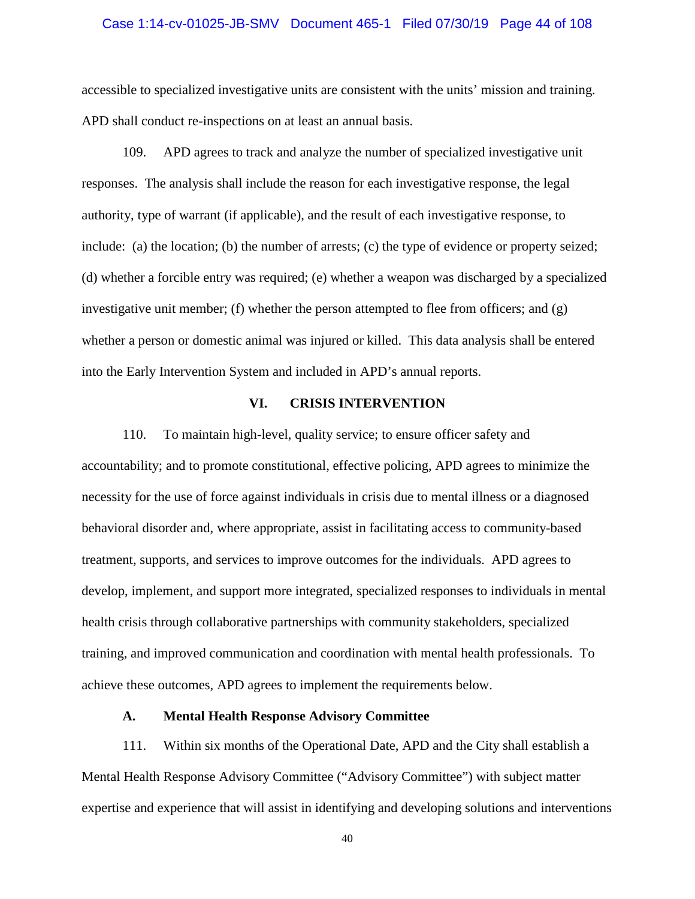#### Case 1:14-cv-01025-JB-SMV Document 465-1 Filed 07/30/19 Page 44 of 108

accessible to specialized investigative units are consistent with the units' mission and training. APD shall conduct re-inspections on at least an annual basis.

109. APD agrees to track and analyze the number of specialized investigative unit responses. The analysis shall include the reason for each investigative response, the legal authority, type of warrant (if applicable), and the result of each investigative response, to include: (a) the location; (b) the number of arrests; (c) the type of evidence or property seized; (d) whether a forcible entry was required; (e) whether a weapon was discharged by a specialized investigative unit member; (f) whether the person attempted to flee from officers; and  $(g)$ whether a person or domestic animal was injured or killed. This data analysis shall be entered into the Early Intervention System and included in APD's annual reports.

#### **VI. CRISIS INTERVENTION**

110. To maintain high-level, quality service; to ensure officer safety and accountability; and to promote constitutional, effective policing, APD agrees to minimize the necessity for the use of force against individuals in crisis due to mental illness or a diagnosed behavioral disorder and, where appropriate, assist in facilitating access to community-based treatment, supports, and services to improve outcomes for the individuals. APD agrees to develop, implement, and support more integrated, specialized responses to individuals in mental health crisis through collaborative partnerships with community stakeholders, specialized training, and improved communication and coordination with mental health professionals. To achieve these outcomes, APD agrees to implement the requirements below.

#### **A. Mental Health Response Advisory Committee**

111. Within six months of the Operational Date, APD and the City shall establish a Mental Health Response Advisory Committee ("Advisory Committee") with subject matter expertise and experience that will assist in identifying and developing solutions and interventions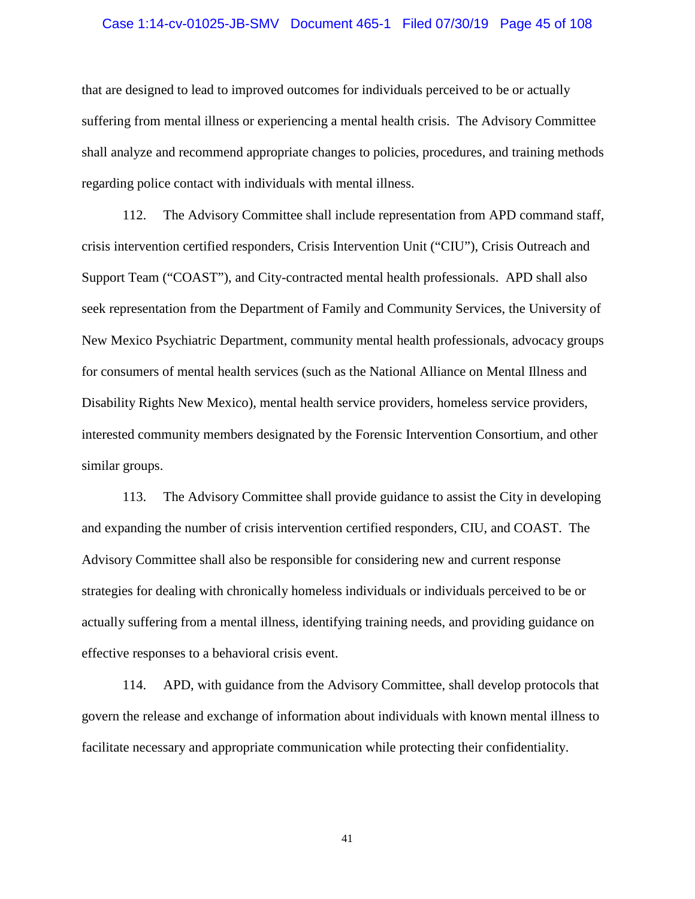#### Case 1:14-cv-01025-JB-SMV Document 465-1 Filed 07/30/19 Page 45 of 108

that are designed to lead to improved outcomes for individuals perceived to be or actually suffering from mental illness or experiencing a mental health crisis. The Advisory Committee shall analyze and recommend appropriate changes to policies, procedures, and training methods regarding police contact with individuals with mental illness.

112. The Advisory Committee shall include representation from APD command staff, crisis intervention certified responders, Crisis Intervention Unit ("CIU"), Crisis Outreach and Support Team ("COAST"), and City-contracted mental health professionals. APD shall also seek representation from the Department of Family and Community Services, the University of New Mexico Psychiatric Department, community mental health professionals, advocacy groups for consumers of mental health services (such as the National Alliance on Mental Illness and Disability Rights New Mexico), mental health service providers, homeless service providers, interested community members designated by the Forensic Intervention Consortium, and other similar groups.

113. The Advisory Committee shall provide guidance to assist the City in developing and expanding the number of crisis intervention certified responders, CIU, and COAST. The Advisory Committee shall also be responsible for considering new and current response strategies for dealing with chronically homeless individuals or individuals perceived to be or actually suffering from a mental illness, identifying training needs, and providing guidance on effective responses to a behavioral crisis event.

114. APD, with guidance from the Advisory Committee, shall develop protocols that govern the release and exchange of information about individuals with known mental illness to facilitate necessary and appropriate communication while protecting their confidentiality.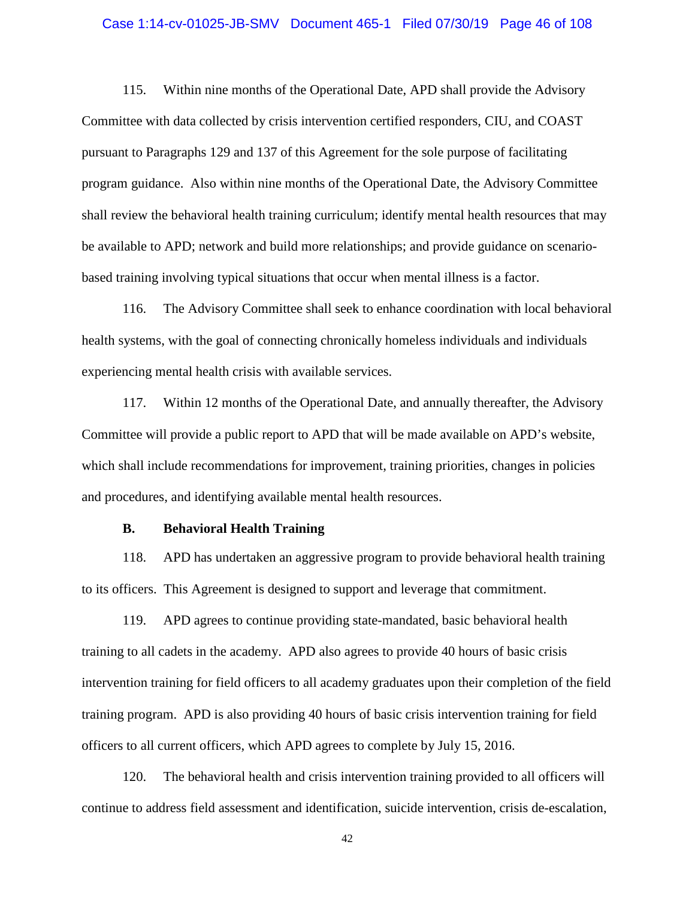#### Case 1:14-cv-01025-JB-SMV Document 465-1 Filed 07/30/19 Page 46 of 108

115. Within nine months of the Operational Date, APD shall provide the Advisory Committee with data collected by crisis intervention certified responders, CIU, and COAST pursuant to Paragraphs 129 and 137 of this Agreement for the sole purpose of facilitating program guidance. Also within nine months of the Operational Date, the Advisory Committee shall review the behavioral health training curriculum; identify mental health resources that may be available to APD; network and build more relationships; and provide guidance on scenariobased training involving typical situations that occur when mental illness is a factor.

116. The Advisory Committee shall seek to enhance coordination with local behavioral health systems, with the goal of connecting chronically homeless individuals and individuals experiencing mental health crisis with available services.

117. Within 12 months of the Operational Date, and annually thereafter, the Advisory Committee will provide a public report to APD that will be made available on APD's website, which shall include recommendations for improvement, training priorities, changes in policies and procedures, and identifying available mental health resources.

#### **B. Behavioral Health Training**

118. APD has undertaken an aggressive program to provide behavioral health training to its officers. This Agreement is designed to support and leverage that commitment.

119. APD agrees to continue providing state-mandated, basic behavioral health training to all cadets in the academy. APD also agrees to provide 40 hours of basic crisis intervention training for field officers to all academy graduates upon their completion of the field training program. APD is also providing 40 hours of basic crisis intervention training for field officers to all current officers, which APD agrees to complete by July 15, 2016.

120. The behavioral health and crisis intervention training provided to all officers will continue to address field assessment and identification, suicide intervention, crisis de-escalation,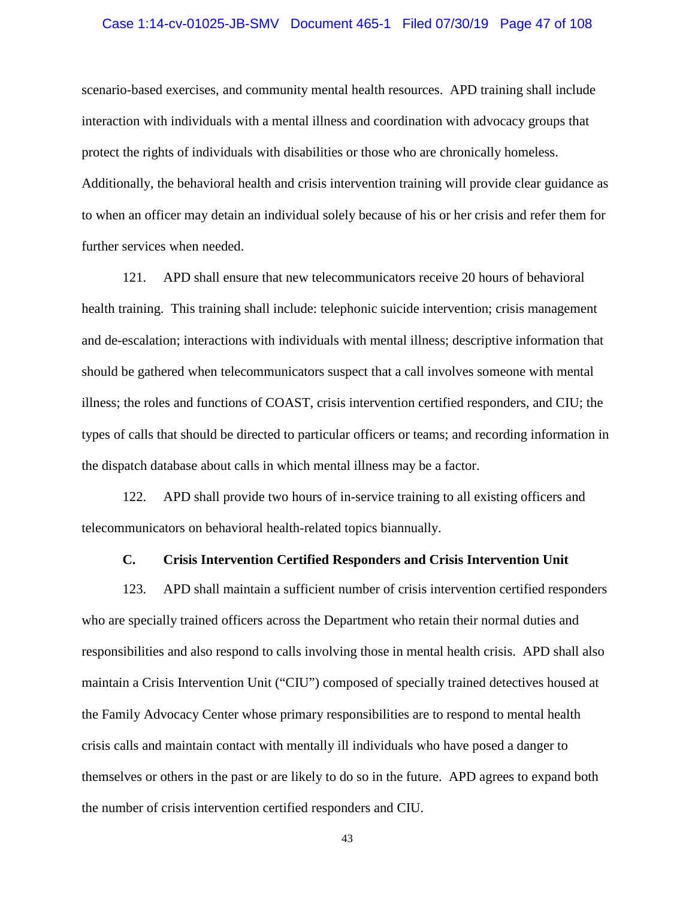#### Case 1:14-cv-01025-JB-SMV Document 465-1 Filed 07/30/19 Page 47 of 108

scenario-based exercises, and community mental health resources. APD training shall include interaction with individuals with a mental illness and coordination with advocacy groups that protect the rights of individuals with disabilities or those who are chronically homeless. Additionally, the behavioral health and crisis intervention training will provide clear guidance as to when an officer may detain an individual solely because of his or her crisis and refer them for further services when needed.

121. APD shall ensure that new telecommunicators receive 20 hours of behavioral health training. This training shall include: telephonic suicide intervention; crisis management and de-escalation; interactions with individuals with mental illness; descriptive information that should be gathered when telecommunicators suspect that a call involves someone with mental illness; the roles and functions of COAST, crisis intervention certified responders, and CIU; the types of calls that should be directed to particular officers or teams; and recording information in the dispatch database about calls in which mental illness may be a factor.

122. APD shall provide two hours of in-service training to all existing officers and telecommunicators on behavioral health-related topics biannually.

### **C. Crisis Intervention Certified Responders and Crisis Intervention Unit**

123. APD shall maintain a sufficient number of crisis intervention certified responders who are specially trained officers across the Department who retain their normal duties and responsibilities and also respond to calls involving those in mental health crisis. APD shall also maintain a Crisis Intervention Unit ("CIU") composed of specially trained detectives housed at the Family Advocacy Center whose primary responsibilities are to respond to mental health crisis calls and maintain contact with mentally ill individuals who have posed a danger to themselves or others in the past or are likely to do so in the future. APD agrees to expand both the number of crisis intervention certified responders and CIU.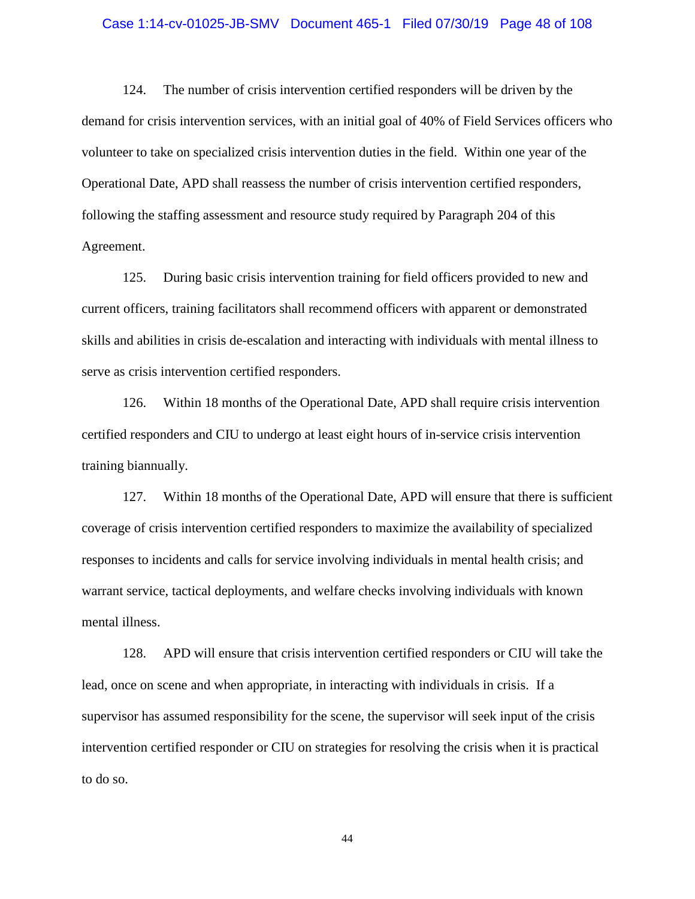#### Case 1:14-cv-01025-JB-SMV Document 465-1 Filed 07/30/19 Page 48 of 108

124. The number of crisis intervention certified responders will be driven by the demand for crisis intervention services, with an initial goal of 40% of Field Services officers who volunteer to take on specialized crisis intervention duties in the field. Within one year of the Operational Date, APD shall reassess the number of crisis intervention certified responders, following the staffing assessment and resource study required by Paragraph 204 of this Agreement.

125. During basic crisis intervention training for field officers provided to new and current officers, training facilitators shall recommend officers with apparent or demonstrated skills and abilities in crisis de-escalation and interacting with individuals with mental illness to serve as crisis intervention certified responders.

126. Within 18 months of the Operational Date, APD shall require crisis intervention certified responders and CIU to undergo at least eight hours of in-service crisis intervention training biannually.

127. Within 18 months of the Operational Date, APD will ensure that there is sufficient coverage of crisis intervention certified responders to maximize the availability of specialized responses to incidents and calls for service involving individuals in mental health crisis; and warrant service, tactical deployments, and welfare checks involving individuals with known mental illness.

128. APD will ensure that crisis intervention certified responders or CIU will take the lead, once on scene and when appropriate, in interacting with individuals in crisis. If a supervisor has assumed responsibility for the scene, the supervisor will seek input of the crisis intervention certified responder or CIU on strategies for resolving the crisis when it is practical to do so.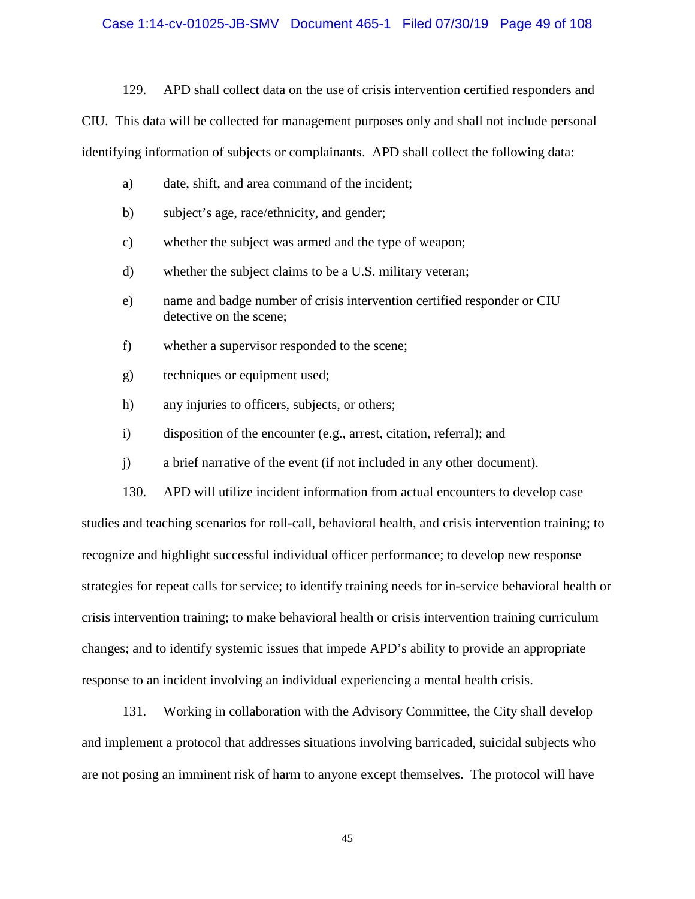#### Case 1:14-cv-01025-JB-SMV Document 465-1 Filed 07/30/19 Page 49 of 108

129. APD shall collect data on the use of crisis intervention certified responders and

CIU. This data will be collected for management purposes only and shall not include personal identifying information of subjects or complainants. APD shall collect the following data:

- a) date, shift, and area command of the incident;
- b) subject's age, race/ethnicity, and gender;
- c) whether the subject was armed and the type of weapon;
- d) whether the subject claims to be a U.S. military veteran;
- e) name and badge number of crisis intervention certified responder or CIU detective on the scene;
- f) whether a supervisor responded to the scene;
- g) techniques or equipment used;
- h) any injuries to officers, subjects, or others;
- i) disposition of the encounter (e.g., arrest, citation, referral); and
- j) a brief narrative of the event (if not included in any other document).

130. APD will utilize incident information from actual encounters to develop case studies and teaching scenarios for roll-call, behavioral health, and crisis intervention training; to recognize and highlight successful individual officer performance; to develop new response strategies for repeat calls for service; to identify training needs for in-service behavioral health or crisis intervention training; to make behavioral health or crisis intervention training curriculum changes; and to identify systemic issues that impede APD's ability to provide an appropriate response to an incident involving an individual experiencing a mental health crisis.

131. Working in collaboration with the Advisory Committee, the City shall develop and implement a protocol that addresses situations involving barricaded, suicidal subjects who are not posing an imminent risk of harm to anyone except themselves. The protocol will have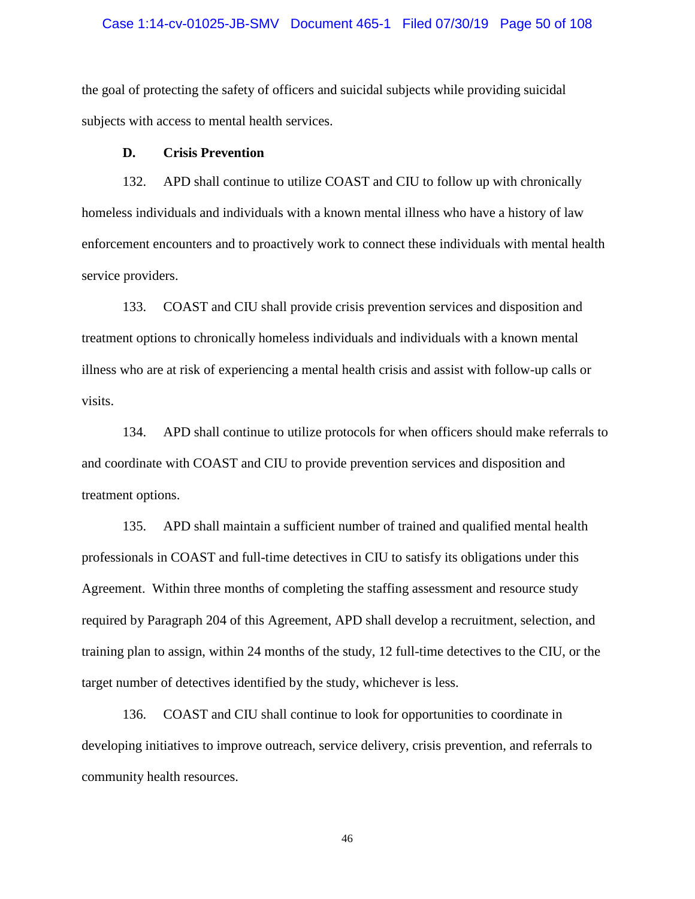#### Case 1:14-cv-01025-JB-SMV Document 465-1 Filed 07/30/19 Page 50 of 108

the goal of protecting the safety of officers and suicidal subjects while providing suicidal subjects with access to mental health services.

### **D. Crisis Prevention**

132. APD shall continue to utilize COAST and CIU to follow up with chronically homeless individuals and individuals with a known mental illness who have a history of law enforcement encounters and to proactively work to connect these individuals with mental health service providers.

133. COAST and CIU shall provide crisis prevention services and disposition and treatment options to chronically homeless individuals and individuals with a known mental illness who are at risk of experiencing a mental health crisis and assist with follow-up calls or visits.

134. APD shall continue to utilize protocols for when officers should make referrals to and coordinate with COAST and CIU to provide prevention services and disposition and treatment options.

135. APD shall maintain a sufficient number of trained and qualified mental health professionals in COAST and full-time detectives in CIU to satisfy its obligations under this Agreement. Within three months of completing the staffing assessment and resource study required by Paragraph 204 of this Agreement, APD shall develop a recruitment, selection, and training plan to assign, within 24 months of the study, 12 full-time detectives to the CIU, or the target number of detectives identified by the study, whichever is less.

136. COAST and CIU shall continue to look for opportunities to coordinate in developing initiatives to improve outreach, service delivery, crisis prevention, and referrals to community health resources.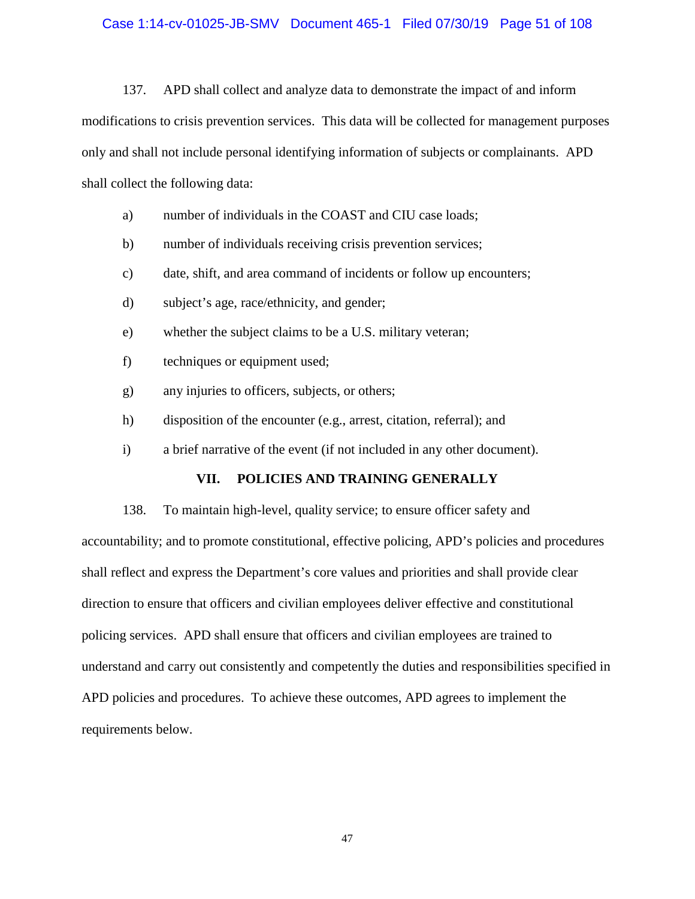#### Case 1:14-cv-01025-JB-SMV Document 465-1 Filed 07/30/19 Page 51 of 108

137. APD shall collect and analyze data to demonstrate the impact of and inform modifications to crisis prevention services. This data will be collected for management purposes only and shall not include personal identifying information of subjects or complainants. APD shall collect the following data:

- a) number of individuals in the COAST and CIU case loads;
- b) number of individuals receiving crisis prevention services;
- c) date, shift, and area command of incidents or follow up encounters;
- d) subject's age, race/ethnicity, and gender;
- e) whether the subject claims to be a U.S. military veteran;
- f) techniques or equipment used;
- g) any injuries to officers, subjects, or others;
- h) disposition of the encounter (e.g., arrest, citation, referral); and
- i) a brief narrative of the event (if not included in any other document).

#### **VII. POLICIES AND TRAINING GENERALLY**

138. To maintain high-level, quality service; to ensure officer safety and accountability; and to promote constitutional, effective policing, APD's policies and procedures shall reflect and express the Department's core values and priorities and shall provide clear direction to ensure that officers and civilian employees deliver effective and constitutional policing services. APD shall ensure that officers and civilian employees are trained to understand and carry out consistently and competently the duties and responsibilities specified in APD policies and procedures. To achieve these outcomes, APD agrees to implement the requirements below.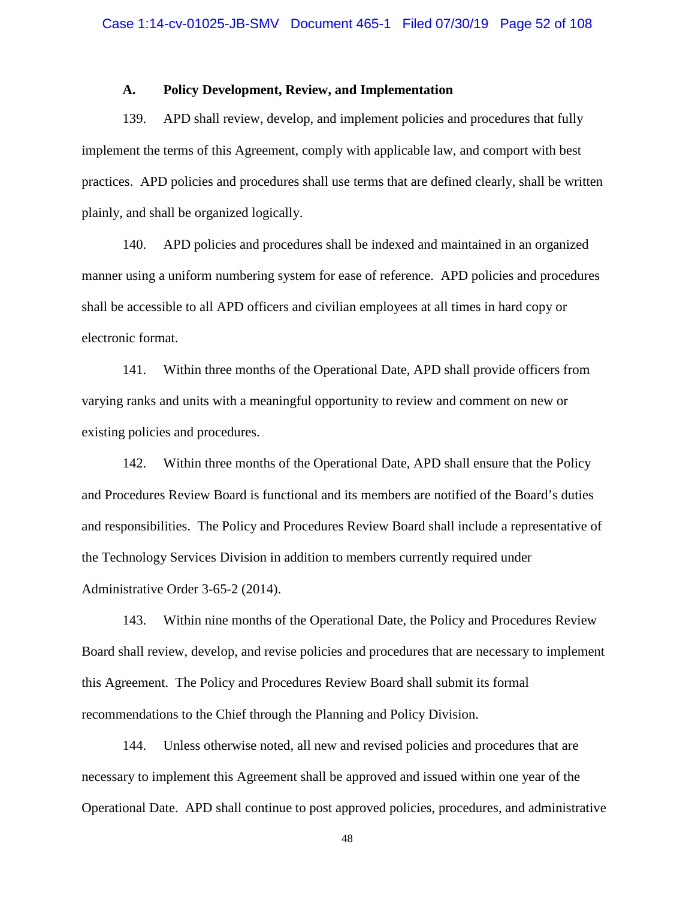## **A. Policy Development, Review, and Implementation**

139. APD shall review, develop, and implement policies and procedures that fully implement the terms of this Agreement, comply with applicable law, and comport with best practices. APD policies and procedures shall use terms that are defined clearly, shall be written plainly, and shall be organized logically.

140. APD policies and procedures shall be indexed and maintained in an organized manner using a uniform numbering system for ease of reference. APD policies and procedures shall be accessible to all APD officers and civilian employees at all times in hard copy or electronic format.

141. Within three months of the Operational Date, APD shall provide officers from varying ranks and units with a meaningful opportunity to review and comment on new or existing policies and procedures.

142. Within three months of the Operational Date, APD shall ensure that the Policy and Procedures Review Board is functional and its members are notified of the Board's duties and responsibilities. The Policy and Procedures Review Board shall include a representative of the Technology Services Division in addition to members currently required under Administrative Order 3-65-2 (2014).

143. Within nine months of the Operational Date, the Policy and Procedures Review Board shall review, develop, and revise policies and procedures that are necessary to implement this Agreement. The Policy and Procedures Review Board shall submit its formal recommendations to the Chief through the Planning and Policy Division.

144. Unless otherwise noted, all new and revised policies and procedures that are necessary to implement this Agreement shall be approved and issued within one year of the Operational Date. APD shall continue to post approved policies, procedures, and administrative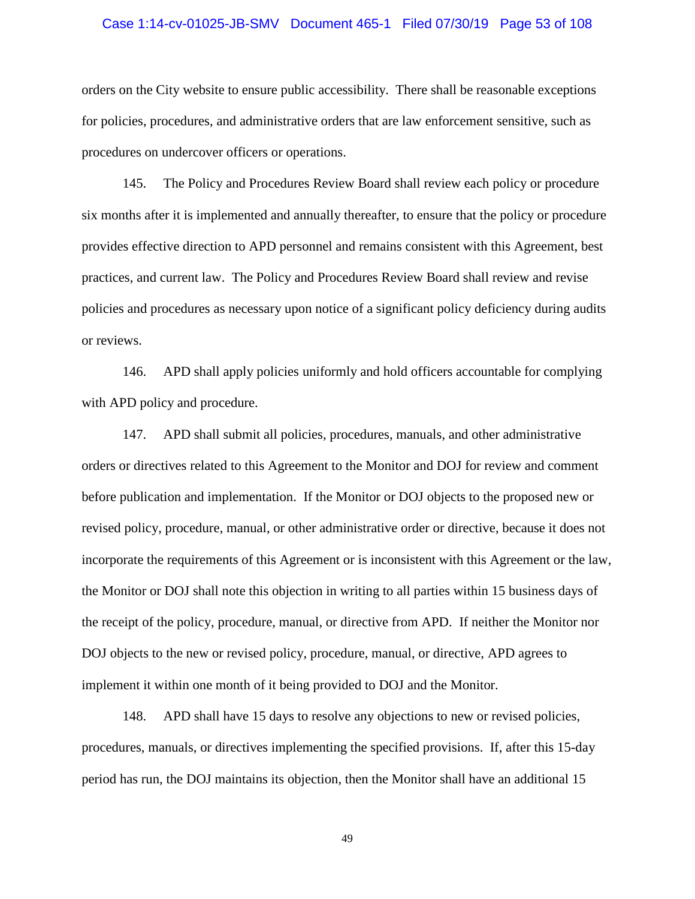#### Case 1:14-cv-01025-JB-SMV Document 465-1 Filed 07/30/19 Page 53 of 108

orders on the City website to ensure public accessibility. There shall be reasonable exceptions for policies, procedures, and administrative orders that are law enforcement sensitive, such as procedures on undercover officers or operations.

145. The Policy and Procedures Review Board shall review each policy or procedure six months after it is implemented and annually thereafter, to ensure that the policy or procedure provides effective direction to APD personnel and remains consistent with this Agreement, best practices, and current law. The Policy and Procedures Review Board shall review and revise policies and procedures as necessary upon notice of a significant policy deficiency during audits or reviews.

146. APD shall apply policies uniformly and hold officers accountable for complying with APD policy and procedure.

147. APD shall submit all policies, procedures, manuals, and other administrative orders or directives related to this Agreement to the Monitor and DOJ for review and comment before publication and implementation. If the Monitor or DOJ objects to the proposed new or revised policy, procedure, manual, or other administrative order or directive, because it does not incorporate the requirements of this Agreement or is inconsistent with this Agreement or the law, the Monitor or DOJ shall note this objection in writing to all parties within 15 business days of the receipt of the policy, procedure, manual, or directive from APD. If neither the Monitor nor DOJ objects to the new or revised policy, procedure, manual, or directive, APD agrees to implement it within one month of it being provided to DOJ and the Monitor.

148. APD shall have 15 days to resolve any objections to new or revised policies, procedures, manuals, or directives implementing the specified provisions. If, after this 15-day period has run, the DOJ maintains its objection, then the Monitor shall have an additional 15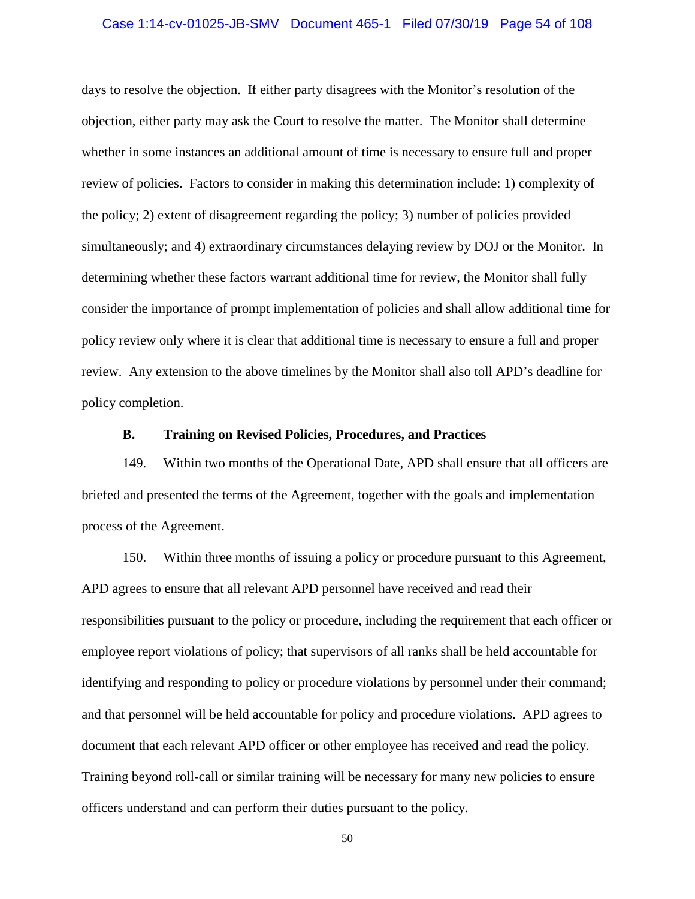#### Case 1:14-cv-01025-JB-SMV Document 465-1 Filed 07/30/19 Page 54 of 108

days to resolve the objection. If either party disagrees with the Monitor's resolution of the objection, either party may ask the Court to resolve the matter. The Monitor shall determine whether in some instances an additional amount of time is necessary to ensure full and proper review of policies. Factors to consider in making this determination include: 1) complexity of the policy; 2) extent of disagreement regarding the policy; 3) number of policies provided simultaneously; and 4) extraordinary circumstances delaying review by DOJ or the Monitor. In determining whether these factors warrant additional time for review, the Monitor shall fully consider the importance of prompt implementation of policies and shall allow additional time for policy review only where it is clear that additional time is necessary to ensure a full and proper review. Any extension to the above timelines by the Monitor shall also toll APD's deadline for policy completion.

### **B. Training on Revised Policies, Procedures, and Practices**

149. Within two months of the Operational Date, APD shall ensure that all officers are briefed and presented the terms of the Agreement, together with the goals and implementation process of the Agreement.

150. Within three months of issuing a policy or procedure pursuant to this Agreement, APD agrees to ensure that all relevant APD personnel have received and read their responsibilities pursuant to the policy or procedure, including the requirement that each officer or employee report violations of policy; that supervisors of all ranks shall be held accountable for identifying and responding to policy or procedure violations by personnel under their command; and that personnel will be held accountable for policy and procedure violations. APD agrees to document that each relevant APD officer or other employee has received and read the policy. Training beyond roll-call or similar training will be necessary for many new policies to ensure officers understand and can perform their duties pursuant to the policy.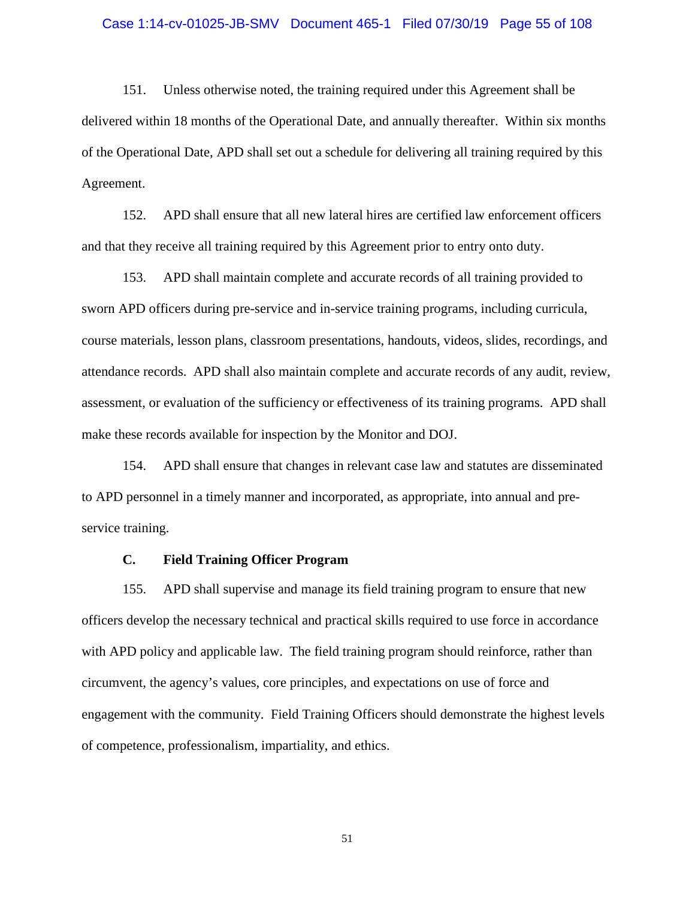#### Case 1:14-cv-01025-JB-SMV Document 465-1 Filed 07/30/19 Page 55 of 108

151. Unless otherwise noted, the training required under this Agreement shall be delivered within 18 months of the Operational Date, and annually thereafter. Within six months of the Operational Date, APD shall set out a schedule for delivering all training required by this Agreement.

152. APD shall ensure that all new lateral hires are certified law enforcement officers and that they receive all training required by this Agreement prior to entry onto duty.

153. APD shall maintain complete and accurate records of all training provided to sworn APD officers during pre-service and in-service training programs, including curricula, course materials, lesson plans, classroom presentations, handouts, videos, slides, recordings, and attendance records. APD shall also maintain complete and accurate records of any audit, review, assessment, or evaluation of the sufficiency or effectiveness of its training programs. APD shall make these records available for inspection by the Monitor and DOJ.

154. APD shall ensure that changes in relevant case law and statutes are disseminated to APD personnel in a timely manner and incorporated, as appropriate, into annual and preservice training.

## **C. Field Training Officer Program**

155. APD shall supervise and manage its field training program to ensure that new officers develop the necessary technical and practical skills required to use force in accordance with APD policy and applicable law. The field training program should reinforce, rather than circumvent, the agency's values, core principles, and expectations on use of force and engagement with the community. Field Training Officers should demonstrate the highest levels of competence, professionalism, impartiality, and ethics.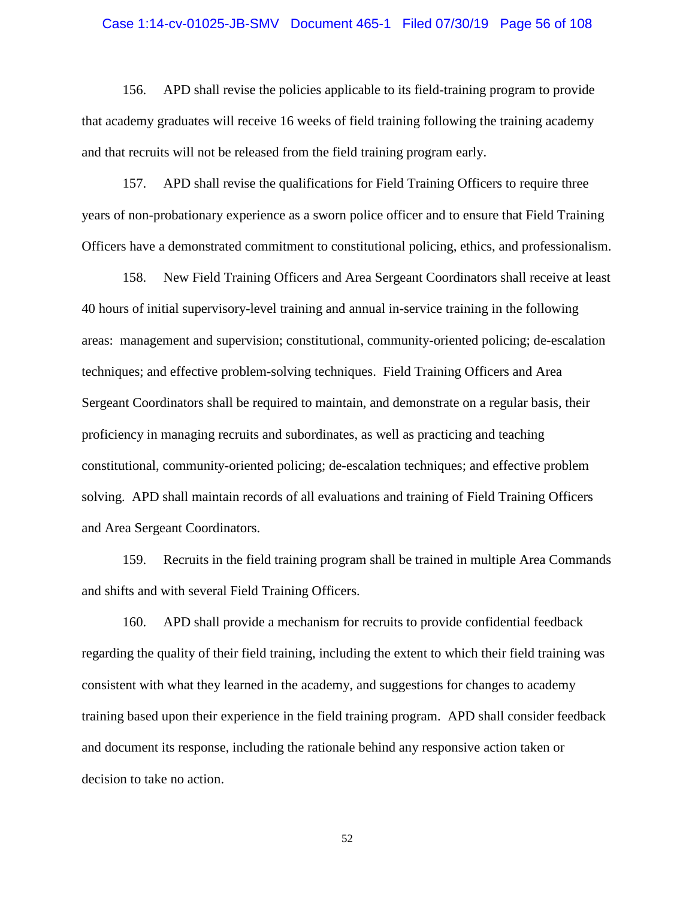#### Case 1:14-cv-01025-JB-SMV Document 465-1 Filed 07/30/19 Page 56 of 108

156. APD shall revise the policies applicable to its field-training program to provide that academy graduates will receive 16 weeks of field training following the training academy and that recruits will not be released from the field training program early.

157. APD shall revise the qualifications for Field Training Officers to require three years of non-probationary experience as a sworn police officer and to ensure that Field Training Officers have a demonstrated commitment to constitutional policing, ethics, and professionalism.

158. New Field Training Officers and Area Sergeant Coordinators shall receive at least 40 hours of initial supervisory-level training and annual in-service training in the following areas: management and supervision; constitutional, community-oriented policing; de-escalation techniques; and effective problem-solving techniques. Field Training Officers and Area Sergeant Coordinators shall be required to maintain, and demonstrate on a regular basis, their proficiency in managing recruits and subordinates, as well as practicing and teaching constitutional, community-oriented policing; de-escalation techniques; and effective problem solving. APD shall maintain records of all evaluations and training of Field Training Officers and Area Sergeant Coordinators.

159. Recruits in the field training program shall be trained in multiple Area Commands and shifts and with several Field Training Officers.

160. APD shall provide a mechanism for recruits to provide confidential feedback regarding the quality of their field training, including the extent to which their field training was consistent with what they learned in the academy, and suggestions for changes to academy training based upon their experience in the field training program. APD shall consider feedback and document its response, including the rationale behind any responsive action taken or decision to take no action.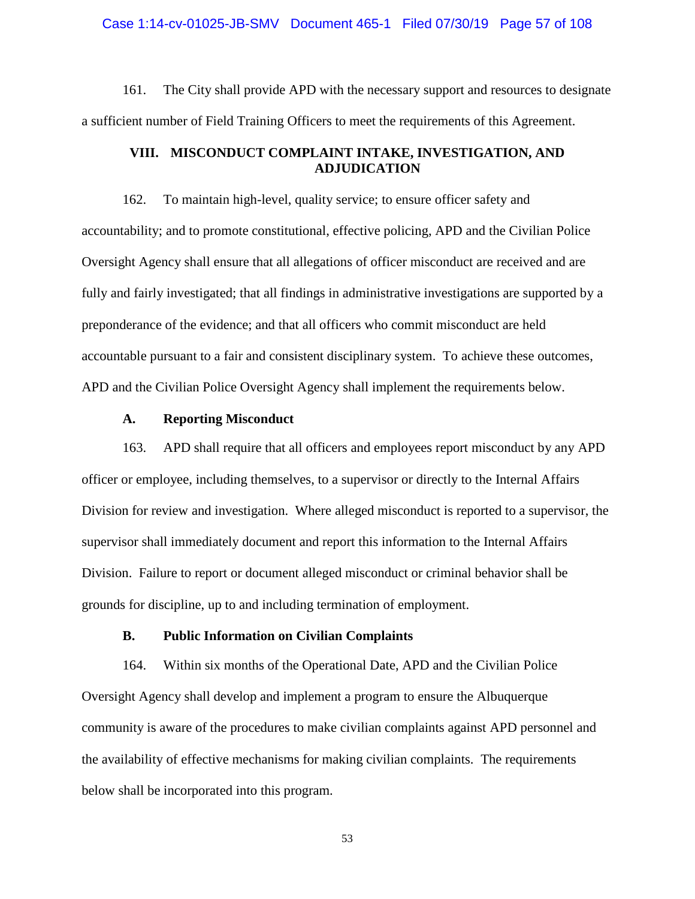#### Case 1:14-cv-01025-JB-SMV Document 465-1 Filed 07/30/19 Page 57 of 108

161. The City shall provide APD with the necessary support and resources to designate a sufficient number of Field Training Officers to meet the requirements of this Agreement.

## **VIII. MISCONDUCT COMPLAINT INTAKE, INVESTIGATION, AND ADJUDICATION**

162. To maintain high-level, quality service; to ensure officer safety and accountability; and to promote constitutional, effective policing, APD and the Civilian Police Oversight Agency shall ensure that all allegations of officer misconduct are received and are fully and fairly investigated; that all findings in administrative investigations are supported by a preponderance of the evidence; and that all officers who commit misconduct are held accountable pursuant to a fair and consistent disciplinary system. To achieve these outcomes, APD and the Civilian Police Oversight Agency shall implement the requirements below.

## **A. Reporting Misconduct**

163. APD shall require that all officers and employees report misconduct by any APD officer or employee, including themselves, to a supervisor or directly to the Internal Affairs Division for review and investigation. Where alleged misconduct is reported to a supervisor, the supervisor shall immediately document and report this information to the Internal Affairs Division. Failure to report or document alleged misconduct or criminal behavior shall be grounds for discipline, up to and including termination of employment.

#### **B. Public Information on Civilian Complaints**

164. Within six months of the Operational Date, APD and the Civilian Police Oversight Agency shall develop and implement a program to ensure the Albuquerque community is aware of the procedures to make civilian complaints against APD personnel and the availability of effective mechanisms for making civilian complaints. The requirements below shall be incorporated into this program.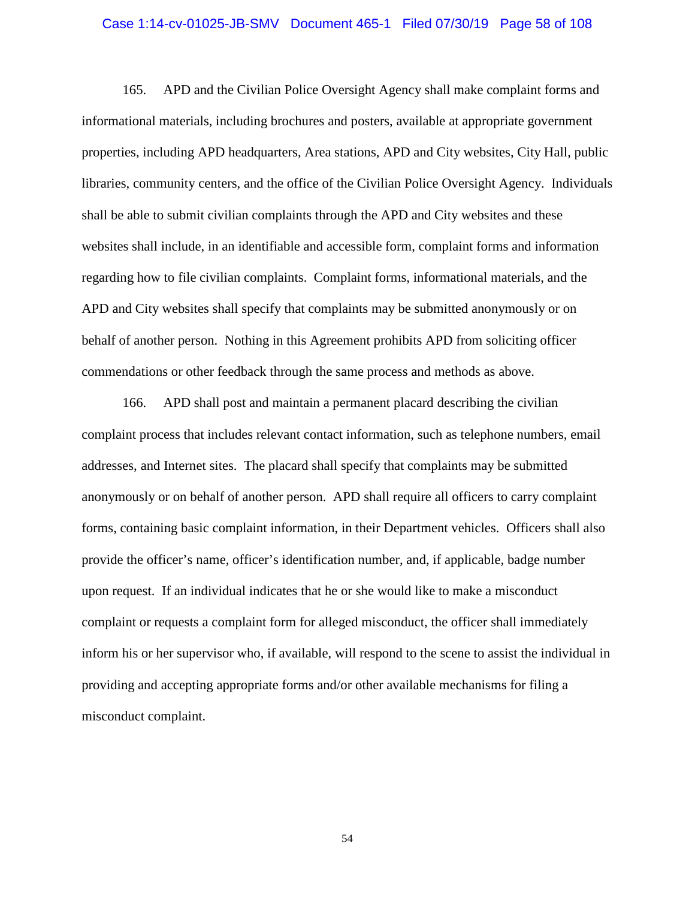#### Case 1:14-cv-01025-JB-SMV Document 465-1 Filed 07/30/19 Page 58 of 108

165. APD and the Civilian Police Oversight Agency shall make complaint forms and informational materials, including brochures and posters, available at appropriate government properties, including APD headquarters, Area stations, APD and City websites, City Hall, public libraries, community centers, and the office of the Civilian Police Oversight Agency. Individuals shall be able to submit civilian complaints through the APD and City websites and these websites shall include, in an identifiable and accessible form, complaint forms and information regarding how to file civilian complaints. Complaint forms, informational materials, and the APD and City websites shall specify that complaints may be submitted anonymously or on behalf of another person. Nothing in this Agreement prohibits APD from soliciting officer commendations or other feedback through the same process and methods as above.

166. APD shall post and maintain a permanent placard describing the civilian complaint process that includes relevant contact information, such as telephone numbers, email addresses, and Internet sites. The placard shall specify that complaints may be submitted anonymously or on behalf of another person. APD shall require all officers to carry complaint forms, containing basic complaint information, in their Department vehicles. Officers shall also provide the officer's name, officer's identification number, and, if applicable, badge number upon request. If an individual indicates that he or she would like to make a misconduct complaint or requests a complaint form for alleged misconduct, the officer shall immediately inform his or her supervisor who, if available, will respond to the scene to assist the individual in providing and accepting appropriate forms and/or other available mechanisms for filing a misconduct complaint.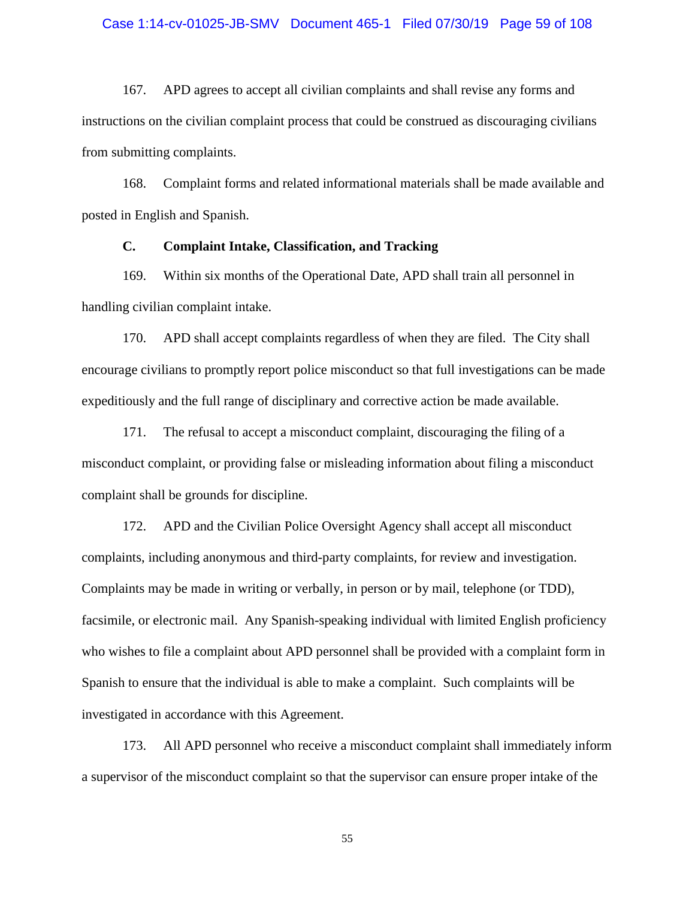#### Case 1:14-cv-01025-JB-SMV Document 465-1 Filed 07/30/19 Page 59 of 108

167. APD agrees to accept all civilian complaints and shall revise any forms and instructions on the civilian complaint process that could be construed as discouraging civilians from submitting complaints.

168. Complaint forms and related informational materials shall be made available and posted in English and Spanish.

## **C. Complaint Intake, Classification, and Tracking**

169. Within six months of the Operational Date, APD shall train all personnel in handling civilian complaint intake.

170. APD shall accept complaints regardless of when they are filed. The City shall encourage civilians to promptly report police misconduct so that full investigations can be made expeditiously and the full range of disciplinary and corrective action be made available.

171. The refusal to accept a misconduct complaint, discouraging the filing of a misconduct complaint, or providing false or misleading information about filing a misconduct complaint shall be grounds for discipline.

172. APD and the Civilian Police Oversight Agency shall accept all misconduct complaints, including anonymous and third-party complaints, for review and investigation. Complaints may be made in writing or verbally, in person or by mail, telephone (or TDD), facsimile, or electronic mail. Any Spanish-speaking individual with limited English proficiency who wishes to file a complaint about APD personnel shall be provided with a complaint form in Spanish to ensure that the individual is able to make a complaint. Such complaints will be investigated in accordance with this Agreement.

173. All APD personnel who receive a misconduct complaint shall immediately inform a supervisor of the misconduct complaint so that the supervisor can ensure proper intake of the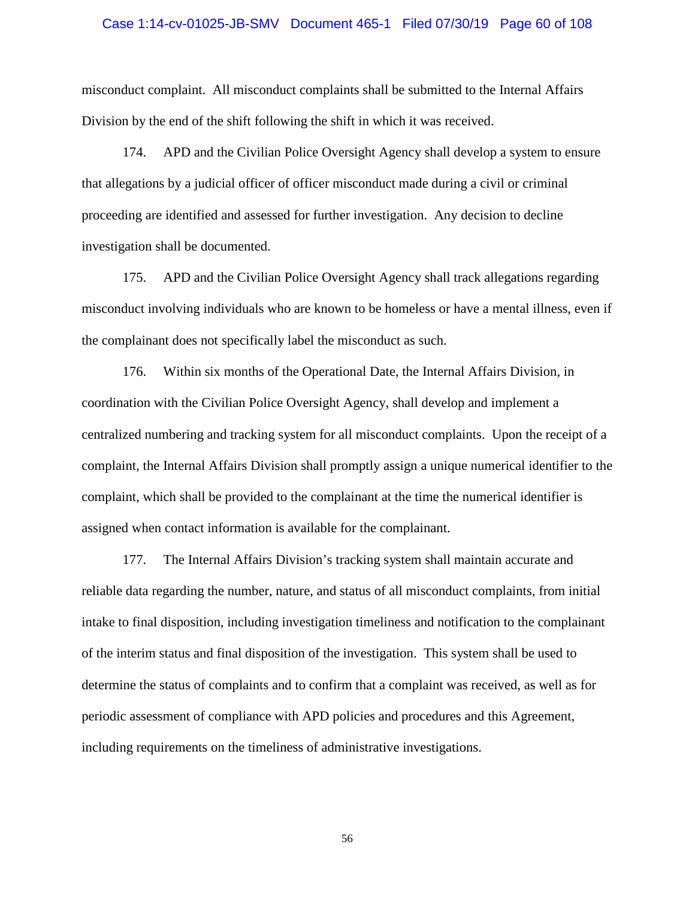#### Case 1:14-cv-01025-JB-SMV Document 465-1 Filed 07/30/19 Page 60 of 108

misconduct complaint. All misconduct complaints shall be submitted to the Internal Affairs Division by the end of the shift following the shift in which it was received.

174. APD and the Civilian Police Oversight Agency shall develop a system to ensure that allegations by a judicial officer of officer misconduct made during a civil or criminal proceeding are identified and assessed for further investigation. Any decision to decline investigation shall be documented.

175. APD and the Civilian Police Oversight Agency shall track allegations regarding misconduct involving individuals who are known to be homeless or have a mental illness, even if the complainant does not specifically label the misconduct as such.

176. Within six months of the Operational Date, the Internal Affairs Division, in coordination with the Civilian Police Oversight Agency, shall develop and implement a centralized numbering and tracking system for all misconduct complaints. Upon the receipt of a complaint, the Internal Affairs Division shall promptly assign a unique numerical identifier to the complaint, which shall be provided to the complainant at the time the numerical identifier is assigned when contact information is available for the complainant.

177. The Internal Affairs Division's tracking system shall maintain accurate and reliable data regarding the number, nature, and status of all misconduct complaints, from initial intake to final disposition, including investigation timeliness and notification to the complainant of the interim status and final disposition of the investigation. This system shall be used to determine the status of complaints and to confirm that a complaint was received, as well as for periodic assessment of compliance with APD policies and procedures and this Agreement, including requirements on the timeliness of administrative investigations.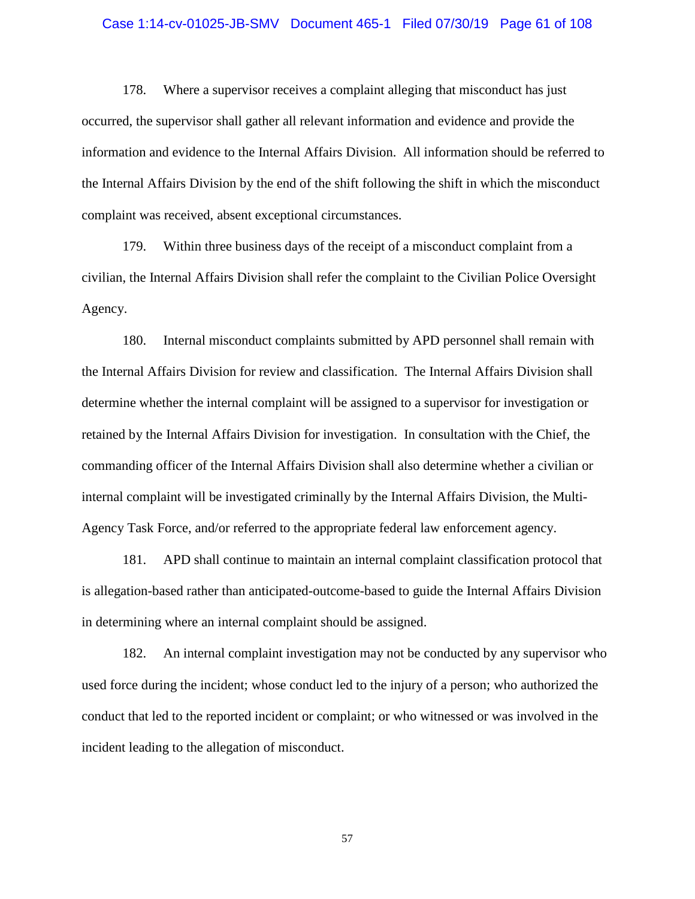#### Case 1:14-cv-01025-JB-SMV Document 465-1 Filed 07/30/19 Page 61 of 108

178. Where a supervisor receives a complaint alleging that misconduct has just occurred, the supervisor shall gather all relevant information and evidence and provide the information and evidence to the Internal Affairs Division. All information should be referred to the Internal Affairs Division by the end of the shift following the shift in which the misconduct complaint was received, absent exceptional circumstances.

179. Within three business days of the receipt of a misconduct complaint from a civilian, the Internal Affairs Division shall refer the complaint to the Civilian Police Oversight Agency.

180. Internal misconduct complaints submitted by APD personnel shall remain with the Internal Affairs Division for review and classification. The Internal Affairs Division shall determine whether the internal complaint will be assigned to a supervisor for investigation or retained by the Internal Affairs Division for investigation. In consultation with the Chief, the commanding officer of the Internal Affairs Division shall also determine whether a civilian or internal complaint will be investigated criminally by the Internal Affairs Division, the Multi-Agency Task Force, and/or referred to the appropriate federal law enforcement agency.

181. APD shall continue to maintain an internal complaint classification protocol that is allegation-based rather than anticipated-outcome-based to guide the Internal Affairs Division in determining where an internal complaint should be assigned.

182. An internal complaint investigation may not be conducted by any supervisor who used force during the incident; whose conduct led to the injury of a person; who authorized the conduct that led to the reported incident or complaint; or who witnessed or was involved in the incident leading to the allegation of misconduct.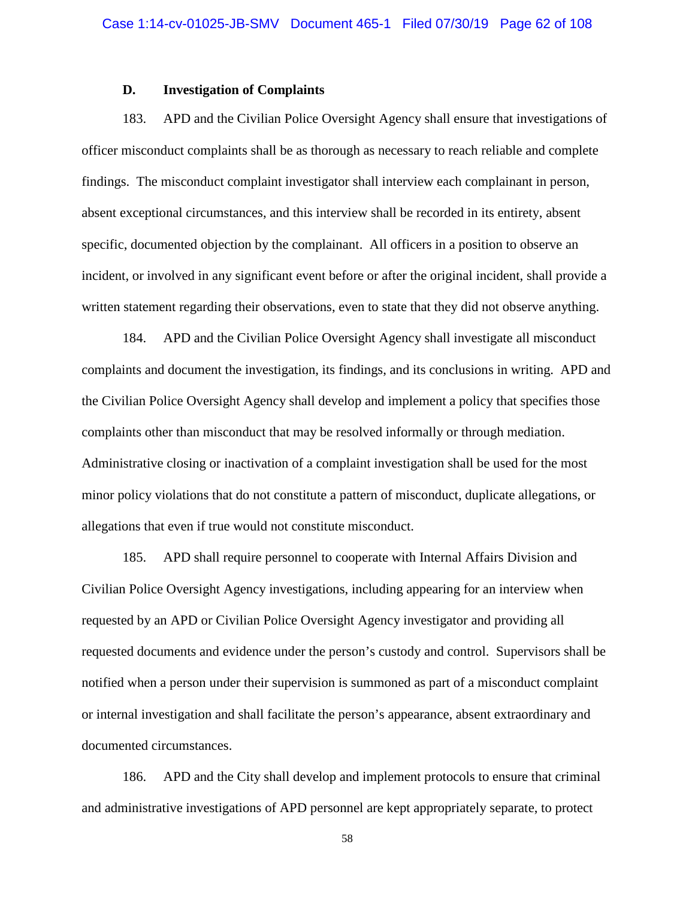### **D. Investigation of Complaints**

183. APD and the Civilian Police Oversight Agency shall ensure that investigations of officer misconduct complaints shall be as thorough as necessary to reach reliable and complete findings. The misconduct complaint investigator shall interview each complainant in person, absent exceptional circumstances, and this interview shall be recorded in its entirety, absent specific, documented objection by the complainant. All officers in a position to observe an incident, or involved in any significant event before or after the original incident, shall provide a written statement regarding their observations, even to state that they did not observe anything.

184. APD and the Civilian Police Oversight Agency shall investigate all misconduct complaints and document the investigation, its findings, and its conclusions in writing. APD and the Civilian Police Oversight Agency shall develop and implement a policy that specifies those complaints other than misconduct that may be resolved informally or through mediation. Administrative closing or inactivation of a complaint investigation shall be used for the most minor policy violations that do not constitute a pattern of misconduct, duplicate allegations, or allegations that even if true would not constitute misconduct.

185. APD shall require personnel to cooperate with Internal Affairs Division and Civilian Police Oversight Agency investigations, including appearing for an interview when requested by an APD or Civilian Police Oversight Agency investigator and providing all requested documents and evidence under the person's custody and control. Supervisors shall be notified when a person under their supervision is summoned as part of a misconduct complaint or internal investigation and shall facilitate the person's appearance, absent extraordinary and documented circumstances.

186. APD and the City shall develop and implement protocols to ensure that criminal and administrative investigations of APD personnel are kept appropriately separate, to protect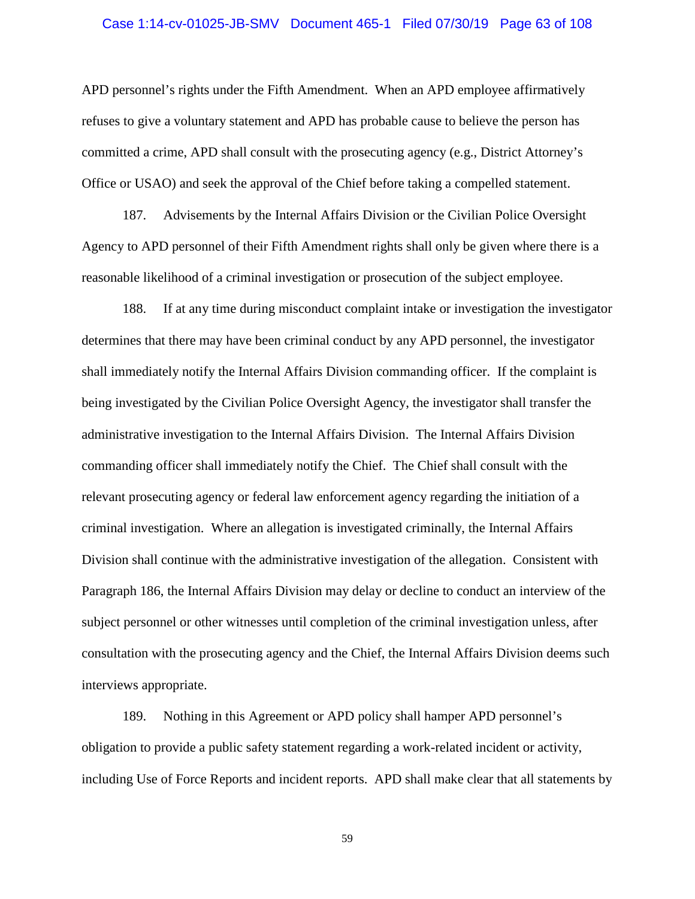#### Case 1:14-cv-01025-JB-SMV Document 465-1 Filed 07/30/19 Page 63 of 108

APD personnel's rights under the Fifth Amendment. When an APD employee affirmatively refuses to give a voluntary statement and APD has probable cause to believe the person has committed a crime, APD shall consult with the prosecuting agency (e.g., District Attorney's Office or USAO) and seek the approval of the Chief before taking a compelled statement.

187. Advisements by the Internal Affairs Division or the Civilian Police Oversight Agency to APD personnel of their Fifth Amendment rights shall only be given where there is a reasonable likelihood of a criminal investigation or prosecution of the subject employee.

188. If at any time during misconduct complaint intake or investigation the investigator determines that there may have been criminal conduct by any APD personnel, the investigator shall immediately notify the Internal Affairs Division commanding officer. If the complaint is being investigated by the Civilian Police Oversight Agency, the investigator shall transfer the administrative investigation to the Internal Affairs Division. The Internal Affairs Division commanding officer shall immediately notify the Chief. The Chief shall consult with the relevant prosecuting agency or federal law enforcement agency regarding the initiation of a criminal investigation. Where an allegation is investigated criminally, the Internal Affairs Division shall continue with the administrative investigation of the allegation. Consistent with Paragraph 186, the Internal Affairs Division may delay or decline to conduct an interview of the subject personnel or other witnesses until completion of the criminal investigation unless, after consultation with the prosecuting agency and the Chief, the Internal Affairs Division deems such interviews appropriate.

189. Nothing in this Agreement or APD policy shall hamper APD personnel's obligation to provide a public safety statement regarding a work-related incident or activity, including Use of Force Reports and incident reports. APD shall make clear that all statements by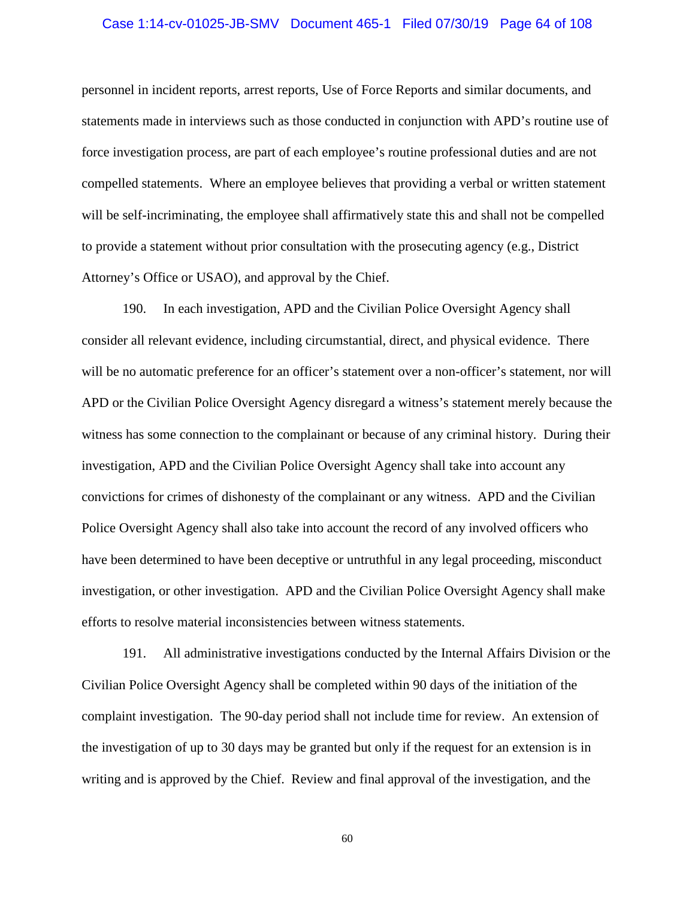#### Case 1:14-cv-01025-JB-SMV Document 465-1 Filed 07/30/19 Page 64 of 108

personnel in incident reports, arrest reports, Use of Force Reports and similar documents, and statements made in interviews such as those conducted in conjunction with APD's routine use of force investigation process, are part of each employee's routine professional duties and are not compelled statements. Where an employee believes that providing a verbal or written statement will be self-incriminating, the employee shall affirmatively state this and shall not be compelled to provide a statement without prior consultation with the prosecuting agency (e.g., District Attorney's Office or USAO), and approval by the Chief.

190. In each investigation, APD and the Civilian Police Oversight Agency shall consider all relevant evidence, including circumstantial, direct, and physical evidence. There will be no automatic preference for an officer's statement over a non-officer's statement, nor will APD or the Civilian Police Oversight Agency disregard a witness's statement merely because the witness has some connection to the complainant or because of any criminal history. During their investigation, APD and the Civilian Police Oversight Agency shall take into account any convictions for crimes of dishonesty of the complainant or any witness. APD and the Civilian Police Oversight Agency shall also take into account the record of any involved officers who have been determined to have been deceptive or untruthful in any legal proceeding, misconduct investigation, or other investigation. APD and the Civilian Police Oversight Agency shall make efforts to resolve material inconsistencies between witness statements.

191. All administrative investigations conducted by the Internal Affairs Division or the Civilian Police Oversight Agency shall be completed within 90 days of the initiation of the complaint investigation. The 90-day period shall not include time for review. An extension of the investigation of up to 30 days may be granted but only if the request for an extension is in writing and is approved by the Chief. Review and final approval of the investigation, and the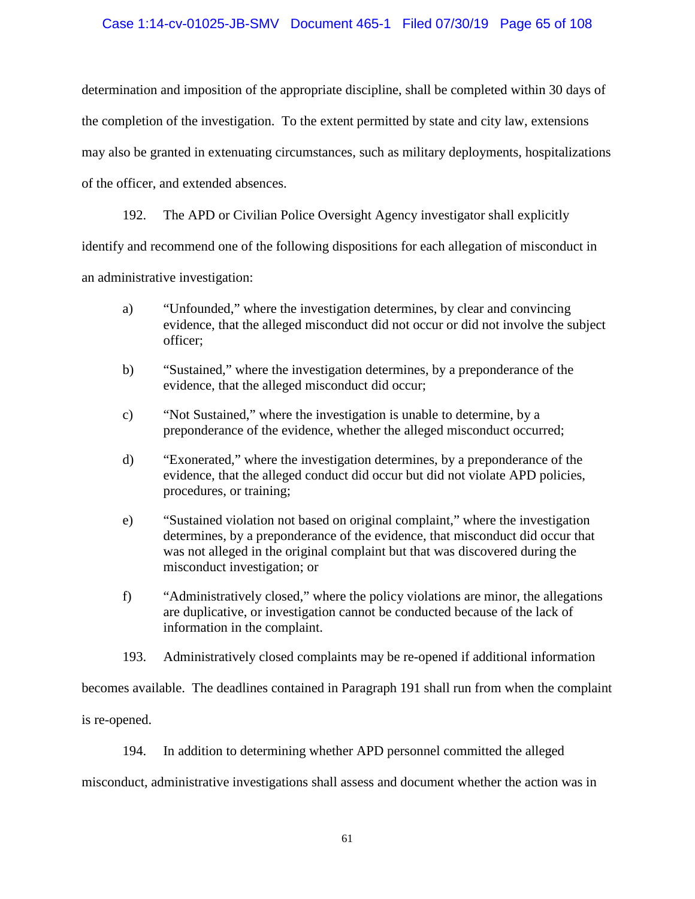## Case 1:14-cv-01025-JB-SMV Document 465-1 Filed 07/30/19 Page 65 of 108

determination and imposition of the appropriate discipline, shall be completed within 30 days of the completion of the investigation. To the extent permitted by state and city law, extensions may also be granted in extenuating circumstances, such as military deployments, hospitalizations of the officer, and extended absences.

192. The APD or Civilian Police Oversight Agency investigator shall explicitly identify and recommend one of the following dispositions for each allegation of misconduct in an administrative investigation:

- a) "Unfounded," where the investigation determines, by clear and convincing evidence, that the alleged misconduct did not occur or did not involve the subject officer;
- b) "Sustained," where the investigation determines, by a preponderance of the evidence, that the alleged misconduct did occur;
- c) "Not Sustained," where the investigation is unable to determine, by a preponderance of the evidence, whether the alleged misconduct occurred;
- d) "Exonerated," where the investigation determines, by a preponderance of the evidence, that the alleged conduct did occur but did not violate APD policies, procedures, or training;
- e) "Sustained violation not based on original complaint," where the investigation determines, by a preponderance of the evidence, that misconduct did occur that was not alleged in the original complaint but that was discovered during the misconduct investigation; or
- f) "Administratively closed," where the policy violations are minor, the allegations are duplicative, or investigation cannot be conducted because of the lack of information in the complaint.
- 193. Administratively closed complaints may be re-opened if additional information

becomes available. The deadlines contained in Paragraph 191 shall run from when the complaint is re-opened.

194. In addition to determining whether APD personnel committed the alleged misconduct, administrative investigations shall assess and document whether the action was in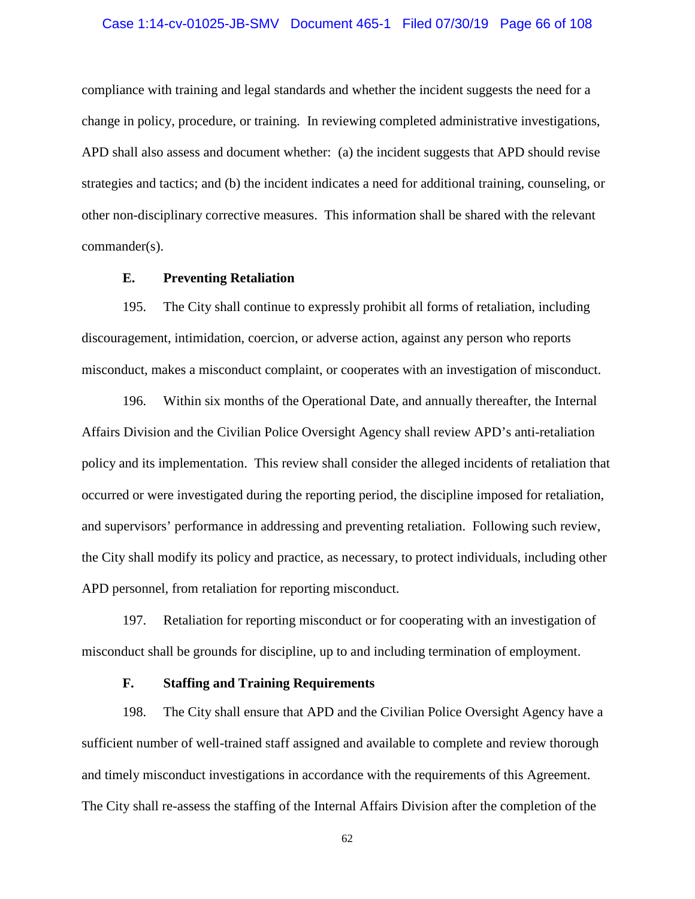#### Case 1:14-cv-01025-JB-SMV Document 465-1 Filed 07/30/19 Page 66 of 108

compliance with training and legal standards and whether the incident suggests the need for a change in policy, procedure, or training. In reviewing completed administrative investigations, APD shall also assess and document whether: (a) the incident suggests that APD should revise strategies and tactics; and (b) the incident indicates a need for additional training, counseling, or other non-disciplinary corrective measures. This information shall be shared with the relevant commander(s).

#### **E. Preventing Retaliation**

195. The City shall continue to expressly prohibit all forms of retaliation, including discouragement, intimidation, coercion, or adverse action, against any person who reports misconduct, makes a misconduct complaint, or cooperates with an investigation of misconduct.

196. Within six months of the Operational Date, and annually thereafter, the Internal Affairs Division and the Civilian Police Oversight Agency shall review APD's anti-retaliation policy and its implementation. This review shall consider the alleged incidents of retaliation that occurred or were investigated during the reporting period, the discipline imposed for retaliation, and supervisors' performance in addressing and preventing retaliation. Following such review, the City shall modify its policy and practice, as necessary, to protect individuals, including other APD personnel, from retaliation for reporting misconduct.

197. Retaliation for reporting misconduct or for cooperating with an investigation of misconduct shall be grounds for discipline, up to and including termination of employment.

## **F. Staffing and Training Requirements**

198. The City shall ensure that APD and the Civilian Police Oversight Agency have a sufficient number of well-trained staff assigned and available to complete and review thorough and timely misconduct investigations in accordance with the requirements of this Agreement. The City shall re-assess the staffing of the Internal Affairs Division after the completion of the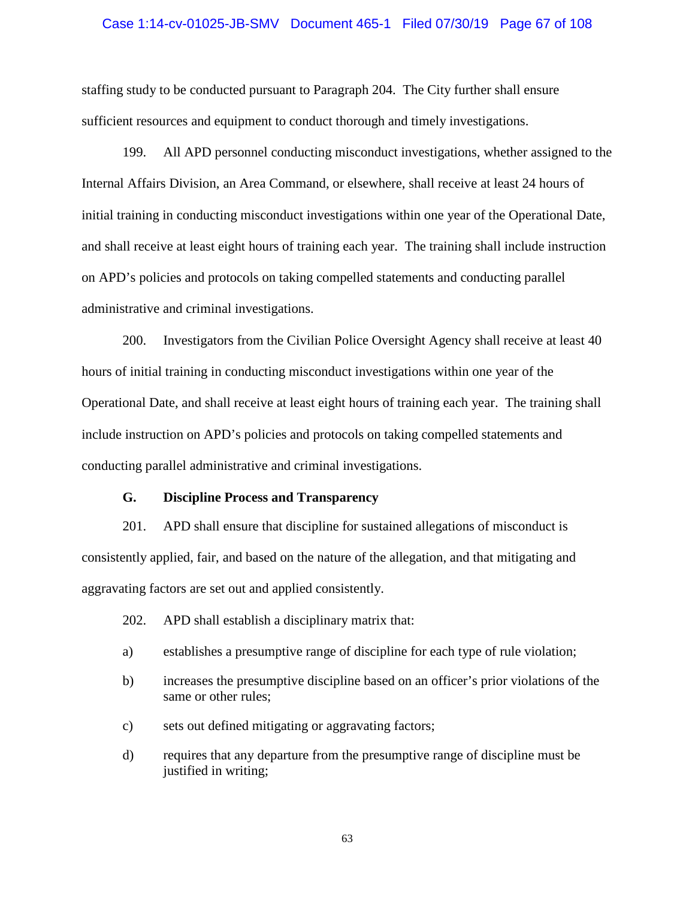#### Case 1:14-cv-01025-JB-SMV Document 465-1 Filed 07/30/19 Page 67 of 108

staffing study to be conducted pursuant to Paragraph 204. The City further shall ensure sufficient resources and equipment to conduct thorough and timely investigations.

199. All APD personnel conducting misconduct investigations, whether assigned to the Internal Affairs Division, an Area Command, or elsewhere, shall receive at least 24 hours of initial training in conducting misconduct investigations within one year of the Operational Date, and shall receive at least eight hours of training each year. The training shall include instruction on APD's policies and protocols on taking compelled statements and conducting parallel administrative and criminal investigations.

200. Investigators from the Civilian Police Oversight Agency shall receive at least 40 hours of initial training in conducting misconduct investigations within one year of the Operational Date, and shall receive at least eight hours of training each year. The training shall include instruction on APD's policies and protocols on taking compelled statements and conducting parallel administrative and criminal investigations.

## **G. Discipline Process and Transparency**

201. APD shall ensure that discipline for sustained allegations of misconduct is consistently applied, fair, and based on the nature of the allegation, and that mitigating and aggravating factors are set out and applied consistently.

- 202. APD shall establish a disciplinary matrix that:
- a) establishes a presumptive range of discipline for each type of rule violation;
- b) increases the presumptive discipline based on an officer's prior violations of the same or other rules;
- c) sets out defined mitigating or aggravating factors;
- d) requires that any departure from the presumptive range of discipline must be justified in writing;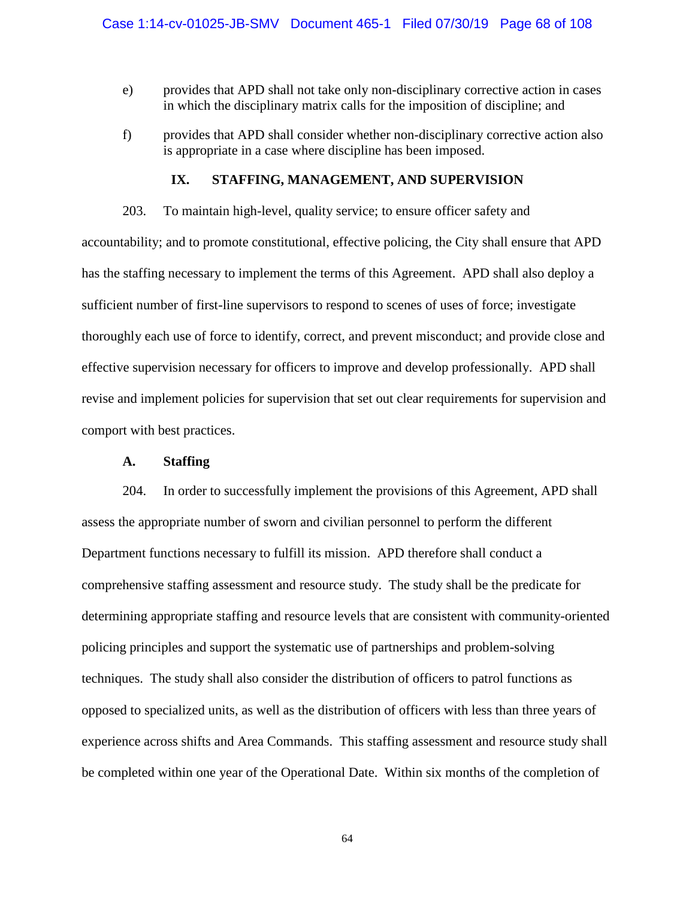- e) provides that APD shall not take only non-disciplinary corrective action in cases in which the disciplinary matrix calls for the imposition of discipline; and
- f) provides that APD shall consider whether non-disciplinary corrective action also is appropriate in a case where discipline has been imposed.

## **IX. STAFFING, MANAGEMENT, AND SUPERVISION**

203. To maintain high-level, quality service; to ensure officer safety and accountability; and to promote constitutional, effective policing, the City shall ensure that APD has the staffing necessary to implement the terms of this Agreement. APD shall also deploy a sufficient number of first-line supervisors to respond to scenes of uses of force; investigate thoroughly each use of force to identify, correct, and prevent misconduct; and provide close and effective supervision necessary for officers to improve and develop professionally. APD shall revise and implement policies for supervision that set out clear requirements for supervision and comport with best practices.

### **A. Staffing**

204. In order to successfully implement the provisions of this Agreement, APD shall assess the appropriate number of sworn and civilian personnel to perform the different Department functions necessary to fulfill its mission. APD therefore shall conduct a comprehensive staffing assessment and resource study. The study shall be the predicate for determining appropriate staffing and resource levels that are consistent with community-oriented policing principles and support the systematic use of partnerships and problem-solving techniques. The study shall also consider the distribution of officers to patrol functions as opposed to specialized units, as well as the distribution of officers with less than three years of experience across shifts and Area Commands. This staffing assessment and resource study shall be completed within one year of the Operational Date. Within six months of the completion of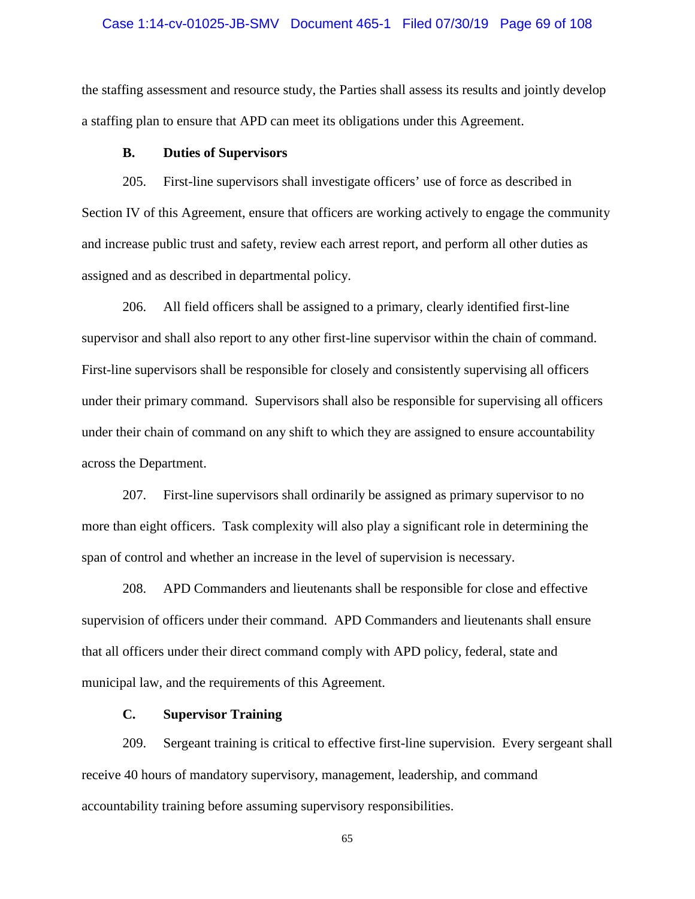#### Case 1:14-cv-01025-JB-SMV Document 465-1 Filed 07/30/19 Page 69 of 108

the staffing assessment and resource study, the Parties shall assess its results and jointly develop a staffing plan to ensure that APD can meet its obligations under this Agreement.

### **B. Duties of Supervisors**

205. First-line supervisors shall investigate officers' use of force as described in Section IV of this Agreement, ensure that officers are working actively to engage the community and increase public trust and safety, review each arrest report, and perform all other duties as assigned and as described in departmental policy.

206. All field officers shall be assigned to a primary, clearly identified first-line supervisor and shall also report to any other first-line supervisor within the chain of command. First-line supervisors shall be responsible for closely and consistently supervising all officers under their primary command. Supervisors shall also be responsible for supervising all officers under their chain of command on any shift to which they are assigned to ensure accountability across the Department.

207. First-line supervisors shall ordinarily be assigned as primary supervisor to no more than eight officers. Task complexity will also play a significant role in determining the span of control and whether an increase in the level of supervision is necessary.

208. APD Commanders and lieutenants shall be responsible for close and effective supervision of officers under their command. APD Commanders and lieutenants shall ensure that all officers under their direct command comply with APD policy, federal, state and municipal law, and the requirements of this Agreement.

### **C. Supervisor Training**

209. Sergeant training is critical to effective first-line supervision. Every sergeant shall receive 40 hours of mandatory supervisory, management, leadership, and command accountability training before assuming supervisory responsibilities.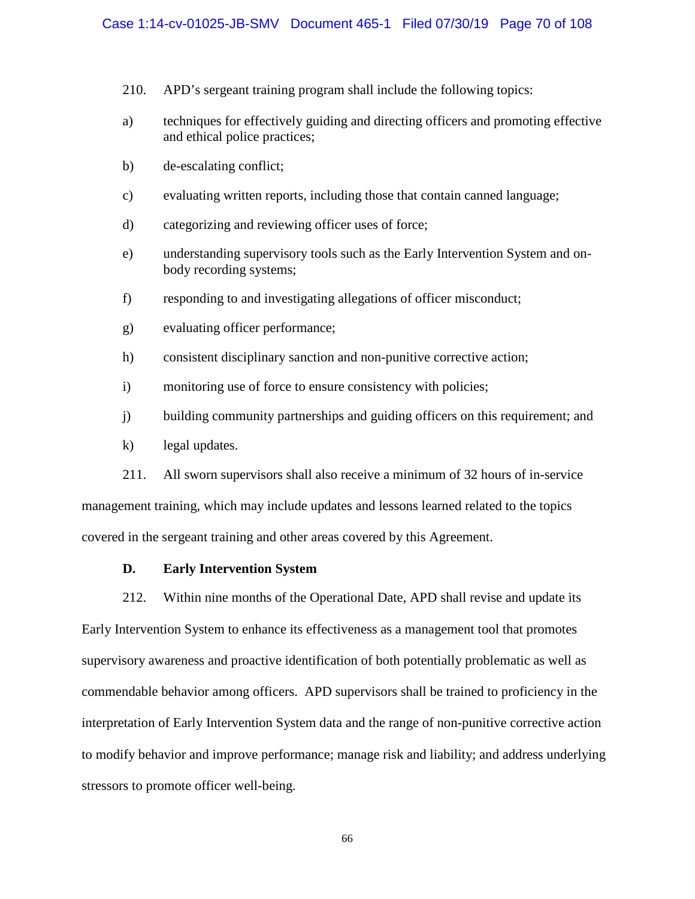- 210. APD's sergeant training program shall include the following topics:
- a) techniques for effectively guiding and directing officers and promoting effective and ethical police practices;
- b) de-escalating conflict;
- c) evaluating written reports, including those that contain canned language;
- d) categorizing and reviewing officer uses of force;
- e) understanding supervisory tools such as the Early Intervention System and onbody recording systems;
- f) responding to and investigating allegations of officer misconduct;
- g) evaluating officer performance;
- h) consistent disciplinary sanction and non-punitive corrective action;
- i) monitoring use of force to ensure consistency with policies;
- j) building community partnerships and guiding officers on this requirement; and
- k) legal updates.

211. All sworn supervisors shall also receive a minimum of 32 hours of in-service management training, which may include updates and lessons learned related to the topics covered in the sergeant training and other areas covered by this Agreement.

# **D. Early Intervention System**

212. Within nine months of the Operational Date, APD shall revise and update its Early Intervention System to enhance its effectiveness as a management tool that promotes supervisory awareness and proactive identification of both potentially problematic as well as commendable behavior among officers. APD supervisors shall be trained to proficiency in the interpretation of Early Intervention System data and the range of non-punitive corrective action to modify behavior and improve performance; manage risk and liability; and address underlying stressors to promote officer well-being.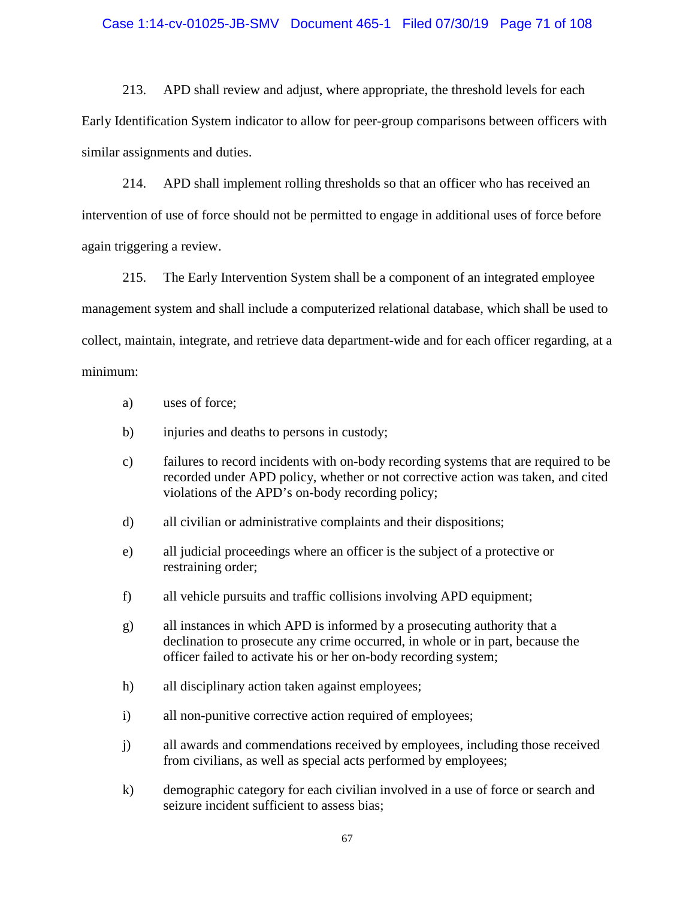### Case 1:14-cv-01025-JB-SMV Document 465-1 Filed 07/30/19 Page 71 of 108

213. APD shall review and adjust, where appropriate, the threshold levels for each Early Identification System indicator to allow for peer-group comparisons between officers with similar assignments and duties.

214. APD shall implement rolling thresholds so that an officer who has received an intervention of use of force should not be permitted to engage in additional uses of force before again triggering a review.

215. The Early Intervention System shall be a component of an integrated employee management system and shall include a computerized relational database, which shall be used to collect, maintain, integrate, and retrieve data department-wide and for each officer regarding, at a minimum:

- a) uses of force;
- b) injuries and deaths to persons in custody;
- c) failures to record incidents with on-body recording systems that are required to be recorded under APD policy, whether or not corrective action was taken, and cited violations of the APD's on-body recording policy;
- d) all civilian or administrative complaints and their dispositions;
- e) all judicial proceedings where an officer is the subject of a protective or restraining order;
- f) all vehicle pursuits and traffic collisions involving APD equipment;
- g) all instances in which APD is informed by a prosecuting authority that a declination to prosecute any crime occurred, in whole or in part, because the officer failed to activate his or her on-body recording system;
- h) all disciplinary action taken against employees;
- i) all non-punitive corrective action required of employees;
- j) all awards and commendations received by employees, including those received from civilians, as well as special acts performed by employees;
- k) demographic category for each civilian involved in a use of force or search and seizure incident sufficient to assess bias;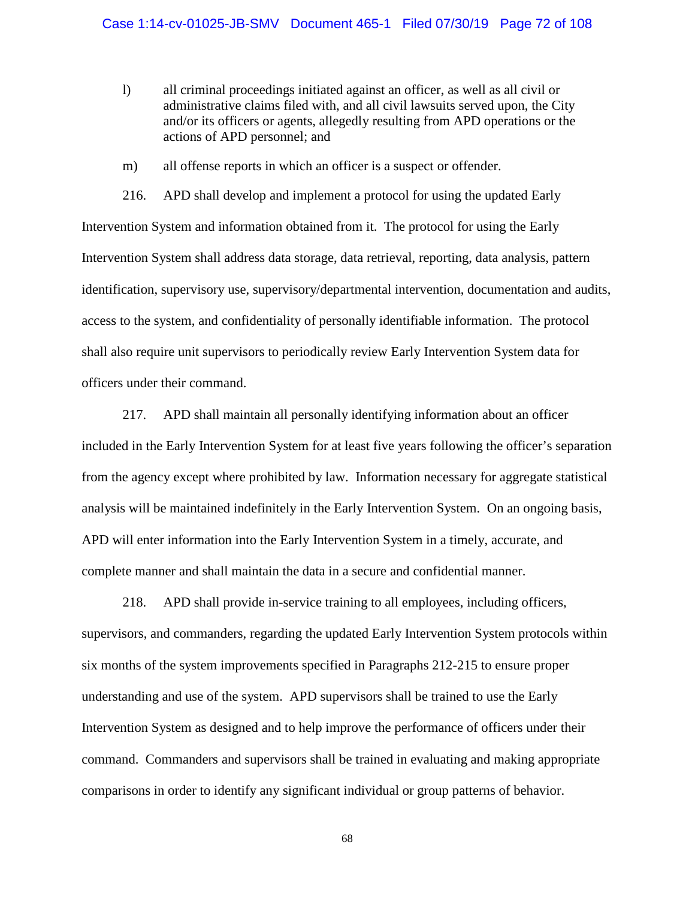- l) all criminal proceedings initiated against an officer, as well as all civil or administrative claims filed with, and all civil lawsuits served upon, the City and/or its officers or agents, allegedly resulting from APD operations or the actions of APD personnel; and
- m) all offense reports in which an officer is a suspect or offender.

216. APD shall develop and implement a protocol for using the updated Early Intervention System and information obtained from it. The protocol for using the Early Intervention System shall address data storage, data retrieval, reporting, data analysis, pattern identification, supervisory use, supervisory/departmental intervention, documentation and audits, access to the system, and confidentiality of personally identifiable information. The protocol shall also require unit supervisors to periodically review Early Intervention System data for officers under their command.

217. APD shall maintain all personally identifying information about an officer included in the Early Intervention System for at least five years following the officer's separation from the agency except where prohibited by law. Information necessary for aggregate statistical analysis will be maintained indefinitely in the Early Intervention System. On an ongoing basis, APD will enter information into the Early Intervention System in a timely, accurate, and complete manner and shall maintain the data in a secure and confidential manner.

218. APD shall provide in-service training to all employees, including officers, supervisors, and commanders, regarding the updated Early Intervention System protocols within six months of the system improvements specified in Paragraphs 212-215 to ensure proper understanding and use of the system. APD supervisors shall be trained to use the Early Intervention System as designed and to help improve the performance of officers under their command. Commanders and supervisors shall be trained in evaluating and making appropriate comparisons in order to identify any significant individual or group patterns of behavior.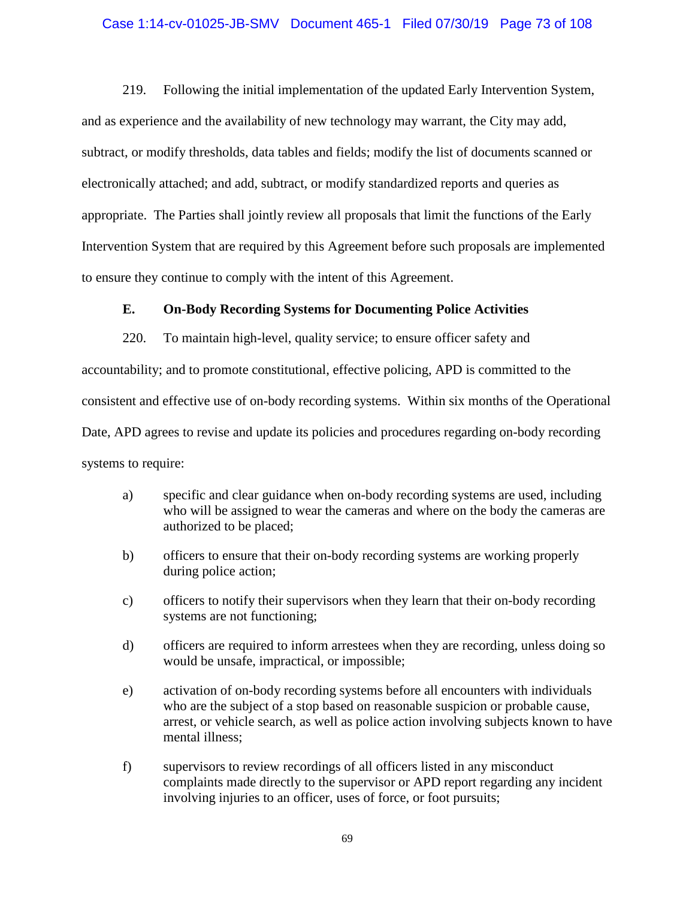## Case 1:14-cv-01025-JB-SMV Document 465-1 Filed 07/30/19 Page 73 of 108

219. Following the initial implementation of the updated Early Intervention System, and as experience and the availability of new technology may warrant, the City may add, subtract, or modify thresholds, data tables and fields; modify the list of documents scanned or electronically attached; and add, subtract, or modify standardized reports and queries as appropriate. The Parties shall jointly review all proposals that limit the functions of the Early Intervention System that are required by this Agreement before such proposals are implemented to ensure they continue to comply with the intent of this Agreement.

## **E. On-Body Recording Systems for Documenting Police Activities**

220. To maintain high-level, quality service; to ensure officer safety and accountability; and to promote constitutional, effective policing, APD is committed to the consistent and effective use of on-body recording systems. Within six months of the Operational Date, APD agrees to revise and update its policies and procedures regarding on-body recording systems to require:

- a) specific and clear guidance when on-body recording systems are used, including who will be assigned to wear the cameras and where on the body the cameras are authorized to be placed;
- b) officers to ensure that their on-body recording systems are working properly during police action;
- c) officers to notify their supervisors when they learn that their on-body recording systems are not functioning;
- d) officers are required to inform arrestees when they are recording, unless doing so would be unsafe, impractical, or impossible;
- e) activation of on-body recording systems before all encounters with individuals who are the subject of a stop based on reasonable suspicion or probable cause, arrest, or vehicle search, as well as police action involving subjects known to have mental illness;
- f) supervisors to review recordings of all officers listed in any misconduct complaints made directly to the supervisor or APD report regarding any incident involving injuries to an officer, uses of force, or foot pursuits;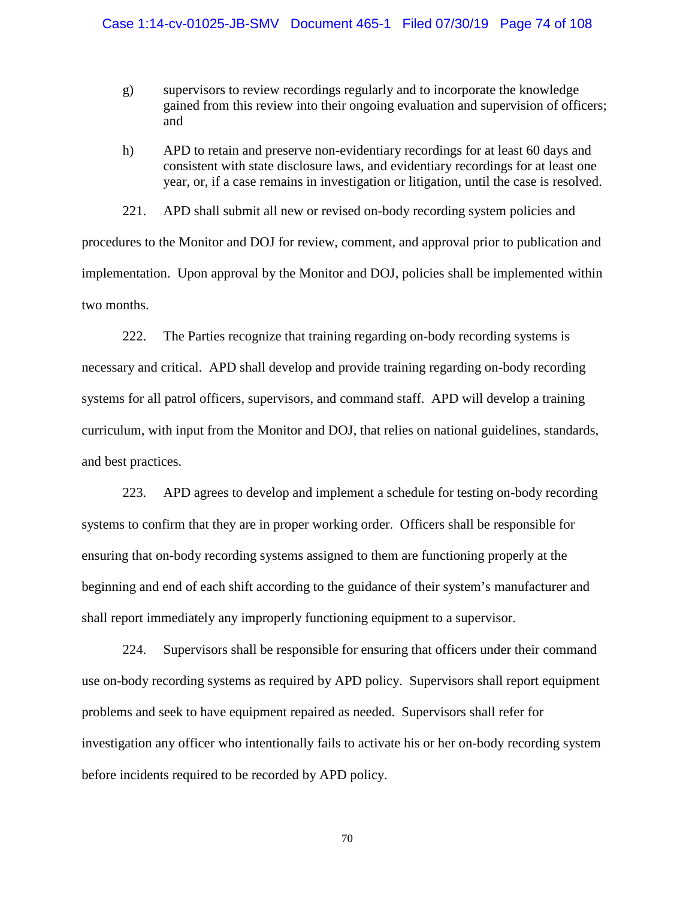- g) supervisors to review recordings regularly and to incorporate the knowledge gained from this review into their ongoing evaluation and supervision of officers; and
- h) APD to retain and preserve non-evidentiary recordings for at least 60 days and consistent with state disclosure laws, and evidentiary recordings for at least one year, or, if a case remains in investigation or litigation, until the case is resolved.

221. APD shall submit all new or revised on-body recording system policies and procedures to the Monitor and DOJ for review, comment, and approval prior to publication and implementation. Upon approval by the Monitor and DOJ, policies shall be implemented within two months.

222. The Parties recognize that training regarding on-body recording systems is necessary and critical. APD shall develop and provide training regarding on-body recording systems for all patrol officers, supervisors, and command staff. APD will develop a training curriculum, with input from the Monitor and DOJ, that relies on national guidelines, standards, and best practices.

223. APD agrees to develop and implement a schedule for testing on-body recording systems to confirm that they are in proper working order. Officers shall be responsible for ensuring that on-body recording systems assigned to them are functioning properly at the beginning and end of each shift according to the guidance of their system's manufacturer and shall report immediately any improperly functioning equipment to a supervisor.

224. Supervisors shall be responsible for ensuring that officers under their command use on-body recording systems as required by APD policy. Supervisors shall report equipment problems and seek to have equipment repaired as needed. Supervisors shall refer for investigation any officer who intentionally fails to activate his or her on-body recording system before incidents required to be recorded by APD policy.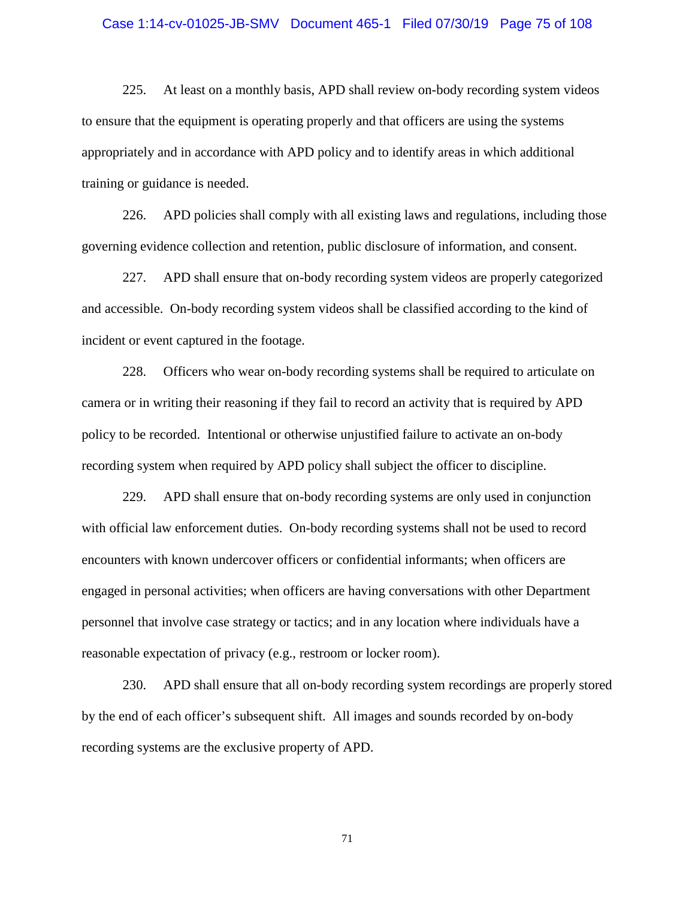### Case 1:14-cv-01025-JB-SMV Document 465-1 Filed 07/30/19 Page 75 of 108

225. At least on a monthly basis, APD shall review on-body recording system videos to ensure that the equipment is operating properly and that officers are using the systems appropriately and in accordance with APD policy and to identify areas in which additional training or guidance is needed.

226. APD policies shall comply with all existing laws and regulations, including those governing evidence collection and retention, public disclosure of information, and consent.

227. APD shall ensure that on-body recording system videos are properly categorized and accessible. On-body recording system videos shall be classified according to the kind of incident or event captured in the footage.

228. Officers who wear on-body recording systems shall be required to articulate on camera or in writing their reasoning if they fail to record an activity that is required by APD policy to be recorded. Intentional or otherwise unjustified failure to activate an on-body recording system when required by APD policy shall subject the officer to discipline.

229. APD shall ensure that on-body recording systems are only used in conjunction with official law enforcement duties. On-body recording systems shall not be used to record encounters with known undercover officers or confidential informants; when officers are engaged in personal activities; when officers are having conversations with other Department personnel that involve case strategy or tactics; and in any location where individuals have a reasonable expectation of privacy (e.g., restroom or locker room).

230. APD shall ensure that all on-body recording system recordings are properly stored by the end of each officer's subsequent shift. All images and sounds recorded by on-body recording systems are the exclusive property of APD.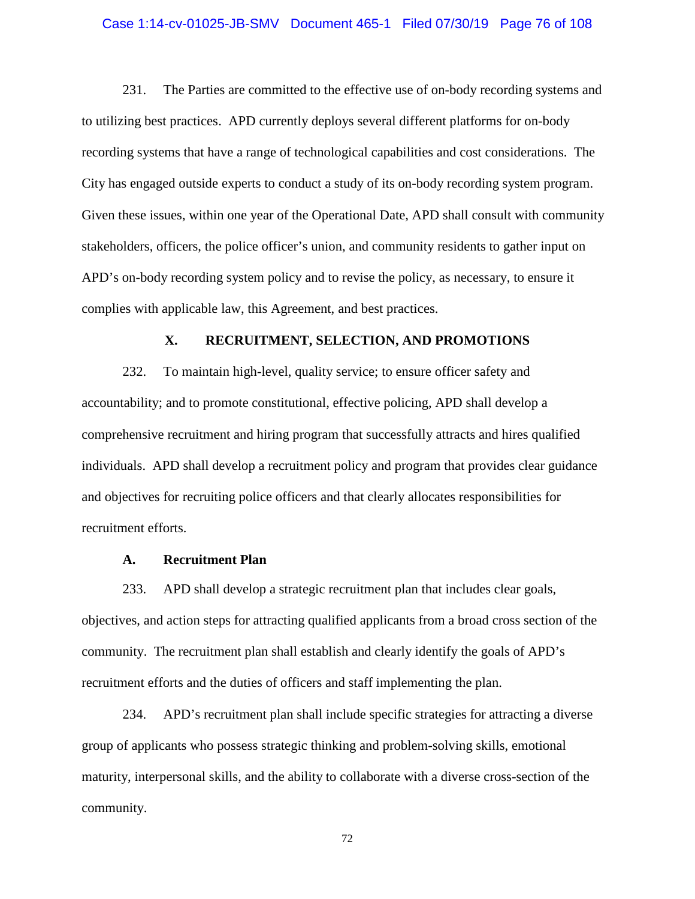### Case 1:14-cv-01025-JB-SMV Document 465-1 Filed 07/30/19 Page 76 of 108

231. The Parties are committed to the effective use of on-body recording systems and to utilizing best practices. APD currently deploys several different platforms for on-body recording systems that have a range of technological capabilities and cost considerations. The City has engaged outside experts to conduct a study of its on-body recording system program. Given these issues, within one year of the Operational Date, APD shall consult with community stakeholders, officers, the police officer's union, and community residents to gather input on APD's on-body recording system policy and to revise the policy, as necessary, to ensure it complies with applicable law, this Agreement, and best practices.

### **X. RECRUITMENT, SELECTION, AND PROMOTIONS**

232. To maintain high-level, quality service; to ensure officer safety and accountability; and to promote constitutional, effective policing, APD shall develop a comprehensive recruitment and hiring program that successfully attracts and hires qualified individuals. APD shall develop a recruitment policy and program that provides clear guidance and objectives for recruiting police officers and that clearly allocates responsibilities for recruitment efforts.

### **A. Recruitment Plan**

233. APD shall develop a strategic recruitment plan that includes clear goals, objectives, and action steps for attracting qualified applicants from a broad cross section of the community. The recruitment plan shall establish and clearly identify the goals of APD's recruitment efforts and the duties of officers and staff implementing the plan.

234. APD's recruitment plan shall include specific strategies for attracting a diverse group of applicants who possess strategic thinking and problem-solving skills, emotional maturity, interpersonal skills, and the ability to collaborate with a diverse cross-section of the community.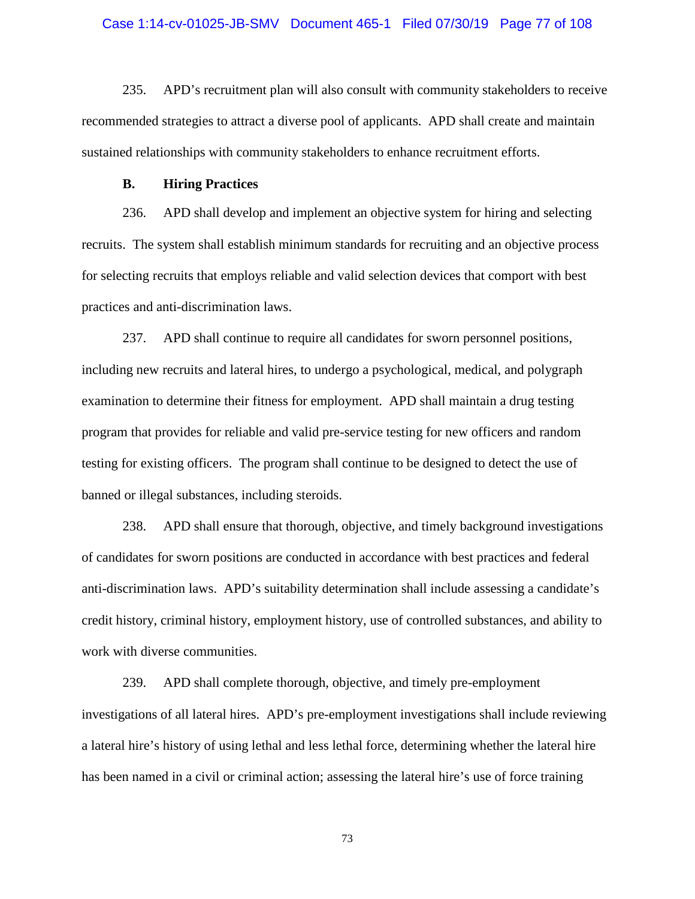### Case 1:14-cv-01025-JB-SMV Document 465-1 Filed 07/30/19 Page 77 of 108

235. APD's recruitment plan will also consult with community stakeholders to receive recommended strategies to attract a diverse pool of applicants. APD shall create and maintain sustained relationships with community stakeholders to enhance recruitment efforts.

## **B. Hiring Practices**

236. APD shall develop and implement an objective system for hiring and selecting recruits. The system shall establish minimum standards for recruiting and an objective process for selecting recruits that employs reliable and valid selection devices that comport with best practices and anti-discrimination laws.

237. APD shall continue to require all candidates for sworn personnel positions, including new recruits and lateral hires, to undergo a psychological, medical, and polygraph examination to determine their fitness for employment. APD shall maintain a drug testing program that provides for reliable and valid pre-service testing for new officers and random testing for existing officers. The program shall continue to be designed to detect the use of banned or illegal substances, including steroids.

238. APD shall ensure that thorough, objective, and timely background investigations of candidates for sworn positions are conducted in accordance with best practices and federal anti-discrimination laws. APD's suitability determination shall include assessing a candidate's credit history, criminal history, employment history, use of controlled substances, and ability to work with diverse communities.

239. APD shall complete thorough, objective, and timely pre-employment investigations of all lateral hires. APD's pre-employment investigations shall include reviewing a lateral hire's history of using lethal and less lethal force, determining whether the lateral hire has been named in a civil or criminal action; assessing the lateral hire's use of force training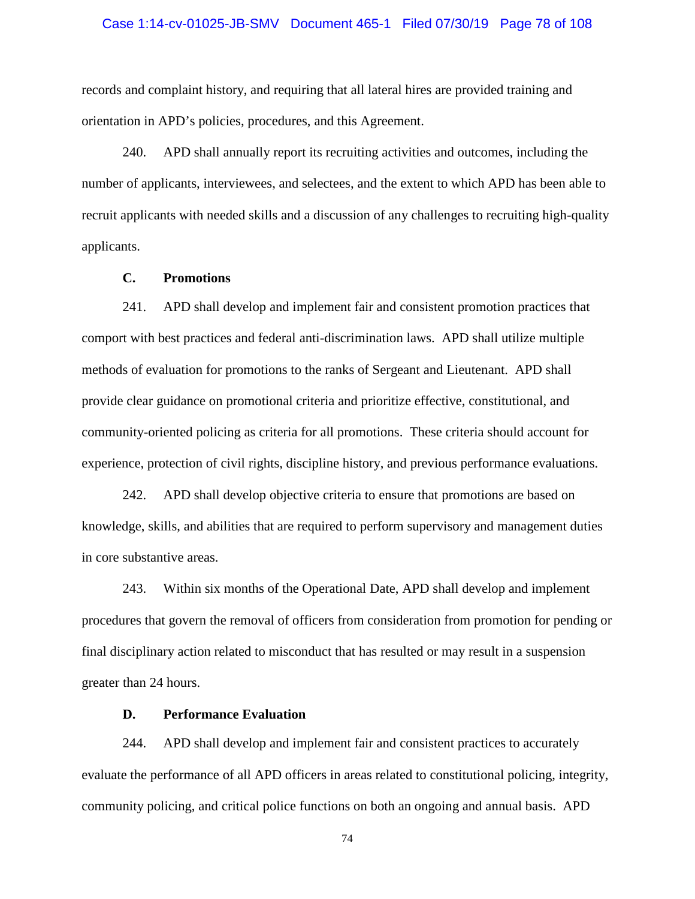### Case 1:14-cv-01025-JB-SMV Document 465-1 Filed 07/30/19 Page 78 of 108

records and complaint history, and requiring that all lateral hires are provided training and orientation in APD's policies, procedures, and this Agreement.

240. APD shall annually report its recruiting activities and outcomes, including the number of applicants, interviewees, and selectees, and the extent to which APD has been able to recruit applicants with needed skills and a discussion of any challenges to recruiting high-quality applicants.

## **C. Promotions**

241. APD shall develop and implement fair and consistent promotion practices that comport with best practices and federal anti-discrimination laws. APD shall utilize multiple methods of evaluation for promotions to the ranks of Sergeant and Lieutenant. APD shall provide clear guidance on promotional criteria and prioritize effective, constitutional, and community-oriented policing as criteria for all promotions. These criteria should account for experience, protection of civil rights, discipline history, and previous performance evaluations.

242. APD shall develop objective criteria to ensure that promotions are based on knowledge, skills, and abilities that are required to perform supervisory and management duties in core substantive areas.

243. Within six months of the Operational Date, APD shall develop and implement procedures that govern the removal of officers from consideration from promotion for pending or final disciplinary action related to misconduct that has resulted or may result in a suspension greater than 24 hours.

# **D. Performance Evaluation**

244. APD shall develop and implement fair and consistent practices to accurately evaluate the performance of all APD officers in areas related to constitutional policing, integrity, community policing, and critical police functions on both an ongoing and annual basis. APD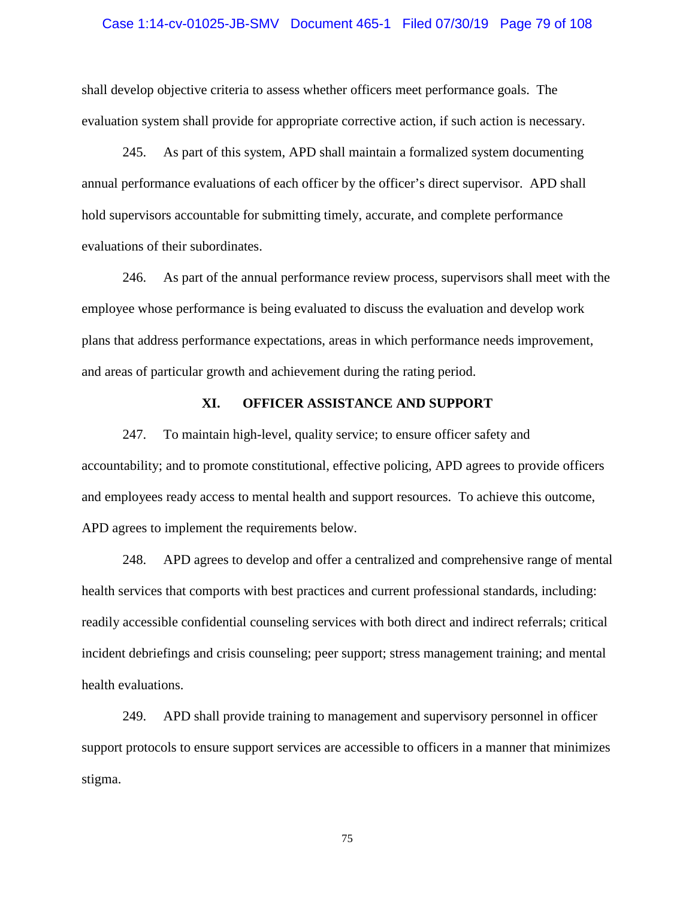### Case 1:14-cv-01025-JB-SMV Document 465-1 Filed 07/30/19 Page 79 of 108

shall develop objective criteria to assess whether officers meet performance goals. The evaluation system shall provide for appropriate corrective action, if such action is necessary.

245. As part of this system, APD shall maintain a formalized system documenting annual performance evaluations of each officer by the officer's direct supervisor. APD shall hold supervisors accountable for submitting timely, accurate, and complete performance evaluations of their subordinates.

246. As part of the annual performance review process, supervisors shall meet with the employee whose performance is being evaluated to discuss the evaluation and develop work plans that address performance expectations, areas in which performance needs improvement, and areas of particular growth and achievement during the rating period.

### **XI. OFFICER ASSISTANCE AND SUPPORT**

247. To maintain high-level, quality service; to ensure officer safety and accountability; and to promote constitutional, effective policing, APD agrees to provide officers and employees ready access to mental health and support resources. To achieve this outcome, APD agrees to implement the requirements below.

248. APD agrees to develop and offer a centralized and comprehensive range of mental health services that comports with best practices and current professional standards, including: readily accessible confidential counseling services with both direct and indirect referrals; critical incident debriefings and crisis counseling; peer support; stress management training; and mental health evaluations.

249. APD shall provide training to management and supervisory personnel in officer support protocols to ensure support services are accessible to officers in a manner that minimizes stigma.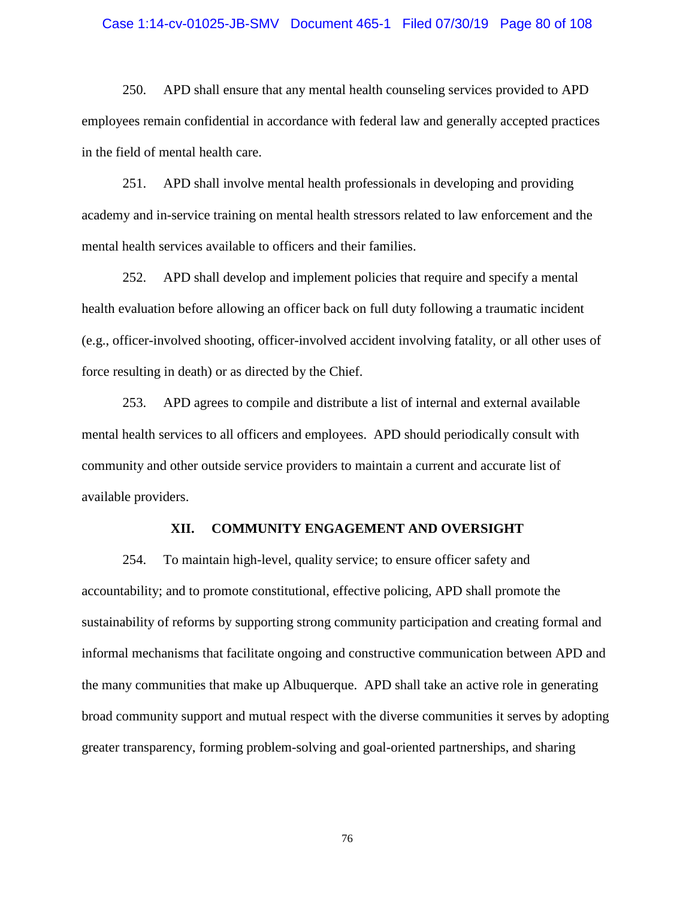### Case 1:14-cv-01025-JB-SMV Document 465-1 Filed 07/30/19 Page 80 of 108

250. APD shall ensure that any mental health counseling services provided to APD employees remain confidential in accordance with federal law and generally accepted practices in the field of mental health care.

251. APD shall involve mental health professionals in developing and providing academy and in-service training on mental health stressors related to law enforcement and the mental health services available to officers and their families.

252. APD shall develop and implement policies that require and specify a mental health evaluation before allowing an officer back on full duty following a traumatic incident (e.g., officer-involved shooting, officer-involved accident involving fatality, or all other uses of force resulting in death) or as directed by the Chief.

253. APD agrees to compile and distribute a list of internal and external available mental health services to all officers and employees. APD should periodically consult with community and other outside service providers to maintain a current and accurate list of available providers.

#### **XII. COMMUNITY ENGAGEMENT AND OVERSIGHT**

254. To maintain high-level, quality service; to ensure officer safety and accountability; and to promote constitutional, effective policing, APD shall promote the sustainability of reforms by supporting strong community participation and creating formal and informal mechanisms that facilitate ongoing and constructive communication between APD and the many communities that make up Albuquerque. APD shall take an active role in generating broad community support and mutual respect with the diverse communities it serves by adopting greater transparency, forming problem-solving and goal-oriented partnerships, and sharing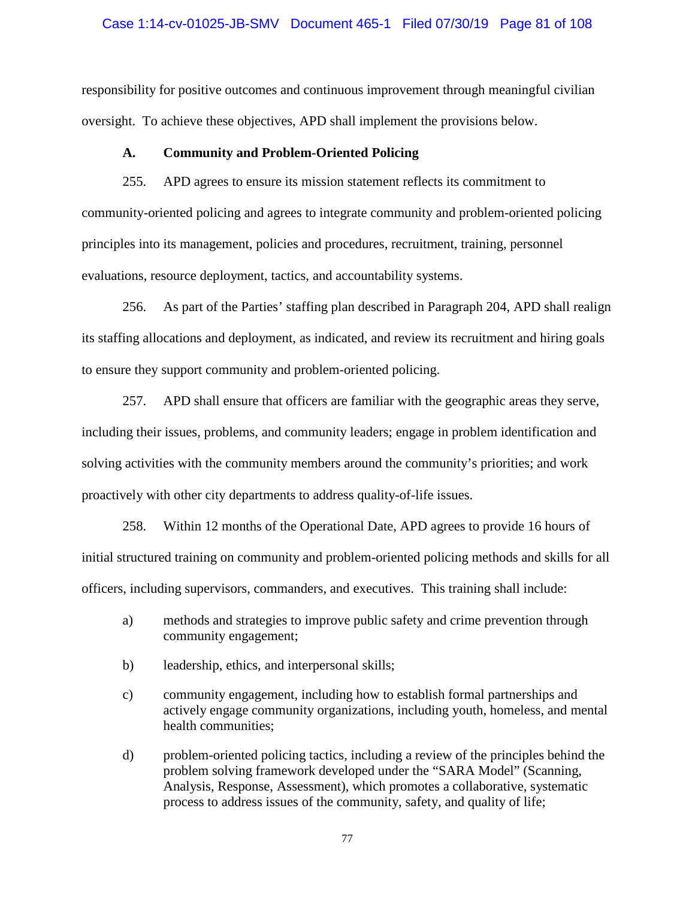## Case 1:14-cv-01025-JB-SMV Document 465-1 Filed 07/30/19 Page 81 of 108

responsibility for positive outcomes and continuous improvement through meaningful civilian oversight. To achieve these objectives, APD shall implement the provisions below.

## **A. Community and Problem-Oriented Policing**

255. APD agrees to ensure its mission statement reflects its commitment to community-oriented policing and agrees to integrate community and problem-oriented policing principles into its management, policies and procedures, recruitment, training, personnel evaluations, resource deployment, tactics, and accountability systems.

256. As part of the Parties' staffing plan described in Paragraph 204, APD shall realign its staffing allocations and deployment, as indicated, and review its recruitment and hiring goals to ensure they support community and problem-oriented policing.

257. APD shall ensure that officers are familiar with the geographic areas they serve, including their issues, problems, and community leaders; engage in problem identification and solving activities with the community members around the community's priorities; and work proactively with other city departments to address quality-of-life issues.

258. Within 12 months of the Operational Date, APD agrees to provide 16 hours of initial structured training on community and problem-oriented policing methods and skills for all officers, including supervisors, commanders, and executives. This training shall include:

- a) methods and strategies to improve public safety and crime prevention through community engagement;
- b) leadership, ethics, and interpersonal skills;
- c) community engagement, including how to establish formal partnerships and actively engage community organizations, including youth, homeless, and mental health communities;
- d) problem-oriented policing tactics, including a review of the principles behind the problem solving framework developed under the "SARA Model" (Scanning, Analysis, Response, Assessment), which promotes a collaborative, systematic process to address issues of the community, safety, and quality of life;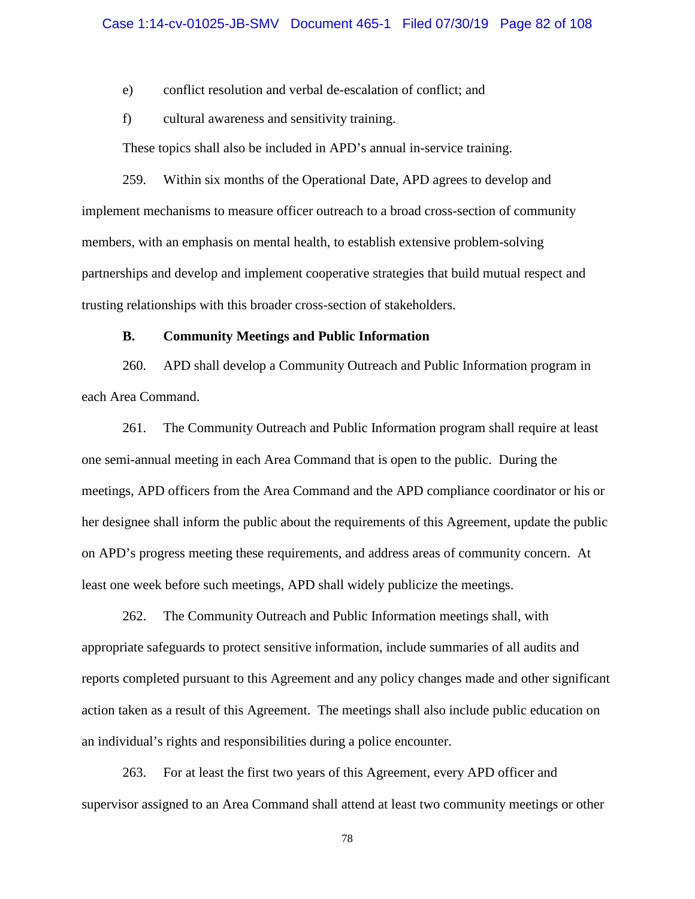e) conflict resolution and verbal de-escalation of conflict; and

f) cultural awareness and sensitivity training.

These topics shall also be included in APD's annual in-service training.

259. Within six months of the Operational Date, APD agrees to develop and implement mechanisms to measure officer outreach to a broad cross-section of community members, with an emphasis on mental health, to establish extensive problem-solving partnerships and develop and implement cooperative strategies that build mutual respect and trusting relationships with this broader cross-section of stakeholders.

### **B. Community Meetings and Public Information**

260. APD shall develop a Community Outreach and Public Information program in each Area Command.

261. The Community Outreach and Public Information program shall require at least one semi-annual meeting in each Area Command that is open to the public. During the meetings, APD officers from the Area Command and the APD compliance coordinator or his or her designee shall inform the public about the requirements of this Agreement, update the public on APD's progress meeting these requirements, and address areas of community concern. At least one week before such meetings, APD shall widely publicize the meetings.

262. The Community Outreach and Public Information meetings shall, with appropriate safeguards to protect sensitive information, include summaries of all audits and reports completed pursuant to this Agreement and any policy changes made and other significant action taken as a result of this Agreement. The meetings shall also include public education on an individual's rights and responsibilities during a police encounter.

263. For at least the first two years of this Agreement, every APD officer and supervisor assigned to an Area Command shall attend at least two community meetings or other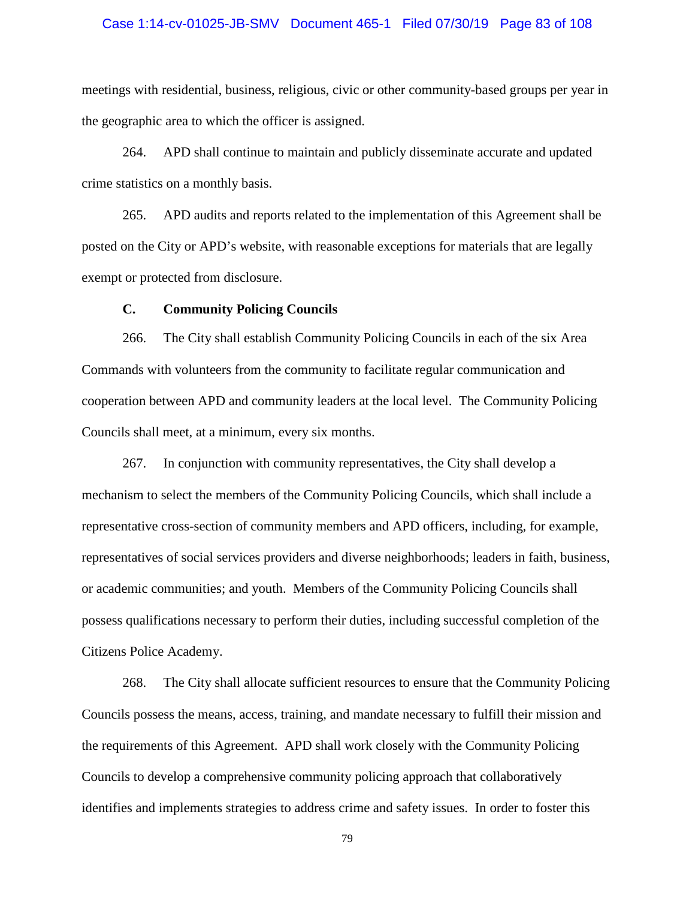### Case 1:14-cv-01025-JB-SMV Document 465-1 Filed 07/30/19 Page 83 of 108

meetings with residential, business, religious, civic or other community-based groups per year in the geographic area to which the officer is assigned.

264. APD shall continue to maintain and publicly disseminate accurate and updated crime statistics on a monthly basis.

265. APD audits and reports related to the implementation of this Agreement shall be posted on the City or APD's website, with reasonable exceptions for materials that are legally exempt or protected from disclosure.

#### **C. Community Policing Councils**

266. The City shall establish Community Policing Councils in each of the six Area Commands with volunteers from the community to facilitate regular communication and cooperation between APD and community leaders at the local level. The Community Policing Councils shall meet, at a minimum, every six months.

267. In conjunction with community representatives, the City shall develop a mechanism to select the members of the Community Policing Councils, which shall include a representative cross-section of community members and APD officers, including, for example, representatives of social services providers and diverse neighborhoods; leaders in faith, business, or academic communities; and youth. Members of the Community Policing Councils shall possess qualifications necessary to perform their duties, including successful completion of the Citizens Police Academy.

268. The City shall allocate sufficient resources to ensure that the Community Policing Councils possess the means, access, training, and mandate necessary to fulfill their mission and the requirements of this Agreement. APD shall work closely with the Community Policing Councils to develop a comprehensive community policing approach that collaboratively identifies and implements strategies to address crime and safety issues. In order to foster this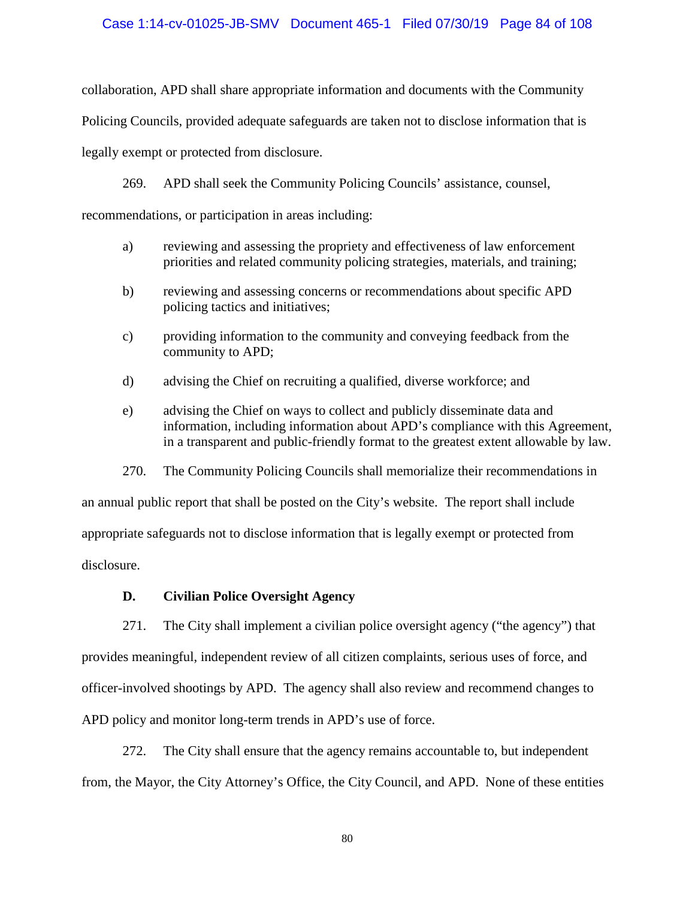## Case 1:14-cv-01025-JB-SMV Document 465-1 Filed 07/30/19 Page 84 of 108

collaboration, APD shall share appropriate information and documents with the Community Policing Councils, provided adequate safeguards are taken not to disclose information that is

legally exempt or protected from disclosure.

269. APD shall seek the Community Policing Councils' assistance, counsel,

recommendations, or participation in areas including:

- a) reviewing and assessing the propriety and effectiveness of law enforcement priorities and related community policing strategies, materials, and training;
- b) reviewing and assessing concerns or recommendations about specific APD policing tactics and initiatives;
- c) providing information to the community and conveying feedback from the community to APD;
- d) advising the Chief on recruiting a qualified, diverse workforce; and
- e) advising the Chief on ways to collect and publicly disseminate data and information, including information about APD's compliance with this Agreement, in a transparent and public-friendly format to the greatest extent allowable by law.

270. The Community Policing Councils shall memorialize their recommendations in an annual public report that shall be posted on the City's website. The report shall include appropriate safeguards not to disclose information that is legally exempt or protected from

disclosure.

## **D. Civilian Police Oversight Agency**

271. The City shall implement a civilian police oversight agency ("the agency") that provides meaningful, independent review of all citizen complaints, serious uses of force, and officer-involved shootings by APD. The agency shall also review and recommend changes to APD policy and monitor long-term trends in APD's use of force.

272. The City shall ensure that the agency remains accountable to, but independent from, the Mayor, the City Attorney's Office, the City Council, and APD. None of these entities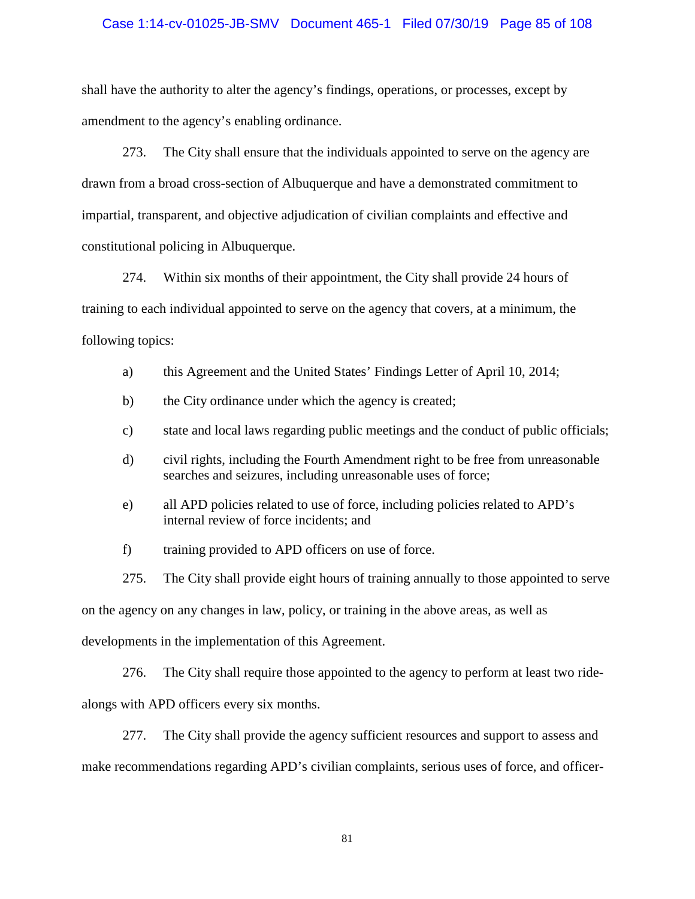### Case 1:14-cv-01025-JB-SMV Document 465-1 Filed 07/30/19 Page 85 of 108

shall have the authority to alter the agency's findings, operations, or processes, except by amendment to the agency's enabling ordinance.

273. The City shall ensure that the individuals appointed to serve on the agency are drawn from a broad cross-section of Albuquerque and have a demonstrated commitment to impartial, transparent, and objective adjudication of civilian complaints and effective and constitutional policing in Albuquerque.

274. Within six months of their appointment, the City shall provide 24 hours of training to each individual appointed to serve on the agency that covers, at a minimum, the following topics:

- a) this Agreement and the United States' Findings Letter of April 10, 2014;
- b) the City ordinance under which the agency is created;
- c) state and local laws regarding public meetings and the conduct of public officials;
- d) civil rights, including the Fourth Amendment right to be free from unreasonable searches and seizures, including unreasonable uses of force;
- e) all APD policies related to use of force, including policies related to APD's internal review of force incidents; and
- f) training provided to APD officers on use of force.

275. The City shall provide eight hours of training annually to those appointed to serve on the agency on any changes in law, policy, or training in the above areas, as well as developments in the implementation of this Agreement.

276. The City shall require those appointed to the agency to perform at least two ridealongs with APD officers every six months.

277. The City shall provide the agency sufficient resources and support to assess and make recommendations regarding APD's civilian complaints, serious uses of force, and officer-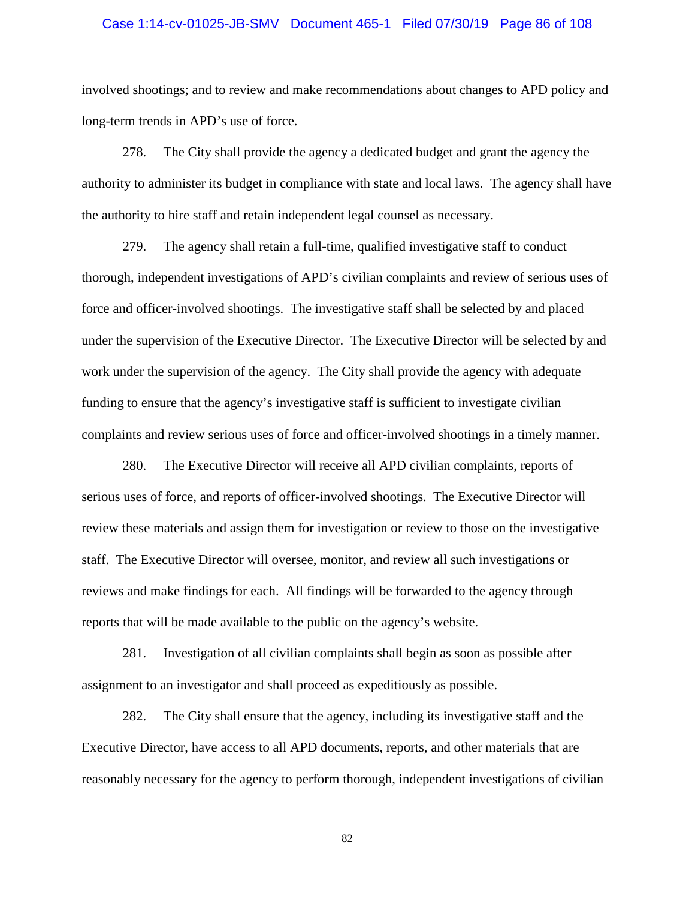### Case 1:14-cv-01025-JB-SMV Document 465-1 Filed 07/30/19 Page 86 of 108

involved shootings; and to review and make recommendations about changes to APD policy and long-term trends in APD's use of force.

278. The City shall provide the agency a dedicated budget and grant the agency the authority to administer its budget in compliance with state and local laws. The agency shall have the authority to hire staff and retain independent legal counsel as necessary.

279. The agency shall retain a full-time, qualified investigative staff to conduct thorough, independent investigations of APD's civilian complaints and review of serious uses of force and officer-involved shootings. The investigative staff shall be selected by and placed under the supervision of the Executive Director. The Executive Director will be selected by and work under the supervision of the agency. The City shall provide the agency with adequate funding to ensure that the agency's investigative staff is sufficient to investigate civilian complaints and review serious uses of force and officer-involved shootings in a timely manner.

280. The Executive Director will receive all APD civilian complaints, reports of serious uses of force, and reports of officer-involved shootings. The Executive Director will review these materials and assign them for investigation or review to those on the investigative staff. The Executive Director will oversee, monitor, and review all such investigations or reviews and make findings for each. All findings will be forwarded to the agency through reports that will be made available to the public on the agency's website.

281. Investigation of all civilian complaints shall begin as soon as possible after assignment to an investigator and shall proceed as expeditiously as possible.

282. The City shall ensure that the agency, including its investigative staff and the Executive Director, have access to all APD documents, reports, and other materials that are reasonably necessary for the agency to perform thorough, independent investigations of civilian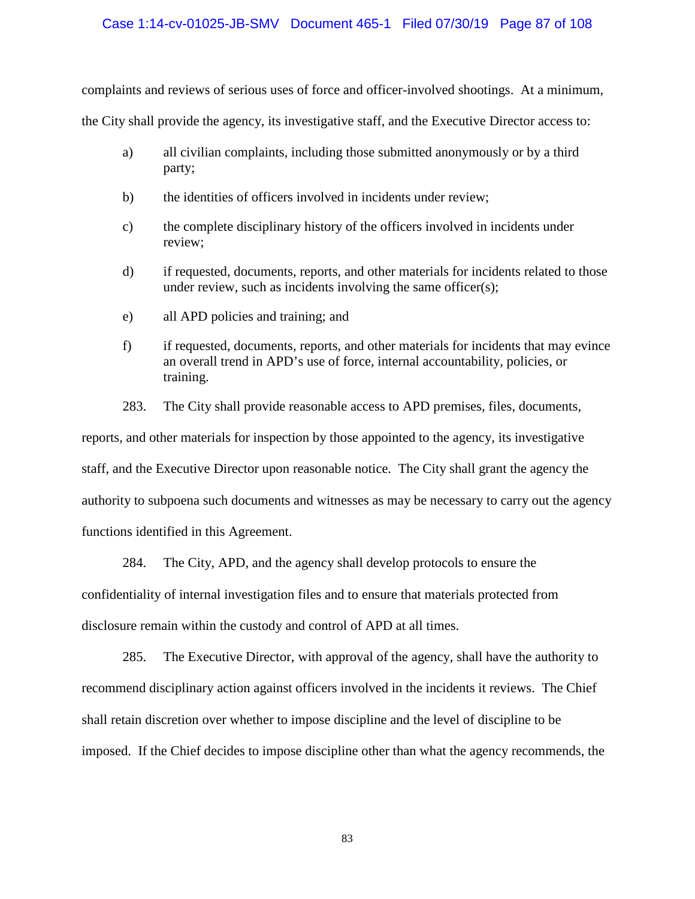## Case 1:14-cv-01025-JB-SMV Document 465-1 Filed 07/30/19 Page 87 of 108

complaints and reviews of serious uses of force and officer-involved shootings. At a minimum,

the City shall provide the agency, its investigative staff, and the Executive Director access to:

- a) all civilian complaints, including those submitted anonymously or by a third party;
- b) the identities of officers involved in incidents under review;
- c) the complete disciplinary history of the officers involved in incidents under review;
- d) if requested, documents, reports, and other materials for incidents related to those under review, such as incidents involving the same officer(s);
- e) all APD policies and training; and
- f) if requested, documents, reports, and other materials for incidents that may evince an overall trend in APD's use of force, internal accountability, policies, or training.
- 283. The City shall provide reasonable access to APD premises, files, documents,

reports, and other materials for inspection by those appointed to the agency, its investigative staff, and the Executive Director upon reasonable notice. The City shall grant the agency the authority to subpoena such documents and witnesses as may be necessary to carry out the agency functions identified in this Agreement.

284. The City, APD, and the agency shall develop protocols to ensure the confidentiality of internal investigation files and to ensure that materials protected from disclosure remain within the custody and control of APD at all times.

285. The Executive Director, with approval of the agency, shall have the authority to recommend disciplinary action against officers involved in the incidents it reviews. The Chief shall retain discretion over whether to impose discipline and the level of discipline to be imposed. If the Chief decides to impose discipline other than what the agency recommends, the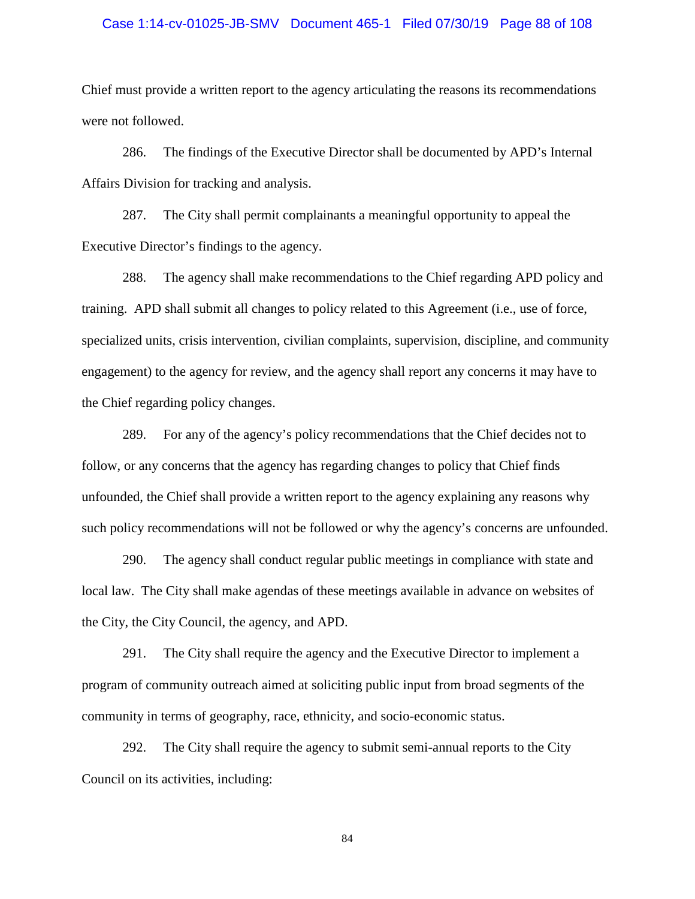### Case 1:14-cv-01025-JB-SMV Document 465-1 Filed 07/30/19 Page 88 of 108

Chief must provide a written report to the agency articulating the reasons its recommendations were not followed.

286. The findings of the Executive Director shall be documented by APD's Internal Affairs Division for tracking and analysis.

287. The City shall permit complainants a meaningful opportunity to appeal the Executive Director's findings to the agency.

288. The agency shall make recommendations to the Chief regarding APD policy and training. APD shall submit all changes to policy related to this Agreement (i.e., use of force, specialized units, crisis intervention, civilian complaints, supervision, discipline, and community engagement) to the agency for review, and the agency shall report any concerns it may have to the Chief regarding policy changes.

289. For any of the agency's policy recommendations that the Chief decides not to follow, or any concerns that the agency has regarding changes to policy that Chief finds unfounded, the Chief shall provide a written report to the agency explaining any reasons why such policy recommendations will not be followed or why the agency's concerns are unfounded.

290. The agency shall conduct regular public meetings in compliance with state and local law. The City shall make agendas of these meetings available in advance on websites of the City, the City Council, the agency, and APD.

291. The City shall require the agency and the Executive Director to implement a program of community outreach aimed at soliciting public input from broad segments of the community in terms of geography, race, ethnicity, and socio-economic status.

292. The City shall require the agency to submit semi-annual reports to the City Council on its activities, including: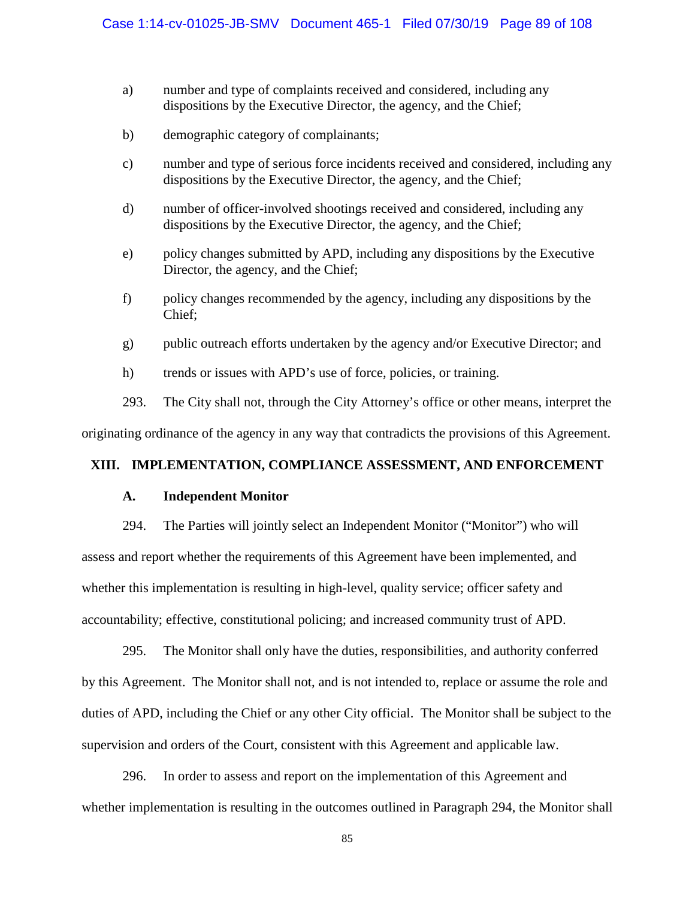- a) number and type of complaints received and considered, including any dispositions by the Executive Director, the agency, and the Chief;
- b) demographic category of complainants;
- c) number and type of serious force incidents received and considered, including any dispositions by the Executive Director, the agency, and the Chief;
- d) number of officer-involved shootings received and considered, including any dispositions by the Executive Director, the agency, and the Chief;
- e) policy changes submitted by APD, including any dispositions by the Executive Director, the agency, and the Chief;
- f) policy changes recommended by the agency, including any dispositions by the Chief;
- g) public outreach efforts undertaken by the agency and/or Executive Director; and
- h) trends or issues with APD's use of force, policies, or training.

293. The City shall not, through the City Attorney's office or other means, interpret the

originating ordinance of the agency in any way that contradicts the provisions of this Agreement.

## **XIII. IMPLEMENTATION, COMPLIANCE ASSESSMENT, AND ENFORCEMENT**

### **A. Independent Monitor**

294. The Parties will jointly select an Independent Monitor ("Monitor") who will assess and report whether the requirements of this Agreement have been implemented, and whether this implementation is resulting in high-level, quality service; officer safety and accountability; effective, constitutional policing; and increased community trust of APD.

295. The Monitor shall only have the duties, responsibilities, and authority conferred by this Agreement. The Monitor shall not, and is not intended to, replace or assume the role and duties of APD, including the Chief or any other City official. The Monitor shall be subject to the supervision and orders of the Court, consistent with this Agreement and applicable law.

296. In order to assess and report on the implementation of this Agreement and whether implementation is resulting in the outcomes outlined in Paragraph 294, the Monitor shall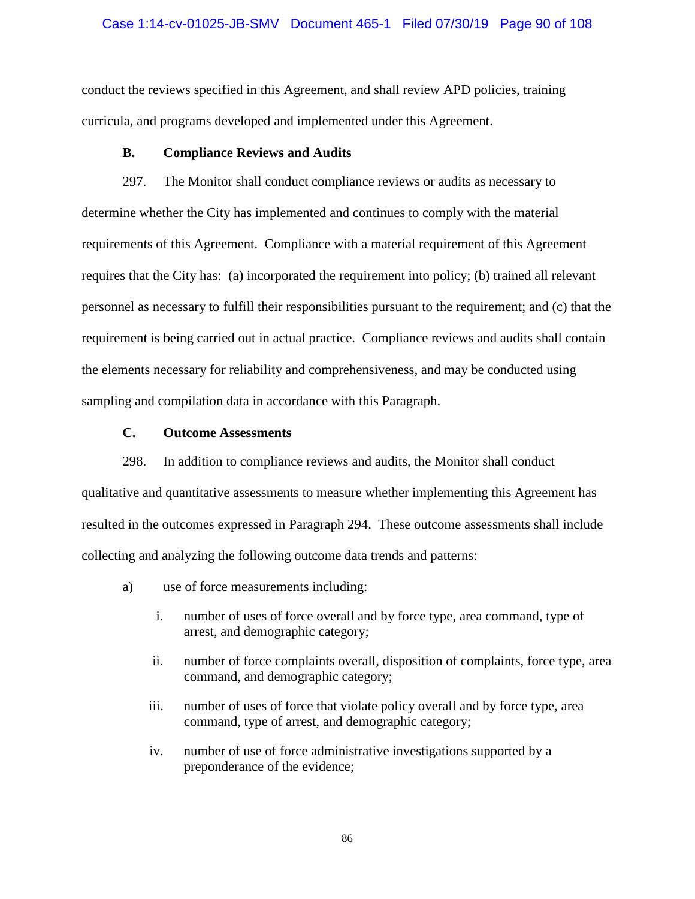## Case 1:14-cv-01025-JB-SMV Document 465-1 Filed 07/30/19 Page 90 of 108

conduct the reviews specified in this Agreement, and shall review APD policies, training curricula, and programs developed and implemented under this Agreement.

## **B. Compliance Reviews and Audits**

297. The Monitor shall conduct compliance reviews or audits as necessary to determine whether the City has implemented and continues to comply with the material requirements of this Agreement. Compliance with a material requirement of this Agreement requires that the City has: (a) incorporated the requirement into policy; (b) trained all relevant personnel as necessary to fulfill their responsibilities pursuant to the requirement; and (c) that the requirement is being carried out in actual practice. Compliance reviews and audits shall contain the elements necessary for reliability and comprehensiveness, and may be conducted using sampling and compilation data in accordance with this Paragraph.

## **C. Outcome Assessments**

298. In addition to compliance reviews and audits, the Monitor shall conduct qualitative and quantitative assessments to measure whether implementing this Agreement has resulted in the outcomes expressed in Paragraph 294. These outcome assessments shall include collecting and analyzing the following outcome data trends and patterns:

- a) use of force measurements including:
	- i. number of uses of force overall and by force type, area command, type of arrest, and demographic category;
	- ii. number of force complaints overall, disposition of complaints, force type, area command, and demographic category;
	- iii. number of uses of force that violate policy overall and by force type, area command, type of arrest, and demographic category;
	- iv. number of use of force administrative investigations supported by a preponderance of the evidence;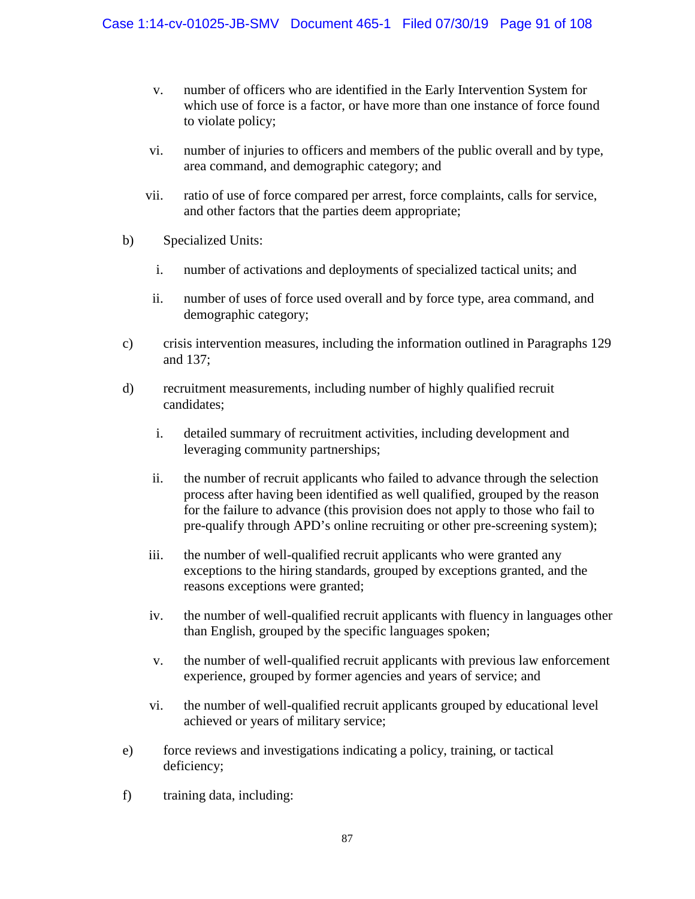- v. number of officers who are identified in the Early Intervention System for which use of force is a factor, or have more than one instance of force found to violate policy;
- vi. number of injuries to officers and members of the public overall and by type, area command, and demographic category; and
- vii. ratio of use of force compared per arrest, force complaints, calls for service, and other factors that the parties deem appropriate;
- b) Specialized Units:
	- i. number of activations and deployments of specialized tactical units; and
	- ii. number of uses of force used overall and by force type, area command, and demographic category;
- c) crisis intervention measures, including the information outlined in Paragraphs 129 and 137;
- d) recruitment measurements, including number of highly qualified recruit candidates;
	- i. detailed summary of recruitment activities, including development and leveraging community partnerships;
	- ii. the number of recruit applicants who failed to advance through the selection process after having been identified as well qualified, grouped by the reason for the failure to advance (this provision does not apply to those who fail to pre-qualify through APD's online recruiting or other pre-screening system);
	- iii. the number of well-qualified recruit applicants who were granted any exceptions to the hiring standards, grouped by exceptions granted, and the reasons exceptions were granted;
	- iv. the number of well-qualified recruit applicants with fluency in languages other than English, grouped by the specific languages spoken;
	- v. the number of well-qualified recruit applicants with previous law enforcement experience, grouped by former agencies and years of service; and
	- vi. the number of well-qualified recruit applicants grouped by educational level achieved or years of military service;
- e) force reviews and investigations indicating a policy, training, or tactical deficiency;
- f) training data, including: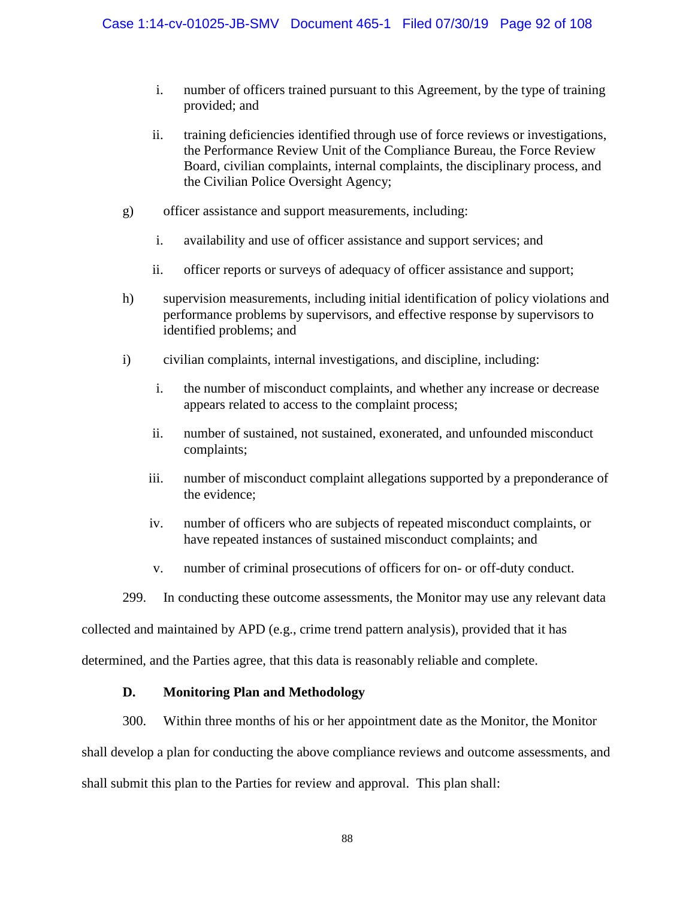- i. number of officers trained pursuant to this Agreement, by the type of training provided; and
- ii. training deficiencies identified through use of force reviews or investigations, the Performance Review Unit of the Compliance Bureau, the Force Review Board, civilian complaints, internal complaints, the disciplinary process, and the Civilian Police Oversight Agency;
- g) officer assistance and support measurements, including:
	- i. availability and use of officer assistance and support services; and
	- ii. officer reports or surveys of adequacy of officer assistance and support;
- h) supervision measurements, including initial identification of policy violations and performance problems by supervisors, and effective response by supervisors to identified problems; and
- i) civilian complaints, internal investigations, and discipline, including:
	- i. the number of misconduct complaints, and whether any increase or decrease appears related to access to the complaint process;
	- ii. number of sustained, not sustained, exonerated, and unfounded misconduct complaints;
	- iii. number of misconduct complaint allegations supported by a preponderance of the evidence;
	- iv. number of officers who are subjects of repeated misconduct complaints, or have repeated instances of sustained misconduct complaints; and
	- v. number of criminal prosecutions of officers for on- or off-duty conduct.

299. In conducting these outcome assessments, the Monitor may use any relevant data

collected and maintained by APD (e.g., crime trend pattern analysis), provided that it has

determined, and the Parties agree, that this data is reasonably reliable and complete.

## **D. Monitoring Plan and Methodology**

300. Within three months of his or her appointment date as the Monitor, the Monitor

shall develop a plan for conducting the above compliance reviews and outcome assessments, and shall submit this plan to the Parties for review and approval. This plan shall: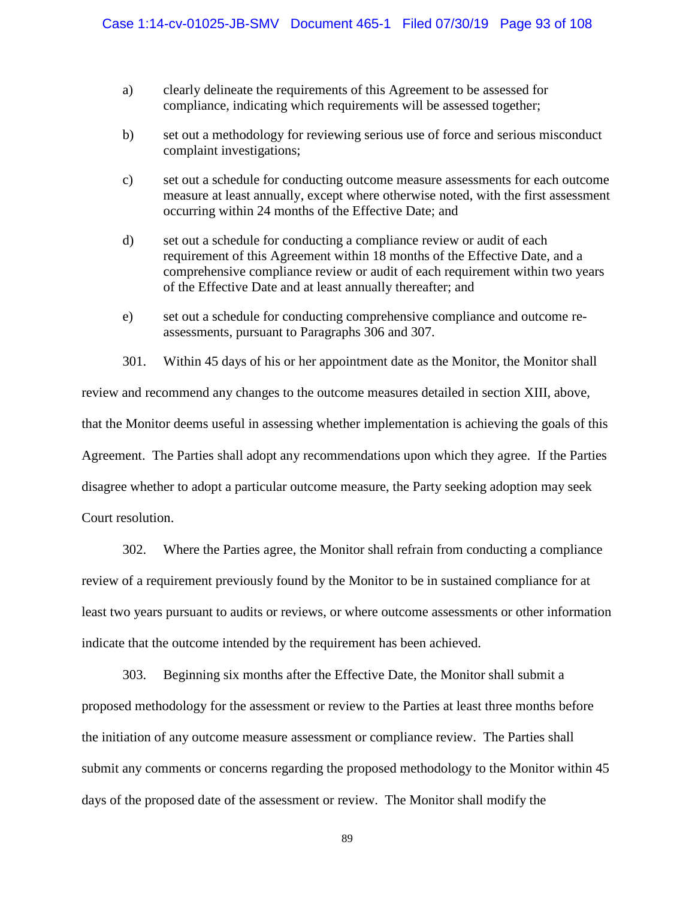- a) clearly delineate the requirements of this Agreement to be assessed for compliance, indicating which requirements will be assessed together;
- b) set out a methodology for reviewing serious use of force and serious misconduct complaint investigations;
- c) set out a schedule for conducting outcome measure assessments for each outcome measure at least annually, except where otherwise noted, with the first assessment occurring within 24 months of the Effective Date; and
- d) set out a schedule for conducting a compliance review or audit of each requirement of this Agreement within 18 months of the Effective Date, and a comprehensive compliance review or audit of each requirement within two years of the Effective Date and at least annually thereafter; and
- e) set out a schedule for conducting comprehensive compliance and outcome reassessments, pursuant to Paragraphs 306 and 307.

301. Within 45 days of his or her appointment date as the Monitor, the Monitor shall review and recommend any changes to the outcome measures detailed in section XIII, above, that the Monitor deems useful in assessing whether implementation is achieving the goals of this Agreement. The Parties shall adopt any recommendations upon which they agree. If the Parties disagree whether to adopt a particular outcome measure, the Party seeking adoption may seek Court resolution.

302. Where the Parties agree, the Monitor shall refrain from conducting a compliance review of a requirement previously found by the Monitor to be in sustained compliance for at least two years pursuant to audits or reviews, or where outcome assessments or other information indicate that the outcome intended by the requirement has been achieved.

303. Beginning six months after the Effective Date, the Monitor shall submit a proposed methodology for the assessment or review to the Parties at least three months before the initiation of any outcome measure assessment or compliance review. The Parties shall submit any comments or concerns regarding the proposed methodology to the Monitor within 45 days of the proposed date of the assessment or review. The Monitor shall modify the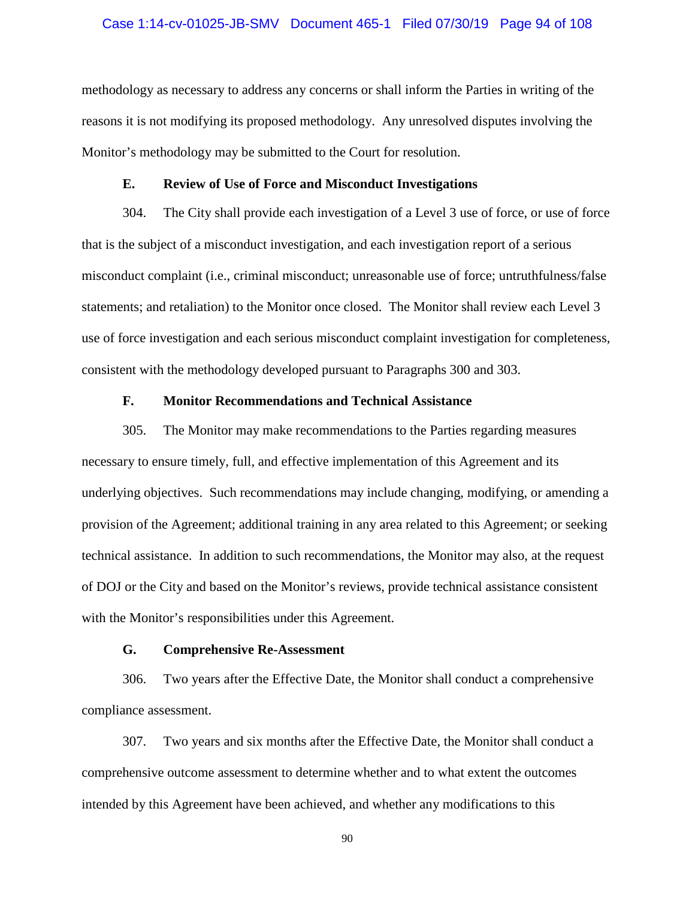### Case 1:14-cv-01025-JB-SMV Document 465-1 Filed 07/30/19 Page 94 of 108

methodology as necessary to address any concerns or shall inform the Parties in writing of the reasons it is not modifying its proposed methodology. Any unresolved disputes involving the Monitor's methodology may be submitted to the Court for resolution.

#### **E. Review of Use of Force and Misconduct Investigations**

304. The City shall provide each investigation of a Level 3 use of force, or use of force that is the subject of a misconduct investigation, and each investigation report of a serious misconduct complaint (i.e., criminal misconduct; unreasonable use of force; untruthfulness/false statements; and retaliation) to the Monitor once closed. The Monitor shall review each Level 3 use of force investigation and each serious misconduct complaint investigation for completeness, consistent with the methodology developed pursuant to Paragraphs 300 and 303.

## **F. Monitor Recommendations and Technical Assistance**

305. The Monitor may make recommendations to the Parties regarding measures necessary to ensure timely, full, and effective implementation of this Agreement and its underlying objectives. Such recommendations may include changing, modifying, or amending a provision of the Agreement; additional training in any area related to this Agreement; or seeking technical assistance. In addition to such recommendations, the Monitor may also, at the request of DOJ or the City and based on the Monitor's reviews, provide technical assistance consistent with the Monitor's responsibilities under this Agreement.

## **G. Comprehensive Re-Assessment**

306. Two years after the Effective Date, the Monitor shall conduct a comprehensive compliance assessment.

307. Two years and six months after the Effective Date, the Monitor shall conduct a comprehensive outcome assessment to determine whether and to what extent the outcomes intended by this Agreement have been achieved, and whether any modifications to this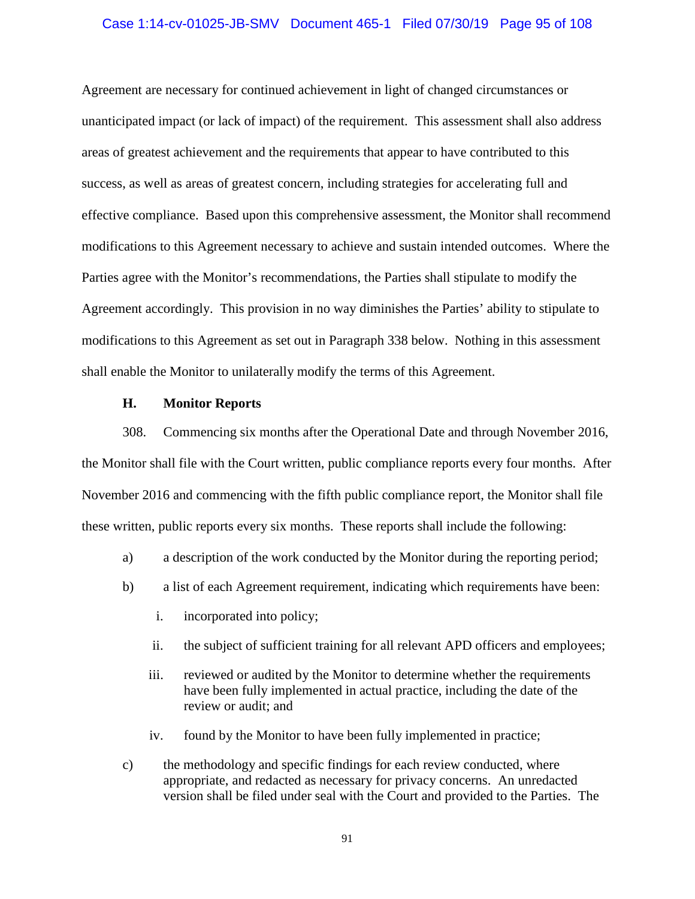### Case 1:14-cv-01025-JB-SMV Document 465-1 Filed 07/30/19 Page 95 of 108

Agreement are necessary for continued achievement in light of changed circumstances or unanticipated impact (or lack of impact) of the requirement. This assessment shall also address areas of greatest achievement and the requirements that appear to have contributed to this success, as well as areas of greatest concern, including strategies for accelerating full and effective compliance. Based upon this comprehensive assessment, the Monitor shall recommend modifications to this Agreement necessary to achieve and sustain intended outcomes. Where the Parties agree with the Monitor's recommendations, the Parties shall stipulate to modify the Agreement accordingly. This provision in no way diminishes the Parties' ability to stipulate to modifications to this Agreement as set out in Paragraph 338 below. Nothing in this assessment shall enable the Monitor to unilaterally modify the terms of this Agreement.

#### **H. Monitor Reports**

308. Commencing six months after the Operational Date and through November 2016, the Monitor shall file with the Court written, public compliance reports every four months. After November 2016 and commencing with the fifth public compliance report, the Monitor shall file these written, public reports every six months. These reports shall include the following:

- a) a description of the work conducted by the Monitor during the reporting period;
- b) a list of each Agreement requirement, indicating which requirements have been:
	- i. incorporated into policy;
	- ii. the subject of sufficient training for all relevant APD officers and employees;
	- iii. reviewed or audited by the Monitor to determine whether the requirements have been fully implemented in actual practice, including the date of the review or audit; and
	- iv. found by the Monitor to have been fully implemented in practice;
- c) the methodology and specific findings for each review conducted, where appropriate, and redacted as necessary for privacy concerns. An unredacted version shall be filed under seal with the Court and provided to the Parties. The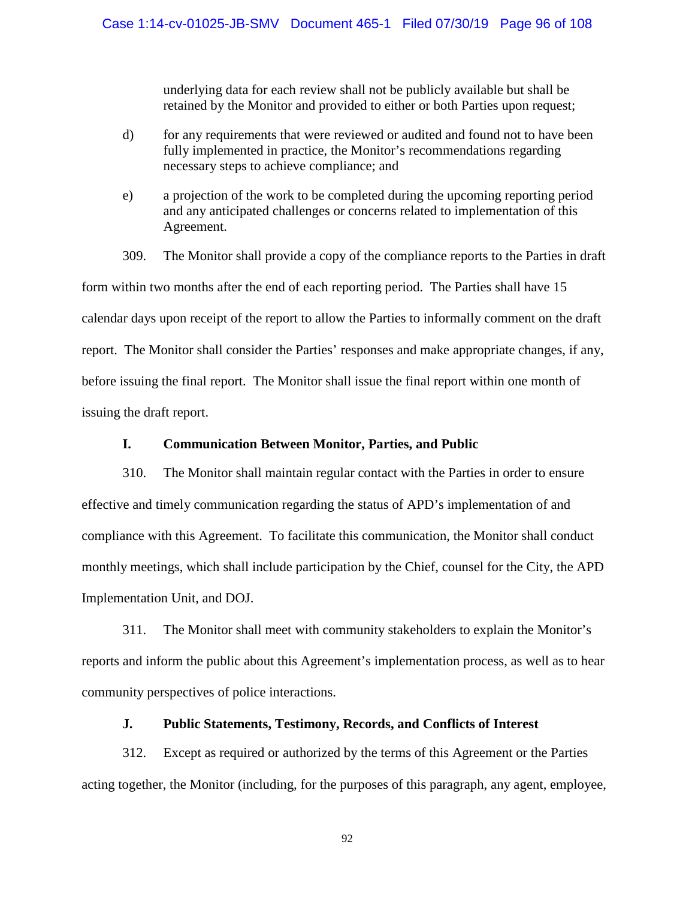underlying data for each review shall not be publicly available but shall be retained by the Monitor and provided to either or both Parties upon request;

- d) for any requirements that were reviewed or audited and found not to have been fully implemented in practice, the Monitor's recommendations regarding necessary steps to achieve compliance; and
- e) a projection of the work to be completed during the upcoming reporting period and any anticipated challenges or concerns related to implementation of this Agreement.

309. The Monitor shall provide a copy of the compliance reports to the Parties in draft form within two months after the end of each reporting period. The Parties shall have 15 calendar days upon receipt of the report to allow the Parties to informally comment on the draft report. The Monitor shall consider the Parties' responses and make appropriate changes, if any, before issuing the final report. The Monitor shall issue the final report within one month of issuing the draft report.

# **I. Communication Between Monitor, Parties, and Public**

310. The Monitor shall maintain regular contact with the Parties in order to ensure effective and timely communication regarding the status of APD's implementation of and compliance with this Agreement. To facilitate this communication, the Monitor shall conduct monthly meetings, which shall include participation by the Chief, counsel for the City, the APD Implementation Unit, and DOJ.

311. The Monitor shall meet with community stakeholders to explain the Monitor's reports and inform the public about this Agreement's implementation process, as well as to hear community perspectives of police interactions.

# **J. Public Statements, Testimony, Records, and Conflicts of Interest**

312. Except as required or authorized by the terms of this Agreement or the Parties acting together, the Monitor (including, for the purposes of this paragraph, any agent, employee,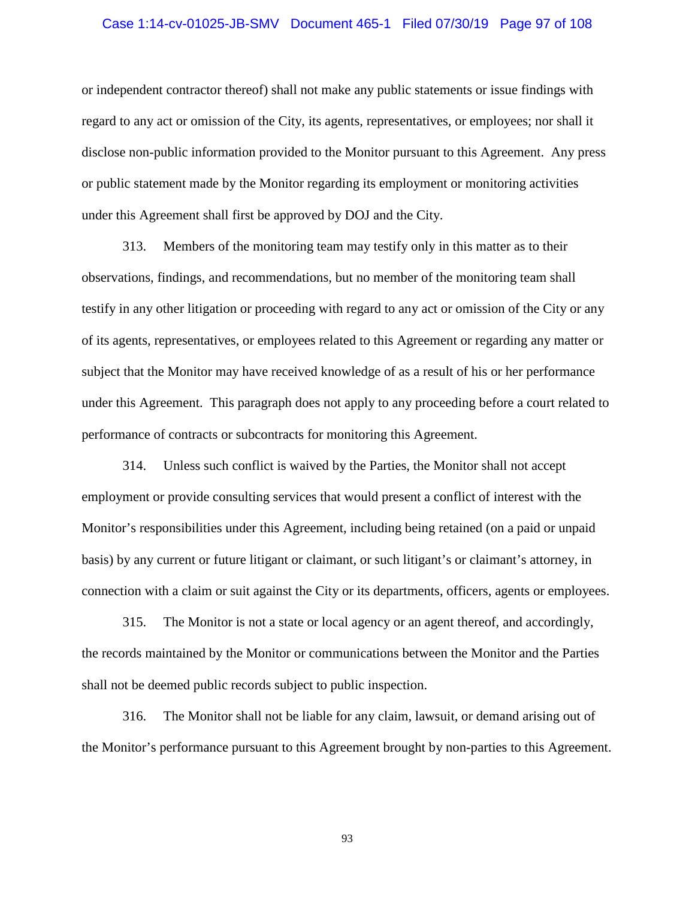### Case 1:14-cv-01025-JB-SMV Document 465-1 Filed 07/30/19 Page 97 of 108

or independent contractor thereof) shall not make any public statements or issue findings with regard to any act or omission of the City, its agents, representatives, or employees; nor shall it disclose non-public information provided to the Monitor pursuant to this Agreement. Any press or public statement made by the Monitor regarding its employment or monitoring activities under this Agreement shall first be approved by DOJ and the City.

313. Members of the monitoring team may testify only in this matter as to their observations, findings, and recommendations, but no member of the monitoring team shall testify in any other litigation or proceeding with regard to any act or omission of the City or any of its agents, representatives, or employees related to this Agreement or regarding any matter or subject that the Monitor may have received knowledge of as a result of his or her performance under this Agreement. This paragraph does not apply to any proceeding before a court related to performance of contracts or subcontracts for monitoring this Agreement.

314. Unless such conflict is waived by the Parties, the Monitor shall not accept employment or provide consulting services that would present a conflict of interest with the Monitor's responsibilities under this Agreement, including being retained (on a paid or unpaid basis) by any current or future litigant or claimant, or such litigant's or claimant's attorney, in connection with a claim or suit against the City or its departments, officers, agents or employees.

315. The Monitor is not a state or local agency or an agent thereof, and accordingly, the records maintained by the Monitor or communications between the Monitor and the Parties shall not be deemed public records subject to public inspection.

316. The Monitor shall not be liable for any claim, lawsuit, or demand arising out of the Monitor's performance pursuant to this Agreement brought by non-parties to this Agreement.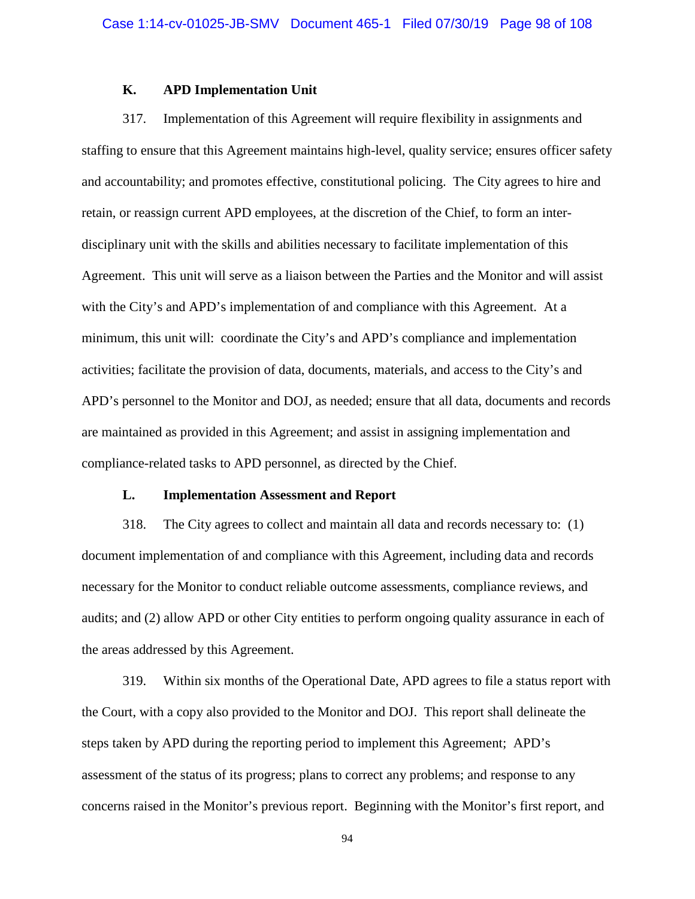## **K. APD Implementation Unit**

317. Implementation of this Agreement will require flexibility in assignments and staffing to ensure that this Agreement maintains high-level, quality service; ensures officer safety and accountability; and promotes effective, constitutional policing. The City agrees to hire and retain, or reassign current APD employees, at the discretion of the Chief, to form an interdisciplinary unit with the skills and abilities necessary to facilitate implementation of this Agreement. This unit will serve as a liaison between the Parties and the Monitor and will assist with the City's and APD's implementation of and compliance with this Agreement. At a minimum, this unit will: coordinate the City's and APD's compliance and implementation activities; facilitate the provision of data, documents, materials, and access to the City's and APD's personnel to the Monitor and DOJ, as needed; ensure that all data, documents and records are maintained as provided in this Agreement; and assist in assigning implementation and compliance-related tasks to APD personnel, as directed by the Chief.

## **L. Implementation Assessment and Report**

318. The City agrees to collect and maintain all data and records necessary to: (1) document implementation of and compliance with this Agreement, including data and records necessary for the Monitor to conduct reliable outcome assessments, compliance reviews, and audits; and (2) allow APD or other City entities to perform ongoing quality assurance in each of the areas addressed by this Agreement.

319. Within six months of the Operational Date, APD agrees to file a status report with the Court, with a copy also provided to the Monitor and DOJ. This report shall delineate the steps taken by APD during the reporting period to implement this Agreement; APD's assessment of the status of its progress; plans to correct any problems; and response to any concerns raised in the Monitor's previous report. Beginning with the Monitor's first report, and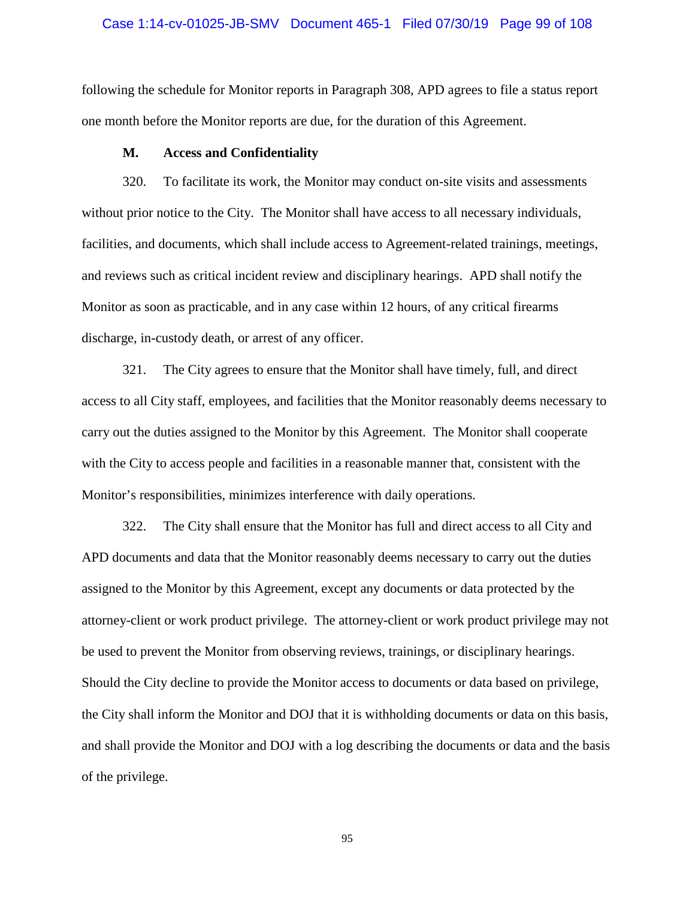### Case 1:14-cv-01025-JB-SMV Document 465-1 Filed 07/30/19 Page 99 of 108

following the schedule for Monitor reports in Paragraph 308, APD agrees to file a status report one month before the Monitor reports are due, for the duration of this Agreement.

## **M. Access and Confidentiality**

320. To facilitate its work, the Monitor may conduct on-site visits and assessments without prior notice to the City. The Monitor shall have access to all necessary individuals, facilities, and documents, which shall include access to Agreement-related trainings, meetings, and reviews such as critical incident review and disciplinary hearings. APD shall notify the Monitor as soon as practicable, and in any case within 12 hours, of any critical firearms discharge, in-custody death, or arrest of any officer.

321. The City agrees to ensure that the Monitor shall have timely, full, and direct access to all City staff, employees, and facilities that the Monitor reasonably deems necessary to carry out the duties assigned to the Monitor by this Agreement. The Monitor shall cooperate with the City to access people and facilities in a reasonable manner that, consistent with the Monitor's responsibilities, minimizes interference with daily operations.

322. The City shall ensure that the Monitor has full and direct access to all City and APD documents and data that the Monitor reasonably deems necessary to carry out the duties assigned to the Monitor by this Agreement, except any documents or data protected by the attorney-client or work product privilege. The attorney-client or work product privilege may not be used to prevent the Monitor from observing reviews, trainings, or disciplinary hearings. Should the City decline to provide the Monitor access to documents or data based on privilege, the City shall inform the Monitor and DOJ that it is withholding documents or data on this basis, and shall provide the Monitor and DOJ with a log describing the documents or data and the basis of the privilege.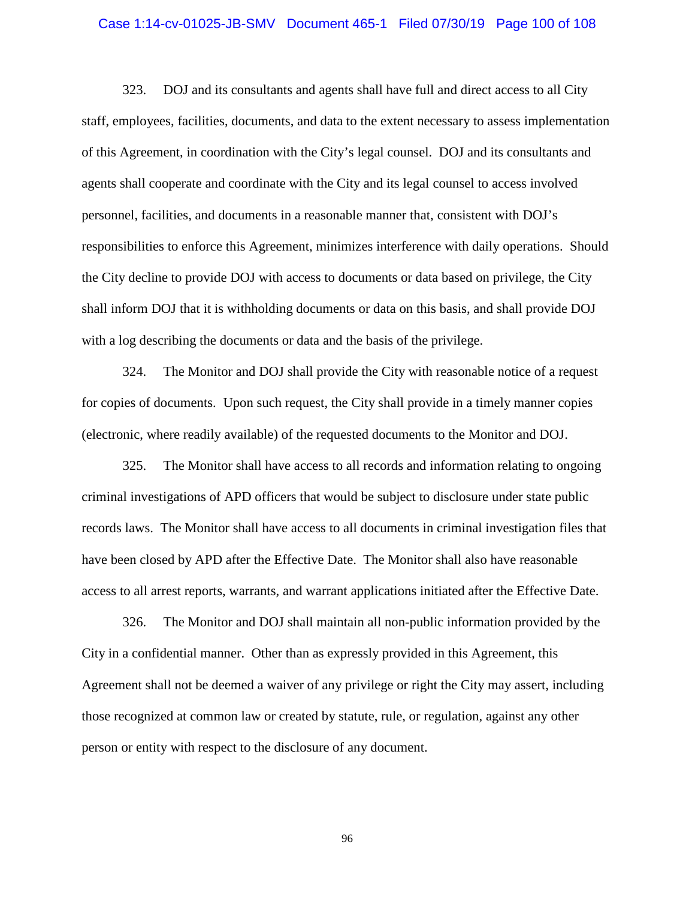### Case 1:14-cv-01025-JB-SMV Document 465-1 Filed 07/30/19 Page 100 of 108

323. DOJ and its consultants and agents shall have full and direct access to all City staff, employees, facilities, documents, and data to the extent necessary to assess implementation of this Agreement, in coordination with the City's legal counsel. DOJ and its consultants and agents shall cooperate and coordinate with the City and its legal counsel to access involved personnel, facilities, and documents in a reasonable manner that, consistent with DOJ's responsibilities to enforce this Agreement, minimizes interference with daily operations. Should the City decline to provide DOJ with access to documents or data based on privilege, the City shall inform DOJ that it is withholding documents or data on this basis, and shall provide DOJ with a log describing the documents or data and the basis of the privilege.

324. The Monitor and DOJ shall provide the City with reasonable notice of a request for copies of documents. Upon such request, the City shall provide in a timely manner copies (electronic, where readily available) of the requested documents to the Monitor and DOJ.

325. The Monitor shall have access to all records and information relating to ongoing criminal investigations of APD officers that would be subject to disclosure under state public records laws. The Monitor shall have access to all documents in criminal investigation files that have been closed by APD after the Effective Date. The Monitor shall also have reasonable access to all arrest reports, warrants, and warrant applications initiated after the Effective Date.

326. The Monitor and DOJ shall maintain all non-public information provided by the City in a confidential manner. Other than as expressly provided in this Agreement, this Agreement shall not be deemed a waiver of any privilege or right the City may assert, including those recognized at common law or created by statute, rule, or regulation, against any other person or entity with respect to the disclosure of any document.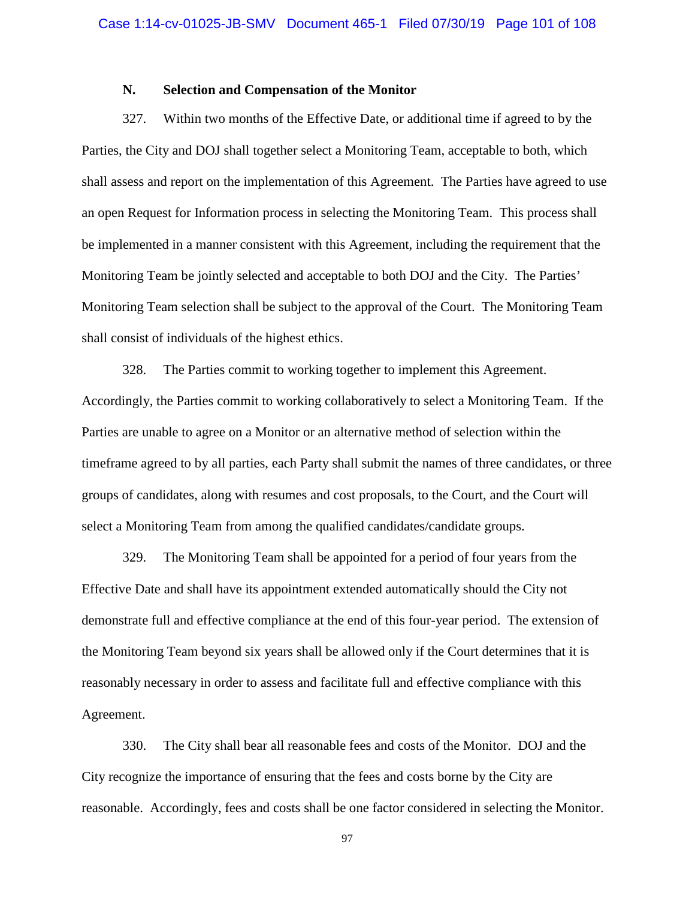## **N. Selection and Compensation of the Monitor**

327. Within two months of the Effective Date, or additional time if agreed to by the Parties, the City and DOJ shall together select a Monitoring Team, acceptable to both, which shall assess and report on the implementation of this Agreement. The Parties have agreed to use an open Request for Information process in selecting the Monitoring Team. This process shall be implemented in a manner consistent with this Agreement, including the requirement that the Monitoring Team be jointly selected and acceptable to both DOJ and the City. The Parties' Monitoring Team selection shall be subject to the approval of the Court. The Monitoring Team shall consist of individuals of the highest ethics.

328. The Parties commit to working together to implement this Agreement. Accordingly, the Parties commit to working collaboratively to select a Monitoring Team. If the Parties are unable to agree on a Monitor or an alternative method of selection within the timeframe agreed to by all parties, each Party shall submit the names of three candidates, or three groups of candidates, along with resumes and cost proposals, to the Court, and the Court will select a Monitoring Team from among the qualified candidates/candidate groups.

329. The Monitoring Team shall be appointed for a period of four years from the Effective Date and shall have its appointment extended automatically should the City not demonstrate full and effective compliance at the end of this four-year period. The extension of the Monitoring Team beyond six years shall be allowed only if the Court determines that it is reasonably necessary in order to assess and facilitate full and effective compliance with this Agreement.

330. The City shall bear all reasonable fees and costs of the Monitor. DOJ and the City recognize the importance of ensuring that the fees and costs borne by the City are reasonable. Accordingly, fees and costs shall be one factor considered in selecting the Monitor.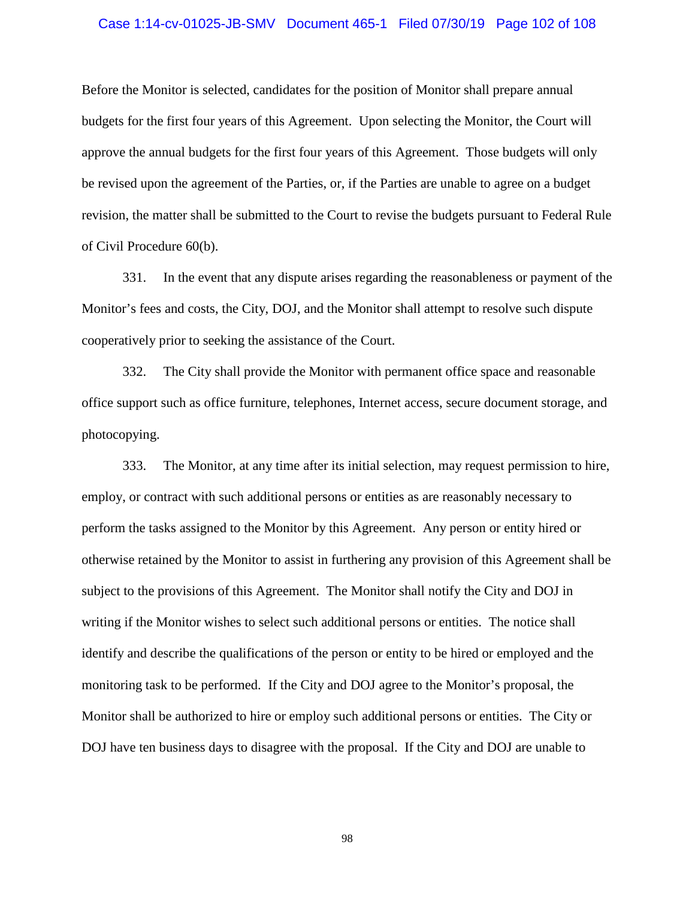### Case 1:14-cv-01025-JB-SMV Document 465-1 Filed 07/30/19 Page 102 of 108

Before the Monitor is selected, candidates for the position of Monitor shall prepare annual budgets for the first four years of this Agreement. Upon selecting the Monitor, the Court will approve the annual budgets for the first four years of this Agreement. Those budgets will only be revised upon the agreement of the Parties, or, if the Parties are unable to agree on a budget revision, the matter shall be submitted to the Court to revise the budgets pursuant to Federal Rule of Civil Procedure 60(b).

331. In the event that any dispute arises regarding the reasonableness or payment of the Monitor's fees and costs, the City, DOJ, and the Monitor shall attempt to resolve such dispute cooperatively prior to seeking the assistance of the Court.

332. The City shall provide the Monitor with permanent office space and reasonable office support such as office furniture, telephones, Internet access, secure document storage, and photocopying.

333. The Monitor, at any time after its initial selection, may request permission to hire, employ, or contract with such additional persons or entities as are reasonably necessary to perform the tasks assigned to the Monitor by this Agreement. Any person or entity hired or otherwise retained by the Monitor to assist in furthering any provision of this Agreement shall be subject to the provisions of this Agreement. The Monitor shall notify the City and DOJ in writing if the Monitor wishes to select such additional persons or entities. The notice shall identify and describe the qualifications of the person or entity to be hired or employed and the monitoring task to be performed. If the City and DOJ agree to the Monitor's proposal, the Monitor shall be authorized to hire or employ such additional persons or entities. The City or DOJ have ten business days to disagree with the proposal. If the City and DOJ are unable to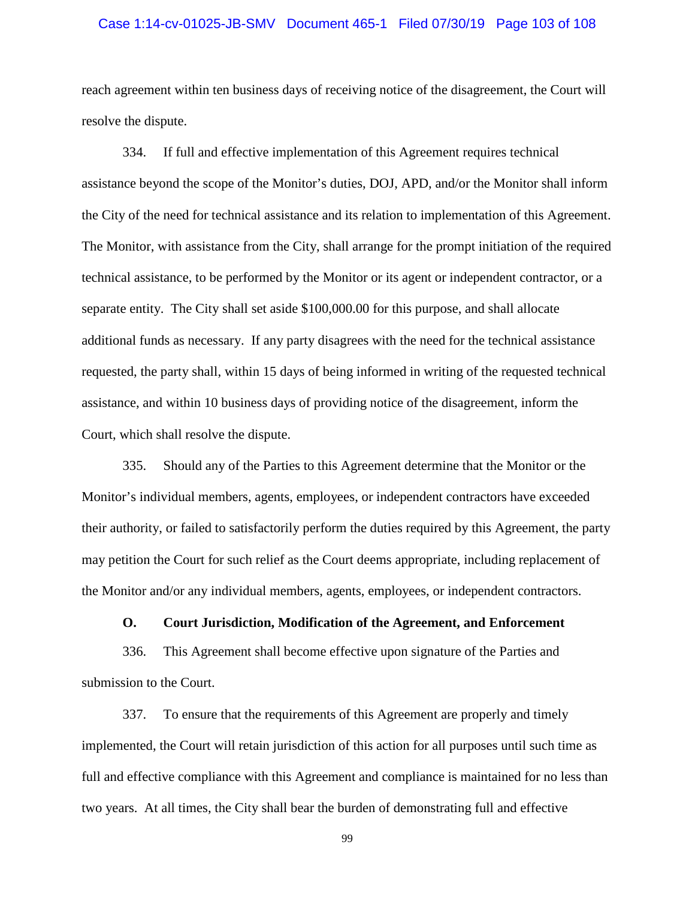### Case 1:14-cv-01025-JB-SMV Document 465-1 Filed 07/30/19 Page 103 of 108

reach agreement within ten business days of receiving notice of the disagreement, the Court will resolve the dispute.

334. If full and effective implementation of this Agreement requires technical assistance beyond the scope of the Monitor's duties, DOJ, APD, and/or the Monitor shall inform the City of the need for technical assistance and its relation to implementation of this Agreement. The Monitor, with assistance from the City, shall arrange for the prompt initiation of the required technical assistance, to be performed by the Monitor or its agent or independent contractor, or a separate entity. The City shall set aside \$100,000.00 for this purpose, and shall allocate additional funds as necessary. If any party disagrees with the need for the technical assistance requested, the party shall, within 15 days of being informed in writing of the requested technical assistance, and within 10 business days of providing notice of the disagreement, inform the Court, which shall resolve the dispute.

335. Should any of the Parties to this Agreement determine that the Monitor or the Monitor's individual members, agents, employees, or independent contractors have exceeded their authority, or failed to satisfactorily perform the duties required by this Agreement, the party may petition the Court for such relief as the Court deems appropriate, including replacement of the Monitor and/or any individual members, agents, employees, or independent contractors.

### **O. Court Jurisdiction, Modification of the Agreement, and Enforcement**

336. This Agreement shall become effective upon signature of the Parties and submission to the Court.

337. To ensure that the requirements of this Agreement are properly and timely implemented, the Court will retain jurisdiction of this action for all purposes until such time as full and effective compliance with this Agreement and compliance is maintained for no less than two years. At all times, the City shall bear the burden of demonstrating full and effective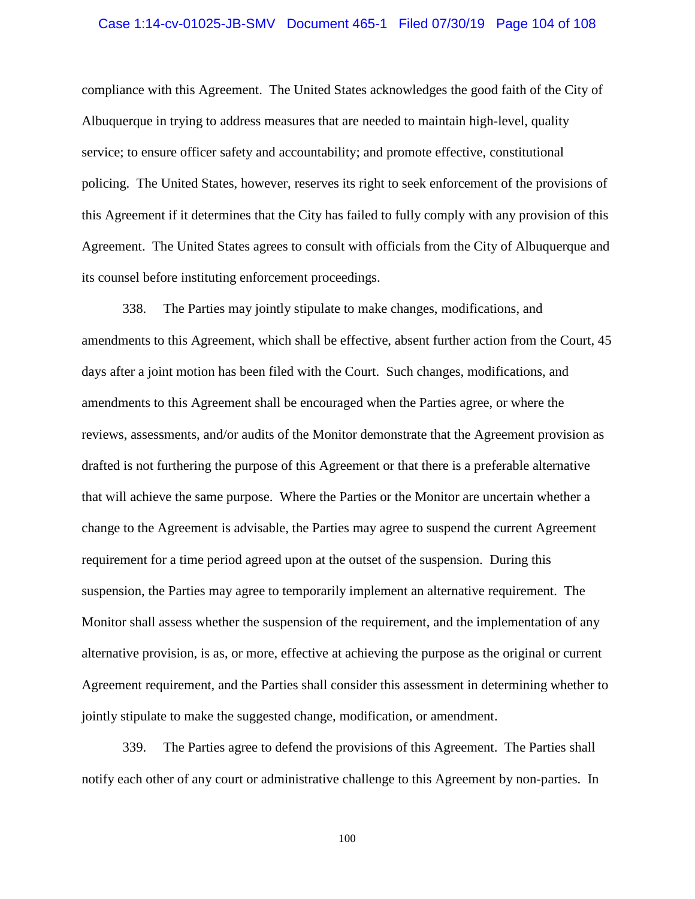### Case 1:14-cv-01025-JB-SMV Document 465-1 Filed 07/30/19 Page 104 of 108

compliance with this Agreement. The United States acknowledges the good faith of the City of Albuquerque in trying to address measures that are needed to maintain high-level, quality service; to ensure officer safety and accountability; and promote effective, constitutional policing. The United States, however, reserves its right to seek enforcement of the provisions of this Agreement if it determines that the City has failed to fully comply with any provision of this Agreement. The United States agrees to consult with officials from the City of Albuquerque and its counsel before instituting enforcement proceedings.

338. The Parties may jointly stipulate to make changes, modifications, and amendments to this Agreement, which shall be effective, absent further action from the Court, 45 days after a joint motion has been filed with the Court. Such changes, modifications, and amendments to this Agreement shall be encouraged when the Parties agree, or where the reviews, assessments, and/or audits of the Monitor demonstrate that the Agreement provision as drafted is not furthering the purpose of this Agreement or that there is a preferable alternative that will achieve the same purpose. Where the Parties or the Monitor are uncertain whether a change to the Agreement is advisable, the Parties may agree to suspend the current Agreement requirement for a time period agreed upon at the outset of the suspension. During this suspension, the Parties may agree to temporarily implement an alternative requirement. The Monitor shall assess whether the suspension of the requirement, and the implementation of any alternative provision, is as, or more, effective at achieving the purpose as the original or current Agreement requirement, and the Parties shall consider this assessment in determining whether to jointly stipulate to make the suggested change, modification, or amendment.

339. The Parties agree to defend the provisions of this Agreement. The Parties shall notify each other of any court or administrative challenge to this Agreement by non-parties. In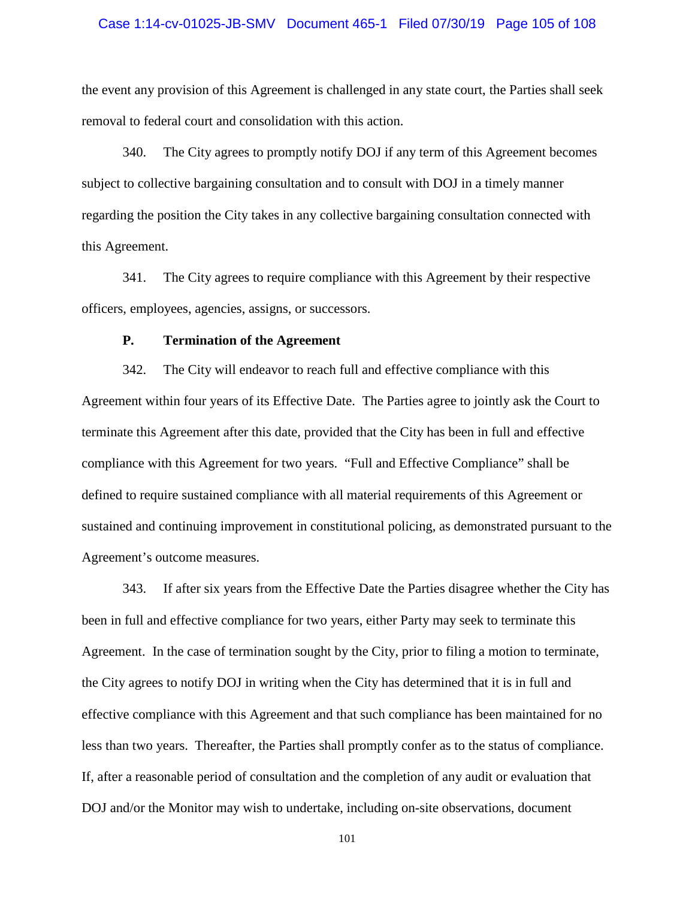### Case 1:14-cv-01025-JB-SMV Document 465-1 Filed 07/30/19 Page 105 of 108

the event any provision of this Agreement is challenged in any state court, the Parties shall seek removal to federal court and consolidation with this action.

340. The City agrees to promptly notify DOJ if any term of this Agreement becomes subject to collective bargaining consultation and to consult with DOJ in a timely manner regarding the position the City takes in any collective bargaining consultation connected with this Agreement.

341. The City agrees to require compliance with this Agreement by their respective officers, employees, agencies, assigns, or successors.

## **P. Termination of the Agreement**

342. The City will endeavor to reach full and effective compliance with this Agreement within four years of its Effective Date. The Parties agree to jointly ask the Court to terminate this Agreement after this date, provided that the City has been in full and effective compliance with this Agreement for two years. "Full and Effective Compliance" shall be defined to require sustained compliance with all material requirements of this Agreement or sustained and continuing improvement in constitutional policing, as demonstrated pursuant to the Agreement's outcome measures.

343. If after six years from the Effective Date the Parties disagree whether the City has been in full and effective compliance for two years, either Party may seek to terminate this Agreement. In the case of termination sought by the City, prior to filing a motion to terminate, the City agrees to notify DOJ in writing when the City has determined that it is in full and effective compliance with this Agreement and that such compliance has been maintained for no less than two years. Thereafter, the Parties shall promptly confer as to the status of compliance. If, after a reasonable period of consultation and the completion of any audit or evaluation that DOJ and/or the Monitor may wish to undertake, including on-site observations, document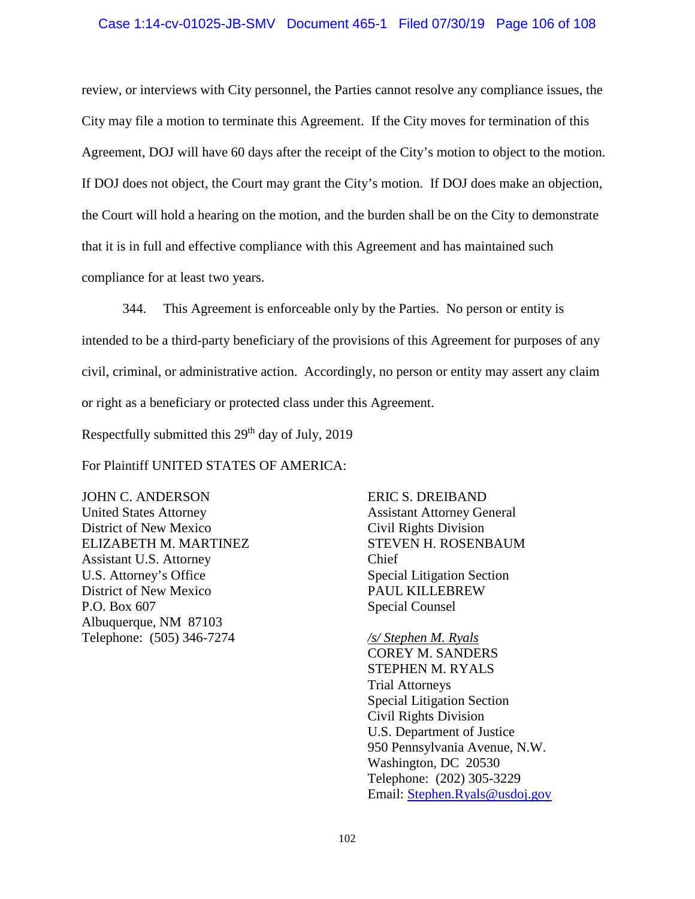### Case 1:14-cv-01025-JB-SMV Document 465-1 Filed 07/30/19 Page 106 of 108

review, or interviews with City personnel, the Parties cannot resolve any compliance issues, the City may file a motion to terminate this Agreement. If the City moves for termination of this Agreement, DOJ will have 60 days after the receipt of the City's motion to object to the motion. If DOJ does not object, the Court may grant the City's motion. If DOJ does make an objection, the Court will hold a hearing on the motion, and the burden shall be on the City to demonstrate that it is in full and effective compliance with this Agreement and has maintained such compliance for at least two years.

344. This Agreement is enforceable only by the Parties. No person or entity is intended to be a third-party beneficiary of the provisions of this Agreement for purposes of any civil, criminal, or administrative action. Accordingly, no person or entity may assert any claim or right as a beneficiary or protected class under this Agreement.

Respectfully submitted this  $29<sup>th</sup>$  day of July, 2019

For Plaintiff UNITED STATES OF AMERICA:

JOHN C. ANDERSON ERIC S. DREIBAND United States Attorney Assistant Attorney General District of New Mexico Civil Rights Division ELIZABETH M. MARTINEZ STEVEN H. ROSENBAUM Assistant U.S. Attorney Chief U.S. Attorney's Office Special Litigation Section District of New Mexico PAUL KILLEBREW P.O. Box 607 Special Counsel Albuquerque, NM 87103 Telephone: (505) 346-7274 */s/ Stephen M. Ryals*

COREY M. SANDERS STEPHEN M. RYALS Trial Attorneys Special Litigation Section Civil Rights Division U.S. Department of Justice 950 Pennsylvania Avenue, N.W. Washington, DC 20530 Telephone: (202) 305-3229 Email: [Stephen.Ryals@usdoj.gov](mailto:Stephen.Ryals@usdoj.gov)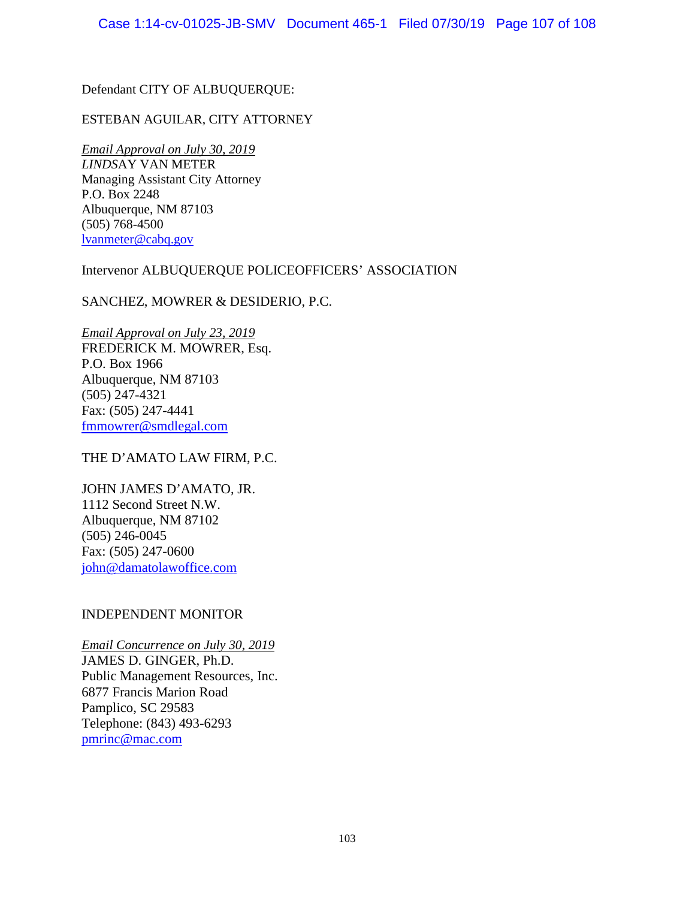## Defendant CITY OF ALBUQUERQUE:

## ESTEBAN AGUILAR, CITY ATTORNEY

*Email Approval on July 30, 2019 LINDS*AY VAN METER Managing Assistant City Attorney P.O. Box 2248 Albuquerque, NM 87103 (505) 768-4500 [lvanmeter@cabq.gov](mailto:lvanmeter@cabq.gov)

Intervenor ALBUQUERQUE POLICEOFFICERS' ASSOCIATION

SANCHEZ, MOWRER & DESIDERIO, P.C.

*Email Approval on July 23, 2019* FREDERICK M. MOWRER, Esq. P.O. Box 1966 Albuquerque, NM 87103 (505) 247-4321 Fax: (505) 247-4441 [fmmowrer@smdlegal.com](mailto:fmmowrer@smdlegal.com)

THE D'AMATO LAW FIRM, P.C.

JOHN JAMES D'AMATO, JR. 1112 Second Street N.W. Albuquerque, NM 87102 (505) 246-0045 Fax: (505) 247-0600 [john@damatolawoffice.com](mailto:john@damatolawoffice.com)

INDEPENDENT MONITOR

*Email Concurrence on July 30, 2019* JAMES D. GINGER, Ph.D. Public Management Resources, Inc. 6877 Francis Marion Road Pamplico, SC 29583 Telephone: (843) 493-6293 [pmrinc@mac.com](mailto:pmrinc@mac.com)